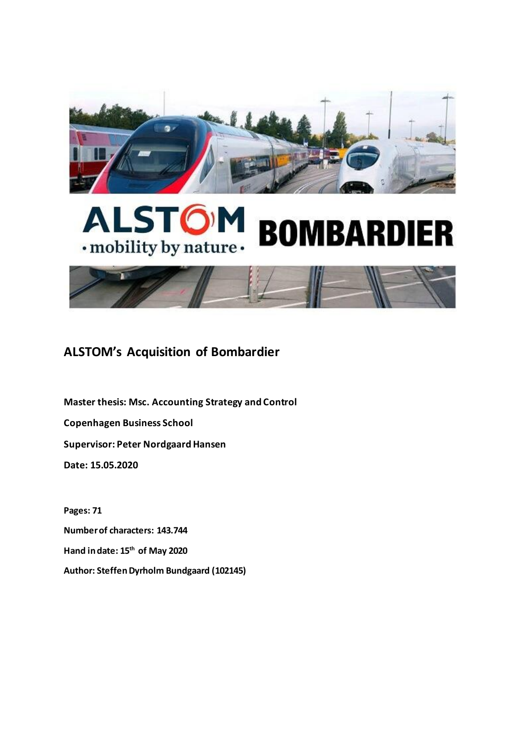

# **ALSTO BOMBARDIER** · mobility by nature ·



# **ALSTOM's Acquisition of Bombardier**

**Master thesis: Msc. Accounting Strategy and Control Copenhagen Business School Supervisor: Peter Nordgaard Hansen Date: 15.05.2020**

**Pages: 71 Number of characters: 143.744 Hand in date: 15th of May 2020 Author: Steffen Dyrholm Bundgaard (102145)**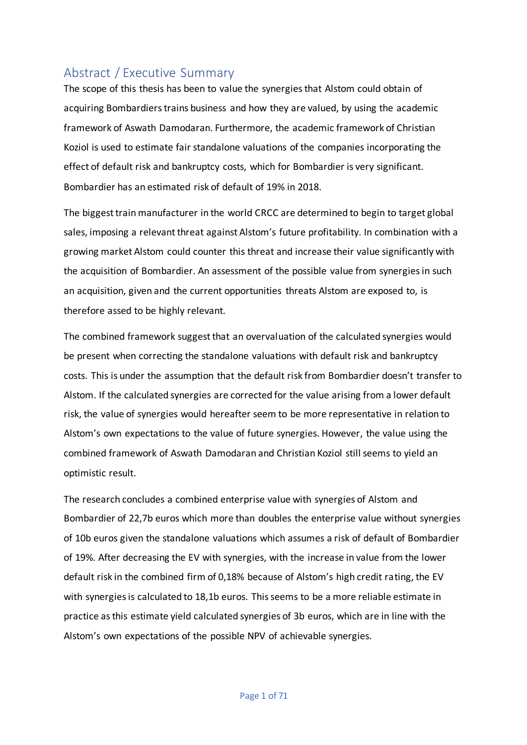# <span id="page-1-0"></span>Abstract / Executive Summary

The scope of this thesis has been to value the synergies that Alstom could obtain of acquiring Bombardiers trains business and how they are valued, by using the academic framework of Aswath Damodaran. Furthermore, the academic framework of Christian Koziol is used to estimate fair standalone valuations of the companies incorporating the effect of default risk and bankruptcy costs, which for Bombardier is very significant. Bombardier has an estimated risk of default of 19% in 2018.

The biggest train manufacturer in the world CRCC are determined to begin to target global sales, imposing a relevant threat against Alstom's future profitability. In combination with a growing market Alstom could counter this threat and increase their value significantly with the acquisition of Bombardier. An assessment of the possible value from synergies in such an acquisition, given and the current opportunities threats Alstom are exposed to, is therefore assed to be highly relevant.

The combined framework suggest that an overvaluation of the calculated synergies would be present when correcting the standalone valuations with default risk and bankruptcy costs. This is under the assumption that the default risk from Bombardier doesn't transfer to Alstom. If the calculated synergies are corrected for the value arising from a lower default risk, the value of synergies would hereafter seem to be more representative in relation to Alstom's own expectations to the value of future synergies. However, the value using the combined framework of Aswath Damodaran and Christian Koziol still seems to yield an optimistic result.

The research concludes a combined enterprise value with synergies of Alstom and Bombardier of 22,7b euros which more than doubles the enterprise value without synergies of 10b euros given the standalone valuations which assumes a risk of default of Bombardier of 19%. After decreasing the EV with synergies, with the increase in value from the lower default risk in the combined firm of 0,18% because of Alstom's high credit rating, the EV with synergies is calculated to 18,1b euros. This seems to be a more reliable estimate in practice as this estimate yield calculated synergies of 3b euros, which are in line with the Alstom's own expectations of the possible NPV of achievable synergies.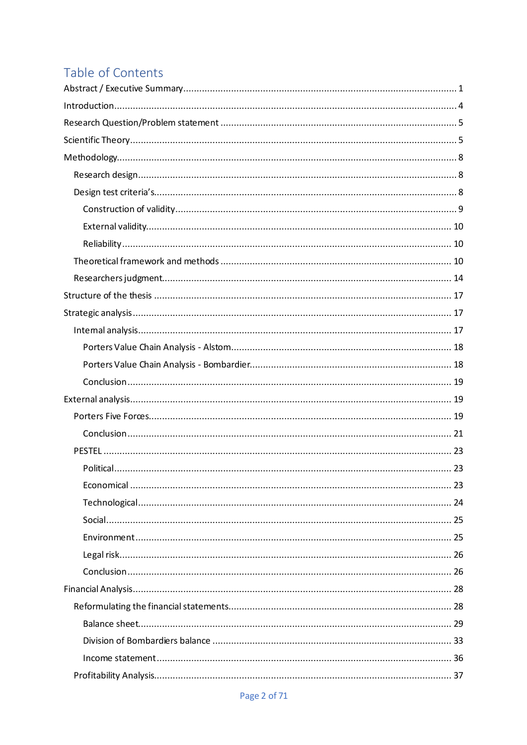# Table of Contents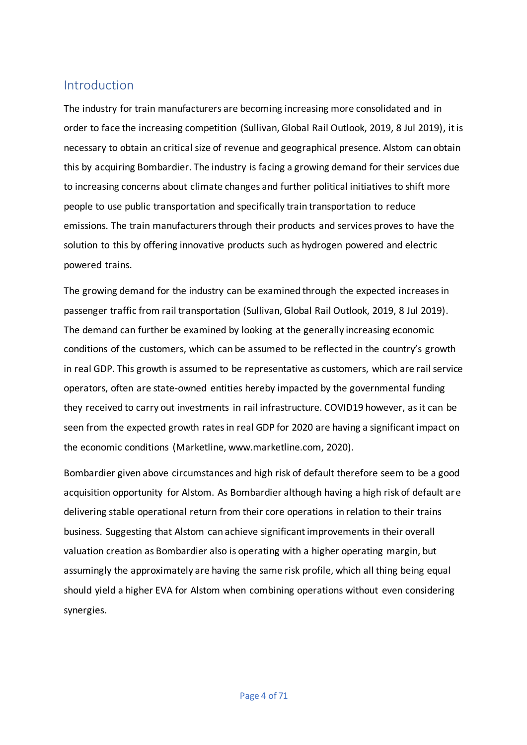# <span id="page-4-0"></span>Introduction

The industry for train manufacturers are becoming increasing more consolidated and in order to face the increasing competition (Sullivan, Global Rail Outlook, 2019, 8 Jul 2019), it is necessary to obtain an critical size of revenue and geographical presence. Alstom can obtain this by acquiring Bombardier. The industry is facing a growing demand for their services due to increasing concerns about climate changes and further political initiatives to shift more people to use public transportation and specifically train transportation to reduce emissions. The train manufacturers through their products and services proves to have the solution to this by offering innovative products such as hydrogen powered and electric powered trains.

The growing demand for the industry can be examined through the expected increases in passenger traffic from rail transportation (Sullivan, Global Rail Outlook, 2019, 8 Jul 2019). The demand can further be examined by looking at the generally increasing economic conditions of the customers, which can be assumed to be reflected in the country's growth in real GDP. This growth is assumed to be representative as customers, which are rail service operators, often are state-owned entities hereby impacted by the governmental funding they received to carry out investments in rail infrastructure. COVID19 however, as it can be seen from the expected growth rates in real GDP for 2020 are having a significant impact on the economic conditions (Marketline, www.marketline.com, 2020).

Bombardier given above circumstances and high risk of default therefore seem to be a good acquisition opportunity for Alstom. As Bombardier although having a high risk of default are delivering stable operational return from their core operations in relation to their trains business. Suggesting that Alstom can achieve significant improvements in their overall valuation creation as Bombardier also is operating with a higher operating margin, but assumingly the approximately are having the same risk profile, which all thing being equal should yield a higher EVA for Alstom when combining operations without even considering synergies.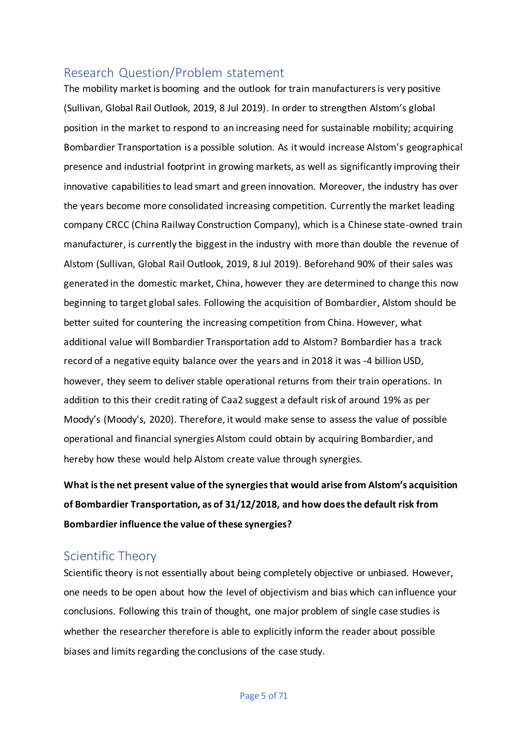# <span id="page-5-0"></span>Research Question/Problem statement

The mobility market is booming and the outlook for train manufacturers is very positive (Sullivan, Global Rail Outlook, 2019, 8 Jul 2019). In order to strengthen Alstom's global position in the market to respond to an increasing need for sustainable mobility; acquiring Bombardier Transportation is a possible solution. As it would increase Alstom's geographical presence and industrial footprint in growing markets, as well as significantly improving their innovative capabilities to lead smart and green innovation. Moreover, the industry has over the years become more consolidated increasing competition. Currently the market leading company CRCC (China Railway Construction Company), which is a Chinese state-owned train manufacturer, is currently the biggest in the industry with more than double the revenue of Alstom (Sullivan, Global Rail Outlook, 2019, 8 Jul 2019). Beforehand 90% of their sales was generated in the domestic market, China, however they are determined to change this now beginning to target global sales. Following the acquisition of Bombardier, Alstom should be better suited for countering the increasing competition from China. However, what additional value will Bombardier Transportation add to Alstom? Bombardier has a track record of a negative equity balance over the years and in 2018 it was -4 billion USD, however, they seem to deliver stable operational returns from their train operations. In addition to this their credit rating of Caa2 suggest a default risk of around 19% as per Moody's (Moody's, 2020). Therefore, it would make sense to assess the value of possible operational and financial synergies Alstom could obtain by acquiring Bombardier, and hereby how these would help Alstom create value through synergies.

**What is the net present value of the synergies that would arise from Alstom's acquisition of Bombardier Transportation, as of 31/12/2018, and how does the default risk from Bombardier influence the value of these synergies?**

# <span id="page-5-1"></span>Scientific Theory

Scientific theory is not essentially about being completely objective or unbiased. However, one needs to be open about how the level of objectivism and bias which can influence your conclusions. Following this train of thought, one major problem of single case studies is whether the researcher therefore is able to explicitly inform the reader about possible biases and limits regarding the conclusions of the case study.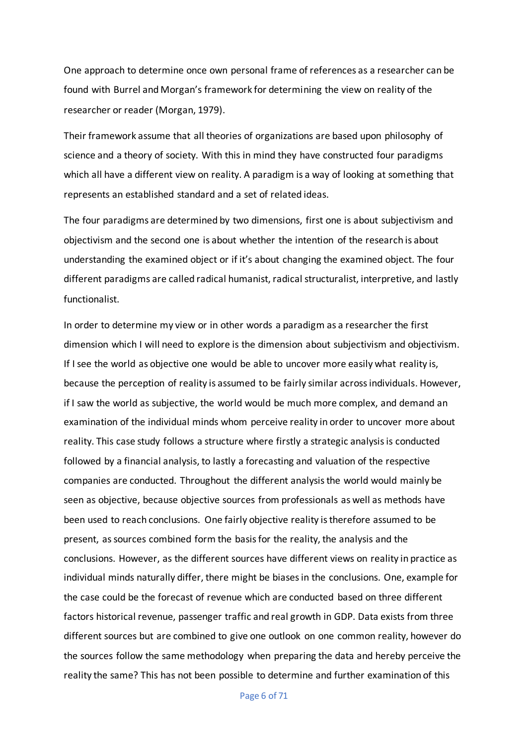One approach to determine once own personal frame of references as a researcher can be found with Burrel and Morgan's framework for determining the view on reality of the researcher or reader (Morgan, 1979).

Their framework assume that all theories of organizations are based upon philosophy of science and a theory of society. With this in mind they have constructed four paradigms which all have a different view on reality. A paradigm is a way of looking at something that represents an established standard and a set of related ideas.

The four paradigms are determined by two dimensions, first one is about subjectivism and objectivism and the second one is about whether the intention of the research is about understanding the examined object or if it's about changing the examined object. The four different paradigms are called radical humanist, radical structuralist, interpretive, and lastly functionalist.

In order to determine my view or in other words a paradigm as a researcher the first dimension which I will need to explore is the dimension about subjectivism and objectivism. If I see the world as objective one would be able to uncover more easily what reality is, because the perception of reality is assumed to be fairly similar across individuals. However, if I saw the world as subjective, the world would be much more complex, and demand an examination of the individual minds whom perceive reality in order to uncover more about reality. This case study follows a structure where firstly a strategic analysis is conducted followed by a financial analysis, to lastly a forecasting and valuation of the respective companies are conducted. Throughout the different analysis the world would mainly be seen as objective, because objective sources from professionals as well as methods have been used to reach conclusions. One fairly objective reality is therefore assumed to be present, as sources combined form the basis for the reality, the analysis and the conclusions. However, as the different sources have different views on reality in practice as individual minds naturally differ, there might be biases in the conclusions. One, example for the case could be the forecast of revenue which are conducted based on three different factors historical revenue, passenger traffic and real growth in GDP. Data exists from three different sources but are combined to give one outlook on one common reality, however do the sources follow the same methodology when preparing the data and hereby perceive the reality the same? This has not been possible to determine and further examination of this

Page 6 of 71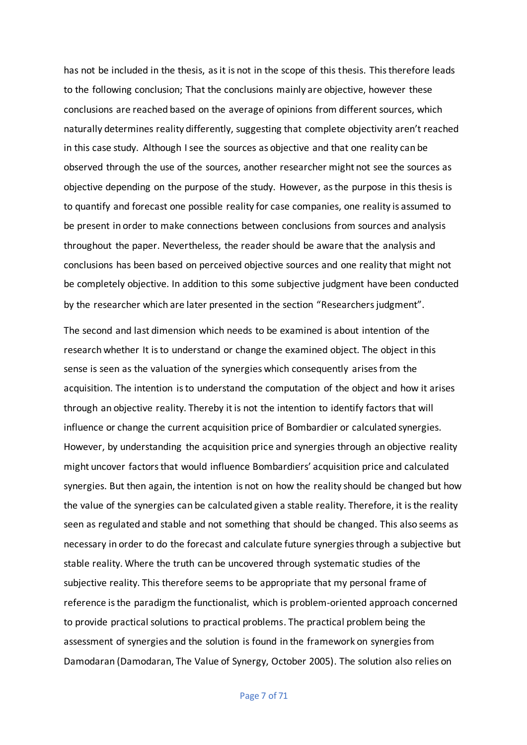has not be included in the thesis, as it is not in the scope of this thesis. This therefore leads to the following conclusion; That the conclusions mainly are objective, however these conclusions are reached based on the average of opinions from different sources, which naturally determines reality differently, suggesting that complete objectivity aren't reached in this case study. Although I see the sources as objective and that one reality can be observed through the use of the sources, another researcher might not see the sources as objective depending on the purpose of the study. However, as the purpose in this thesis is to quantify and forecast one possible reality for case companies, one reality is assumed to be present in order to make connections between conclusions from sources and analysis throughout the paper. Nevertheless, the reader should be aware that the analysis and conclusions has been based on perceived objective sources and one reality that might not be completely objective. In addition to this some subjective judgment have been conducted by the researcher which are later presented in the section "Researchers judgment".

The second and last dimension which needs to be examined is about intention of the research whether It is to understand or change the examined object. The object in this sense is seen as the valuation of the synergies which consequently arises from the acquisition. The intention is to understand the computation of the object and how it arises through an objective reality. Thereby it is not the intention to identify factors that will influence or change the current acquisition price of Bombardier or calculated synergies. However, by understanding the acquisition price and synergies through an objective reality might uncover factors that would influence Bombardiers' acquisition price and calculated synergies. But then again, the intention is not on how the reality should be changed but how the value of the synergies can be calculated given a stable reality. Therefore, it is the reality seen as regulated and stable and not something that should be changed. This also seems as necessary in order to do the forecast and calculate future synergies through a subjective but stable reality. Where the truth can be uncovered through systematic studies of the subjective reality. This therefore seems to be appropriate that my personal frame of reference is the paradigm the functionalist, which is problem-oriented approach concerned to provide practical solutions to practical problems. The practical problem being the assessment of synergies and the solution is found in the framework on synergies from Damodaran (Damodaran, The Value of Synergy, October 2005). The solution also relies on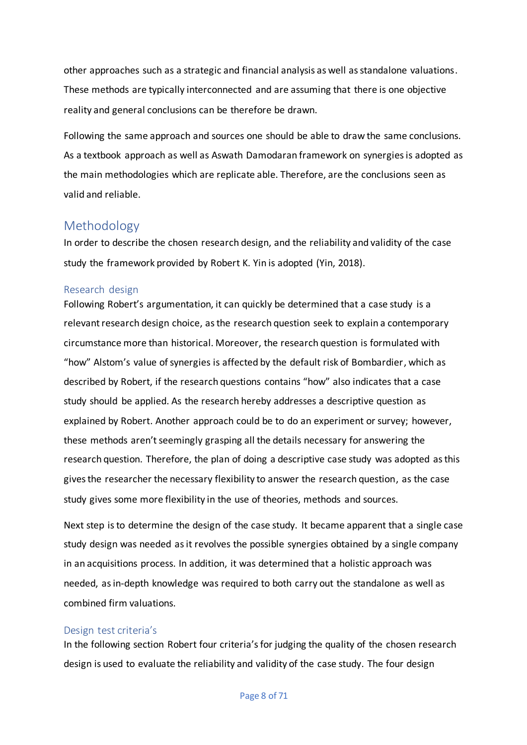other approaches such as a strategic and financial analysis as well as standalone valuations. These methods are typically interconnected and are assuming that there is one objective reality and general conclusions can be therefore be drawn.

Following the same approach and sources one should be able to draw the same conclusions. As a textbook approach as well as Aswath Damodaran framework on synergies is adopted as the main methodologies which are replicate able. Therefore, are the conclusions seen as valid and reliable.

# <span id="page-8-0"></span>Methodology

In order to describe the chosen research design, and the reliability and validity of the case study the framework provided by Robert K. Yin is adopted (Yin, 2018).

# <span id="page-8-1"></span>Research design

Following Robert's argumentation, it can quickly be determined that a case study is a relevant research design choice, as the research question seek to explain a contemporary circumstance more than historical. Moreover, the research question is formulated with "how" Alstom's value of synergies is affected by the default risk of Bombardier, which as described by Robert, if the research questions contains "how" also indicates that a case study should be applied. As the research hereby addresses a descriptive question as explained by Robert. Another approach could be to do an experiment or survey; however, these methods aren't seemingly grasping all the details necessary for answering the research question. Therefore, the plan of doing a descriptive case study was adopted as this gives the researcher the necessary flexibility to answer the research question, as the case study gives some more flexibility in the use of theories, methods and sources.

Next step is to determine the design of the case study. It became apparent that a single case study design was needed as it revolves the possible synergies obtained by a single company in an acquisitions process. In addition, it was determined that a holistic approach was needed, as in-depth knowledge was required to both carry out the standalone as well as combined firm valuations.

# <span id="page-8-2"></span>Design test criteria's

In the following section Robert four criteria's for judging the quality of the chosen research design is used to evaluate the reliability and validity of the case study. The four design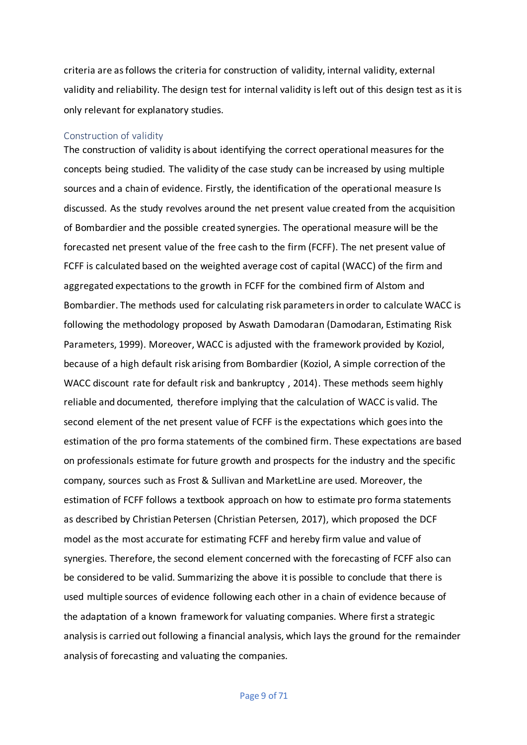criteria are as follows the criteria for construction of validity, internal validity, external validity and reliability. The design test for internal validity is left out of this design test as it is only relevant for explanatory studies.

#### <span id="page-9-0"></span>Construction of validity

The construction of validity is about identifying the correct operational measures for the concepts being studied. The validity of the case study can be increased by using multiple sources and a chain of evidence. Firstly, the identification of the operational measure Is discussed. As the study revolves around the net present value created from the acquisition of Bombardier and the possible created synergies. The operational measure will be the forecasted net present value of the free cash to the firm (FCFF). The net present value of FCFF is calculated based on the weighted average cost of capital (WACC) of the firm and aggregated expectations to the growth in FCFF for the combined firm of Alstom and Bombardier. The methods used for calculating risk parameters in order to calculate WACC is following the methodology proposed by Aswath Damodaran (Damodaran, Estimating Risk Parameters, 1999). Moreover, WACC is adjusted with the framework provided by Koziol, because of a high default risk arising from Bombardier (Koziol, A simple correction of the WACC discount rate for default risk and bankruptcy , 2014). These methods seem highly reliable and documented, therefore implying that the calculation of WACC is valid. The second element of the net present value of FCFF is the expectations which goes into the estimation of the pro forma statements of the combined firm. These expectations are based on professionals estimate for future growth and prospects for the industry and the specific company, sources such as Frost & Sullivan and MarketLine are used. Moreover, the estimation of FCFF follows a textbook approach on how to estimate pro forma statements as described by Christian Petersen (Christian Petersen, 2017), which proposed the DCF model as the most accurate for estimating FCFF and hereby firm value and value of synergies. Therefore, the second element concerned with the forecasting of FCFF also can be considered to be valid. Summarizing the above it is possible to conclude that there is used multiple sources of evidence following each other in a chain of evidence because of the adaptation of a known framework for valuating companies. Where first a strategic analysis is carried out following a financial analysis, which lays the ground for the remainder analysis of forecasting and valuating the companies.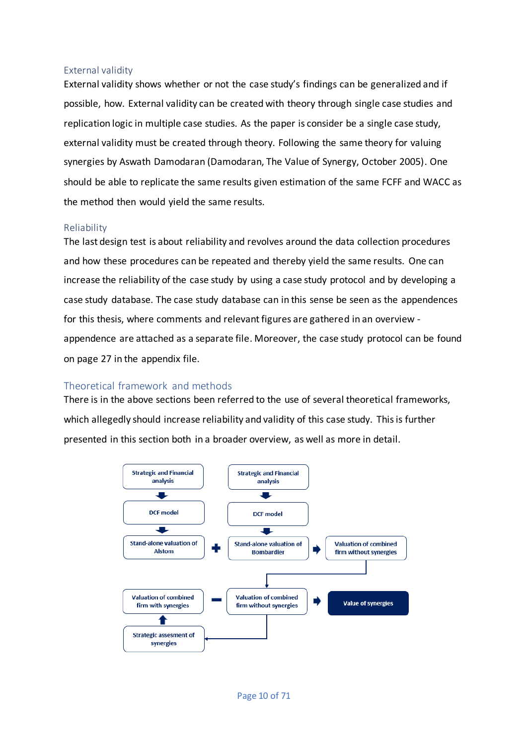# <span id="page-10-0"></span>External validity

External validity shows whether or not the case study's findings can be generalized and if possible, how. External validity can be created with theory through single case studies and replication logic in multiple case studies. As the paper is consider be a single case study, external validity must be created through theory. Following the same theory for valuing synergies by Aswath Damodaran (Damodaran, The Value of Synergy, October 2005). One should be able to replicate the same results given estimation of the same FCFF and WACC as the method then would yield the same results.

# <span id="page-10-1"></span>Reliability

The last design test is about reliability and revolves around the data collection procedures and how these procedures can be repeated and thereby yield the same results. One can increase the reliability of the case study by using a case study protocol and by developing a case study database. The case study database can in this sense be seen as the appendences for this thesis, where comments and relevant figures are gathered in an overview appendence are attached as a separate file. Moreover, the case study protocol can be found on page 27 in the appendix file.

# <span id="page-10-2"></span>Theoretical framework and methods

There is in the above sections been referred to the use of several theoretical frameworks, which allegedly should increase reliability and validity of this case study. This is further presented in this section both in a broader overview, as well as more in detail.

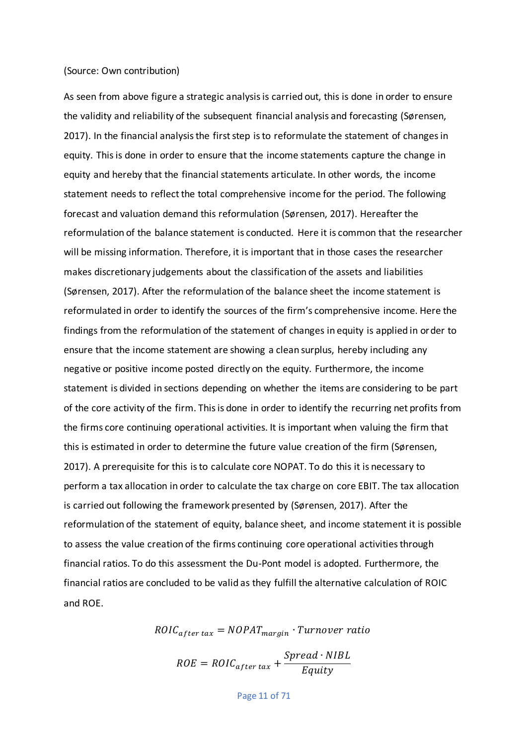#### (Source: Own contribution)

As seen from above figure a strategic analysis is carried out, this is done in order to ensure the validity and reliability of the subsequent financial analysis and forecasting (Sørensen, 2017). In the financial analysis the first step is to reformulate the statement of changes in equity. This is done in order to ensure that the income statements capture the change in equity and hereby that the financial statements articulate. In other words, the income statement needs to reflect the total comprehensive income for the period. The following forecast and valuation demand this reformulation (Sørensen, 2017). Hereafter the reformulation of the balance statement is conducted. Here it is common that the researcher will be missing information. Therefore, it is important that in those cases the researcher makes discretionary judgements about the classification of the assets and liabilities (Sørensen, 2017). After the reformulation of the balance sheet the income statement is reformulated in order to identify the sources of the firm's comprehensive income. Here the findings from the reformulation of the statement of changes in equity is applied in order to ensure that the income statement are showing a clean surplus, hereby including any negative or positive income posted directly on the equity. Furthermore, the income statement is divided in sections depending on whether the items are considering to be part of the core activity of the firm. This is done in order to identify the recurring net profits from the firms core continuing operational activities. It is important when valuing the firm that this is estimated in order to determine the future value creation of the firm (Sørensen, 2017). A prerequisite for this is to calculate core NOPAT. To do this it is necessary to perform a tax allocation in order to calculate the tax charge on core EBIT. The tax allocation is carried out following the framework presented by (Sørensen, 2017). After the reformulation of the statement of equity, balance sheet, and income statement it is possible to assess the value creation of the firms continuing core operational activities through financial ratios. To do this assessment the Du-Pont model is adopted. Furthermore, the financial ratios are concluded to be valid as they fulfill the alternative calculation of ROIC and ROE.

 $\textit{ROIC}_{after\, tax} = \textit{NOPATH}_{margin} \cdot \textit{Turnover\, ratio}$ 

$$
ROE = ROIC_{after\, tax} + \frac{Speed \cdot NIBL}{Equity}
$$

Page 11 of 71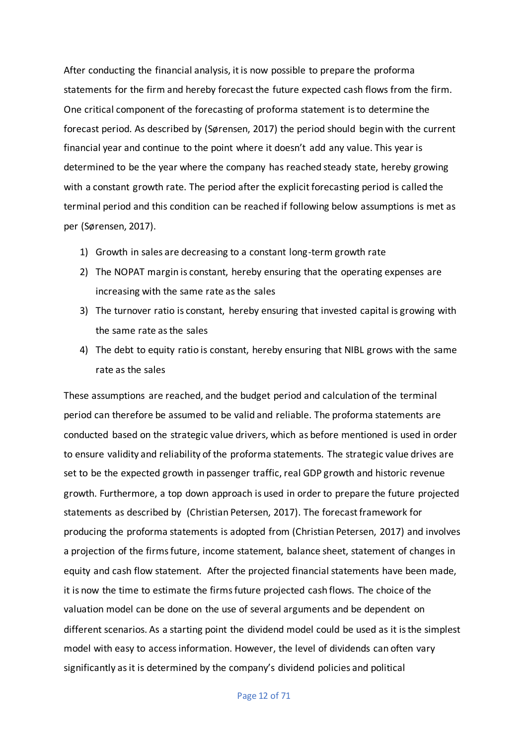After conducting the financial analysis, it is now possible to prepare the proforma statements for the firm and hereby forecast the future expected cash flows from the firm. One critical component of the forecasting of proforma statement is to determine the forecast period. As described by (Sørensen, 2017) the period should begin with the current financial year and continue to the point where it doesn't add any value. This year is determined to be the year where the company has reached steady state, hereby growing with a constant growth rate. The period after the explicit forecasting period is called the terminal period and this condition can be reached if following below assumptions is met as per (Sørensen, 2017).

- 1) Growth in sales are decreasing to a constant long-term growth rate
- 2) The NOPAT margin is constant, hereby ensuring that the operating expenses are increasing with the same rate as the sales
- 3) The turnover ratio is constant, hereby ensuring that invested capital is growing with the same rate as the sales
- 4) The debt to equity ratio is constant, hereby ensuring that NIBL grows with the same rate as the sales

These assumptions are reached, and the budget period and calculation of the terminal period can therefore be assumed to be valid and reliable. The proforma statements are conducted based on the strategic value drivers, which as before mentioned is used in order to ensure validity and reliability of the proforma statements. The strategic value drives are set to be the expected growth in passenger traffic, real GDP growth and historic revenue growth. Furthermore, a top down approach is used in order to prepare the future projected statements as described by (Christian Petersen, 2017). The forecast framework for producing the proforma statements is adopted from (Christian Petersen, 2017) and involves a projection of the firms future, income statement, balance sheet, statement of changes in equity and cash flow statement. After the projected financial statements have been made, it is now the time to estimate the firms future projected cash flows. The choice of the valuation model can be done on the use of several arguments and be dependent on different scenarios. As a starting point the dividend model could be used as it is the simplest model with easy to access information. However, the level of dividends can often vary significantly as it is determined by the company's dividend policies and political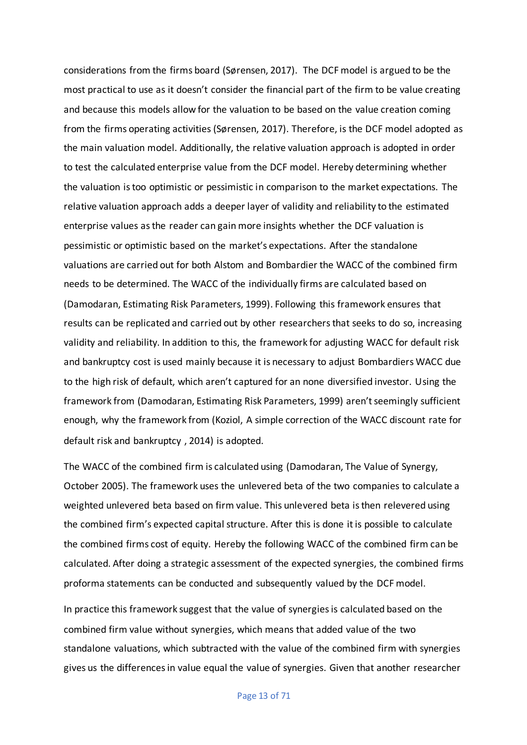considerations from the firms board (Sørensen, 2017). The DCF model is argued to be the most practical to use as it doesn't consider the financial part of the firm to be value creating and because this models allow for the valuation to be based on the value creation coming from the firms operating activities (Sørensen, 2017). Therefore, is the DCF model adopted as the main valuation model. Additionally, the relative valuation approach is adopted in order to test the calculated enterprise value from the DCF model. Hereby determining whether the valuation is too optimistic or pessimistic in comparison to the market expectations. The relative valuation approach adds a deeper layer of validity and reliability to the estimated enterprise values as the reader can gain more insights whether the DCF valuation is pessimistic or optimistic based on the market's expectations. After the standalone valuations are carried out for both Alstom and Bombardier the WACC of the combined firm needs to be determined. The WACC of the individually firms are calculated based on (Damodaran, Estimating Risk Parameters, 1999). Following this framework ensures that results can be replicated and carried out by other researchers that seeks to do so, increasing validity and reliability. In addition to this, the framework for adjusting WACC for default risk and bankruptcy cost is used mainly because it is necessary to adjust Bombardiers WACC due to the high risk of default, which aren't captured for an none diversified investor. Using the framework from (Damodaran, Estimating Risk Parameters, 1999) aren't seemingly sufficient enough, why the framework from (Koziol, A simple correction of the WACC discount rate for default risk and bankruptcy , 2014) is adopted.

The WACC of the combined firm is calculated using (Damodaran, The Value of Synergy, October 2005). The framework uses the unlevered beta of the two companies to calculate a weighted unlevered beta based on firm value. This unlevered beta is then relevered using the combined firm's expected capital structure. After this is done it is possible to calculate the combined firms cost of equity. Hereby the following WACC of the combined firm can be calculated. After doing a strategic assessment of the expected synergies, the combined firms proforma statements can be conducted and subsequently valued by the DCF model.

In practice this framework suggest that the value of synergies is calculated based on the combined firm value without synergies, which means that added value of the two standalone valuations, which subtracted with the value of the combined firm with synergies gives us the differences in value equal the value of synergies. Given that another researcher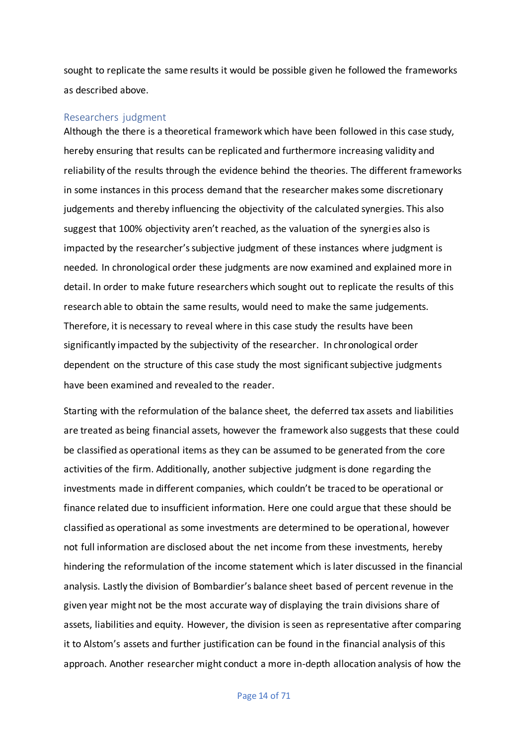sought to replicate the same results it would be possible given he followed the frameworks as described above.

#### <span id="page-14-0"></span>Researchers judgment

Although the there is a theoretical framework which have been followed in this case study, hereby ensuring that results can be replicated and furthermore increasing validity and reliability of the results through the evidence behind the theories. The different frameworks in some instances in this process demand that the researcher makes some discretionary judgements and thereby influencing the objectivity of the calculated synergies. This also suggest that 100% objectivity aren't reached, as the valuation of the synergies also is impacted by the researcher's subjective judgment of these instances where judgment is needed. In chronological order these judgments are now examined and explained more in detail. In order to make future researchers which sought out to replicate the results of this research able to obtain the same results, would need to make the same judgements. Therefore, it is necessary to reveal where in this case study the results have been significantly impacted by the subjectivity of the researcher. In chronological order dependent on the structure of this case study the most significant subjective judgments have been examined and revealed to the reader.

Starting with the reformulation of the balance sheet, the deferred tax assets and liabilities are treated as being financial assets, however the framework also suggests that these could be classified as operational items as they can be assumed to be generated from the core activities of the firm. Additionally, another subjective judgment is done regarding the investments made in different companies, which couldn't be traced to be operational or finance related due to insufficient information. Here one could argue that these should be classified as operational as some investments are determined to be operational, however not full information are disclosed about the net income from these investments, hereby hindering the reformulation of the income statement which is later discussed in the financial analysis. Lastly the division of Bombardier's balance sheet based of percent revenue in the given year might not be the most accurate way of displaying the train divisions share of assets, liabilities and equity. However, the division is seen as representative after comparing it to Alstom's assets and further justification can be found in the financial analysis of this approach. Another researcher might conduct a more in-depth allocation analysis of how the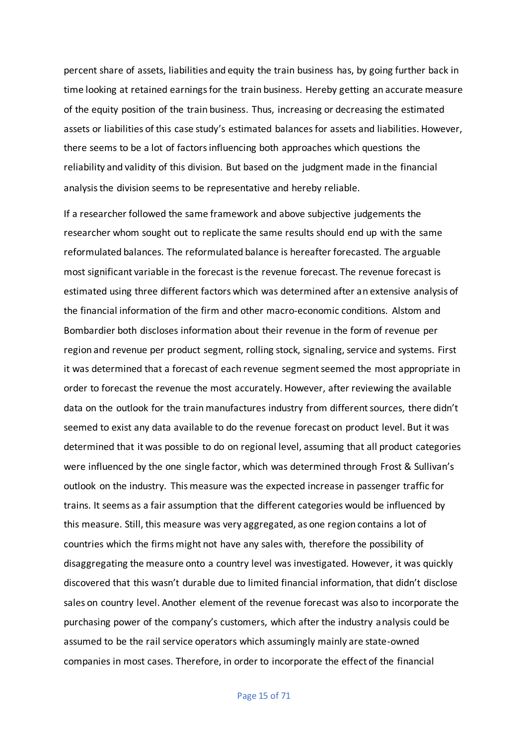percent share of assets, liabilities and equity the train business has, by going further back in time looking at retained earnings for the train business. Hereby getting an accurate measure of the equity position of the train business. Thus, increasing or decreasing the estimated assets or liabilities of this case study's estimated balancesfor assets and liabilities. However, there seems to be a lot of factors influencing both approaches which questions the reliability and validity of this division. But based on the judgment made in the financial analysis the division seems to be representative and hereby reliable.

If a researcher followed the same framework and above subjective judgements the researcher whom sought out to replicate the same results should end up with the same reformulated balances. The reformulated balance is hereafter forecasted. The arguable most significant variable in the forecast is the revenue forecast. The revenue forecast is estimated using three different factors which was determined after an extensive analysis of the financial information of the firm and other macro-economic conditions. Alstom and Bombardier both discloses information about their revenue in the form of revenue per region and revenue per product segment, rolling stock, signaling, service and systems. First it was determined that a forecast of each revenue segment seemed the most appropriate in order to forecast the revenue the most accurately. However, after reviewing the available data on the outlook for the train manufactures industry from different sources, there didn't seemed to exist any data available to do the revenue forecast on product level. But it was determined that it was possible to do on regional level, assuming that all product categories were influenced by the one single factor, which was determined through Frost & Sullivan's outlook on the industry. This measure was the expected increase in passenger traffic for trains. It seems as a fair assumption that the different categories would be influenced by this measure. Still, this measure was very aggregated, as one region contains a lot of countries which the firms might not have any sales with, therefore the possibility of disaggregating the measure onto a country level was investigated. However, it was quickly discovered that this wasn't durable due to limited financial information, that didn't disclose sales on country level. Another element of the revenue forecast was also to incorporate the purchasing power of the company's customers, which after the industry analysis could be assumed to be the rail service operators which assumingly mainly are state-owned companies in most cases. Therefore, in order to incorporate the effect of the financial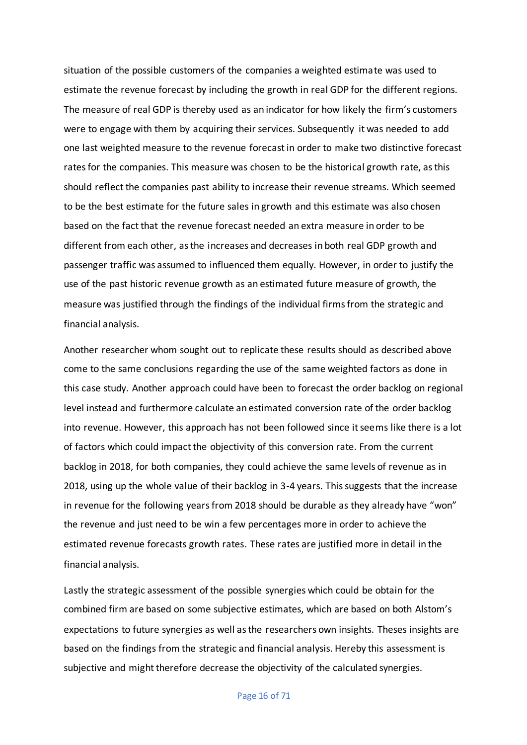situation of the possible customers of the companies a weighted estimate was used to estimate the revenue forecast by including the growth in real GDP for the different regions. The measure of real GDP is thereby used as an indicator for how likely the firm's customers were to engage with them by acquiring their services. Subsequently it was needed to add one last weighted measure to the revenue forecast in order to make two distinctive forecast ratesfor the companies. This measure was chosen to be the historical growth rate, as this should reflect the companies past ability to increase their revenue streams. Which seemed to be the best estimate for the future sales in growth and this estimate was also chosen based on the fact that the revenue forecast needed an extra measure in order to be different from each other, as the increases and decreases in both real GDP growth and passenger traffic was assumed to influenced them equally. However, in order to justify the use of the past historic revenue growth as an estimated future measure of growth, the measure was justified through the findings of the individual firms from the strategic and financial analysis.

Another researcher whom sought out to replicate these results should as described above come to the same conclusions regarding the use of the same weighted factors as done in this case study. Another approach could have been to forecast the order backlog on regional level instead and furthermore calculate an estimated conversion rate of the order backlog into revenue. However, this approach has not been followed since it seems like there is a lot of factors which could impact the objectivity of this conversion rate. From the current backlog in 2018, for both companies, they could achieve the same levels of revenue as in 2018, using up the whole value of their backlog in 3-4 years. This suggests that the increase in revenue for the following years from 2018 should be durable as they already have "won" the revenue and just need to be win a few percentages more in order to achieve the estimated revenue forecasts growth rates. These rates are justified more in detail in the financial analysis.

Lastly the strategic assessment of the possible synergies which could be obtain for the combined firm are based on some subjective estimates, which are based on both Alstom's expectations to future synergies as well as the researchers own insights. Theses insights are based on the findings from the strategic and financial analysis. Hereby this assessment is subjective and might therefore decrease the objectivity of the calculated synergies.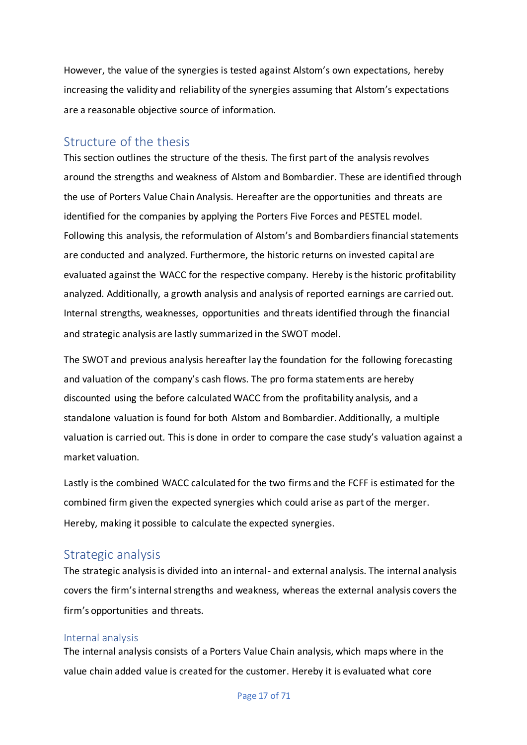However, the value of the synergies is tested against Alstom's own expectations, hereby increasing the validity and reliability of the synergies assuming that Alstom's expectations are a reasonable objective source of information.

# <span id="page-17-0"></span>Structure of the thesis

This section outlines the structure of the thesis. The first part of the analysis revolves around the strengths and weakness of Alstom and Bombardier. These are identified through the use of Porters Value Chain Analysis. Hereafter are the opportunities and threats are identified for the companies by applying the Porters Five Forces and PESTEL model. Following this analysis, the reformulation of Alstom's and Bombardiers financial statements are conducted and analyzed. Furthermore, the historic returns on invested capital are evaluated against the WACC for the respective company. Hereby is the historic profitability analyzed. Additionally, a growth analysis and analysis of reported earnings are carried out. Internal strengths, weaknesses, opportunities and threats identified through the financial and strategic analysis are lastly summarized in the SWOT model.

The SWOT and previous analysis hereafter lay the foundation for the following forecasting and valuation of the company's cash flows. The pro forma statements are hereby discounted using the before calculated WACC from the profitability analysis, and a standalone valuation is found for both Alstom and Bombardier. Additionally, a multiple valuation is carried out. This is done in order to compare the case study's valuation against a market valuation.

Lastly is the combined WACC calculated for the two firms and the FCFF is estimated for the combined firm given the expected synergies which could arise as part of the merger. Hereby, making it possible to calculate the expected synergies.

# <span id="page-17-1"></span>Strategic analysis

The strategic analysis is divided into an internal- and external analysis. The internal analysis covers the firm's internal strengths and weakness, whereas the external analysis covers the firm's opportunities and threats.

#### <span id="page-17-2"></span>Internal analysis

The internal analysis consists of a Porters Value Chain analysis, which maps where in the value chain added value is created for the customer. Hereby it is evaluated what core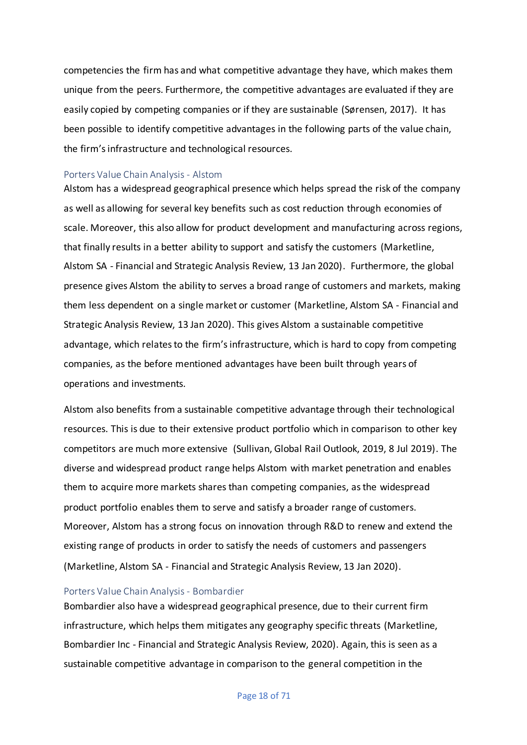competencies the firm has and what competitive advantage they have, which makes them unique from the peers. Furthermore, the competitive advantages are evaluated if they are easily copied by competing companies or if they are sustainable (Sørensen, 2017). It has been possible to identify competitive advantages in the following parts of the value chain, the firm's infrastructure and technological resources.

#### <span id="page-18-0"></span>Porters Value Chain Analysis - Alstom

Alstom has a widespread geographical presence which helps spread the risk of the company as well as allowing for several key benefits such as cost reduction through economies of scale. Moreover, this also allow for product development and manufacturing across regions, that finally results in a better ability to support and satisfy the customers (Marketline, Alstom SA - Financial and Strategic Analysis Review, 13 Jan 2020). Furthermore, the global presence gives Alstom the ability to serves a broad range of customers and markets, making them less dependent on a single market or customer (Marketline, Alstom SA - Financial and Strategic Analysis Review, 13 Jan 2020). This gives Alstom a sustainable competitive advantage, which relates to the firm's infrastructure, which is hard to copy from competing companies, as the before mentioned advantages have been built through years of operations and investments.

Alstom also benefits from a sustainable competitive advantage through their technological resources. This is due to their extensive product portfolio which in comparison to other key competitors are much more extensive (Sullivan, Global Rail Outlook, 2019, 8 Jul 2019). The diverse and widespread product range helps Alstom with market penetration and enables them to acquire more markets shares than competing companies, as the widespread product portfolio enables them to serve and satisfy a broader range of customers. Moreover, Alstom has a strong focus on innovation through R&D to renew and extend the existing range of products in order to satisfy the needs of customers and passengers (Marketline, Alstom SA - Financial and Strategic Analysis Review, 13 Jan 2020).

#### <span id="page-18-1"></span>Porters Value Chain Analysis- Bombardier

Bombardier also have a widespread geographical presence, due to their current firm infrastructure, which helps them mitigates any geography specific threats (Marketline, Bombardier Inc - Financial and Strategic Analysis Review, 2020). Again, this is seen as a sustainable competitive advantage in comparison to the general competition in the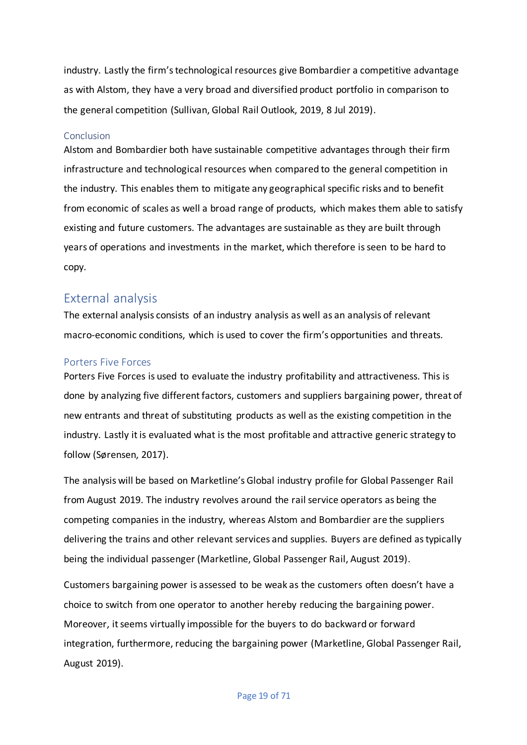industry. Lastly the firm's technological resources give Bombardier a competitive advantage as with Alstom, they have a very broad and diversified product portfolio in comparison to the general competition (Sullivan, Global Rail Outlook, 2019, 8 Jul 2019).

## <span id="page-19-0"></span>Conclusion

Alstom and Bombardier both have sustainable competitive advantages through their firm infrastructure and technological resources when compared to the general competition in the industry. This enables them to mitigate any geographical specific risks and to benefit from economic of scales as well a broad range of products, which makes them able to satisfy existing and future customers. The advantages are sustainable as they are built through years of operations and investments in the market, which therefore is seen to be hard to copy.

# <span id="page-19-1"></span>External analysis

The external analysis consists of an industry analysis as well as an analysis of relevant macro-economic conditions, which is used to cover the firm's opportunities and threats.

## <span id="page-19-2"></span>Porters Five Forces

Porters Five Forces is used to evaluate the industry profitability and attractiveness. This is done by analyzing five different factors, customers and suppliers bargaining power, threat of new entrants and threat of substituting products as well as the existing competition in the industry. Lastly it is evaluated what is the most profitable and attractive generic strategy to follow (Sørensen, 2017).

The analysis will be based on Marketline's Global industry profile for Global Passenger Rail from August 2019. The industry revolves around the rail service operators as being the competing companies in the industry, whereas Alstom and Bombardier are the suppliers delivering the trains and other relevant services and supplies. Buyers are defined as typically being the individual passenger (Marketline, Global Passenger Rail, August 2019).

Customers bargaining power is assessed to be weak as the customers often doesn't have a choice to switch from one operator to another hereby reducing the bargaining power. Moreover, it seems virtually impossible for the buyers to do backward or forward integration, furthermore, reducing the bargaining power (Marketline, Global Passenger Rail, August 2019).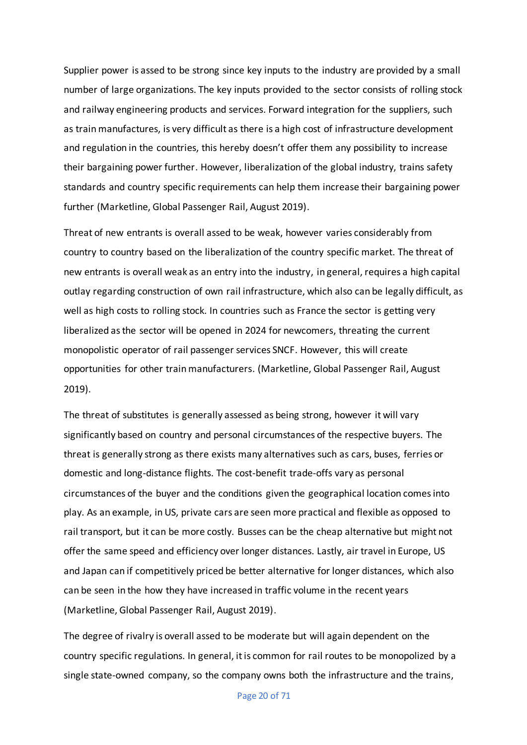Supplier power is assed to be strong since key inputs to the industry are provided by a small number of large organizations. The key inputs provided to the sector consists of rolling stock and railway engineering products and services. Forward integration for the suppliers, such as train manufactures, is very difficult as there is a high cost of infrastructure development and regulation in the countries, this hereby doesn't offer them any possibility to increase their bargaining power further. However, liberalization of the global industry, trains safety standards and country specific requirements can help them increase their bargaining power further (Marketline, Global Passenger Rail, August 2019).

Threat of new entrants is overall assed to be weak, however varies considerably from country to country based on the liberalization of the country specific market. The threat of new entrants is overall weak as an entry into the industry, in general, requires a high capital outlay regarding construction of own rail infrastructure, which also can be legally difficult, as well as high costs to rolling stock. In countries such as France the sector is getting very liberalized as the sector will be opened in 2024 for newcomers, threating the current monopolistic operator of rail passenger services SNCF. However, this will create opportunities for other train manufacturers. (Marketline, Global Passenger Rail, August 2019).

The threat of substitutes is generally assessed as being strong, however it will vary significantly based on country and personal circumstances of the respective buyers. The threat is generally strong as there exists many alternatives such as cars, buses, ferries or domestic and long-distance flights. The cost-benefit trade-offs vary as personal circumstances of the buyer and the conditions given the geographical location comes into play. As an example, in US, private cars are seen more practical and flexible as opposed to rail transport, but it can be more costly. Busses can be the cheap alternative but might not offer the same speed and efficiency over longer distances. Lastly, air travel in Europe, US and Japan can if competitively priced be better alternative for longer distances, which also can be seen in the how they have increased in traffic volume in the recent years (Marketline, Global Passenger Rail, August 2019).

The degree of rivalry is overall assed to be moderate but will again dependent on the country specific regulations. In general, it is common for rail routes to be monopolized by a single state-owned company, so the company owns both the infrastructure and the trains,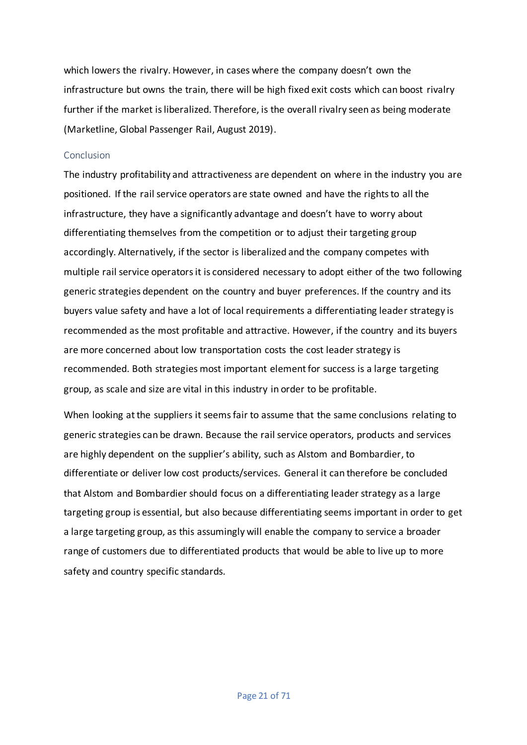which lowers the rivalry. However, in cases where the company doesn't own the infrastructure but owns the train, there will be high fixed exit costs which can boost rivalry further if the market is liberalized. Therefore, is the overall rivalry seen as being moderate (Marketline, Global Passenger Rail, August 2019).

### <span id="page-21-0"></span>Conclusion

The industry profitability and attractiveness are dependent on where in the industry you are positioned. If the rail service operators are state owned and have the rights to all the infrastructure, they have a significantly advantage and doesn't have to worry about differentiating themselves from the competition or to adjust their targeting group accordingly. Alternatively, if the sector is liberalized and the company competes with multiple rail service operators it is considered necessary to adopt either of the two following generic strategies dependent on the country and buyer preferences. If the country and its buyers value safety and have a lot of local requirements a differentiating leader strategy is recommended as the most profitable and attractive. However, if the country and its buyers are more concerned about low transportation costs the cost leader strategy is recommended. Both strategies most important element for success is a large targeting group, as scale and size are vital in this industry in order to be profitable.

When looking at the suppliers it seems fair to assume that the same conclusions relating to generic strategies can be drawn. Because the rail service operators, products and services are highly dependent on the supplier's ability, such as Alstom and Bombardier, to differentiate or deliver low cost products/services. General it can therefore be concluded that Alstom and Bombardier should focus on a differentiating leader strategy as a large targeting group is essential, but also because differentiating seems important in order to get a large targeting group, as this assumingly will enable the company to service a broader range of customers due to differentiated products that would be able to live up to more safety and country specific standards.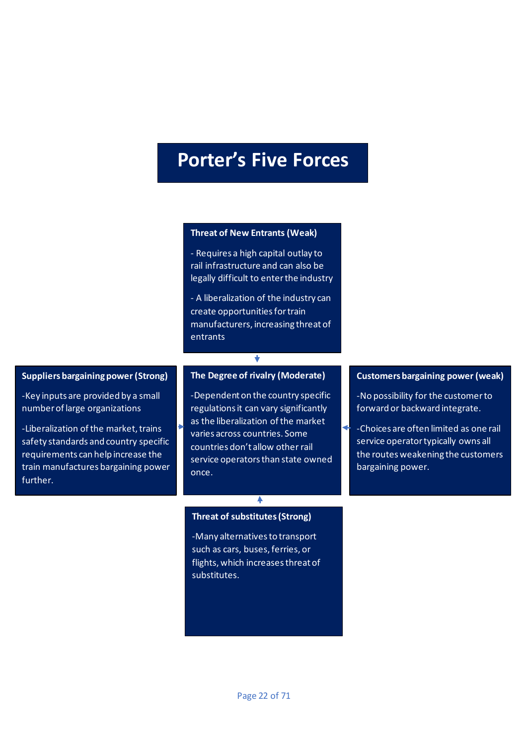# **Porter's Five Forces**

### **Threat of New Entrants (Weak)**

- Requires a high capital outlay to rail infrastructure and can also be legally difficult to enter the industry

- A liberalization of the industry can create opportunities for train manufacturers, increasing threat of entrants

#### **Suppliers bargaining power (Strong)**

-Key inputs are provided by a small number of large organizations

-Liberalization of the market, trains safety standards and country specific requirements can help increase the train manufactures bargaining power further.

#### **The Degree of rivalry (Moderate)**

-Dependent on the country specific regulations it can vary significantly as the liberalization of the market varies across countries. Some countries don't allow other rail service operators than state owned once.

#### **Threat of substitutes (Strong)**

♦

-Many alternatives to transport such as cars, buses, ferries, or flights, which increases threat of substitutes.

#### **Customers bargaining power (weak)**

-No possibility for the customer to forward or backward integrate.

-Choices are often limited as one rail service operator typically owns all the routes weakening the customers bargaining power.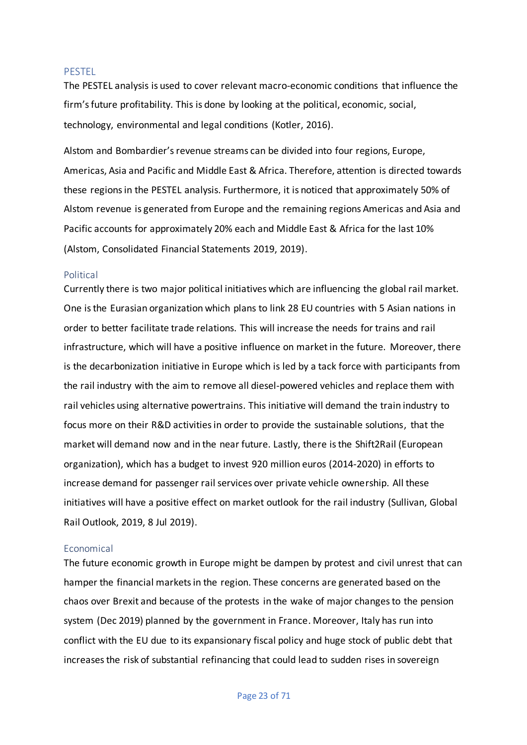#### <span id="page-23-0"></span>PESTEL

The PESTEL analysis is used to cover relevant macro-economic conditions that influence the firm's future profitability. This is done by looking at the political, economic, social, technology, environmental and legal conditions (Kotler, 2016).

Alstom and Bombardier's revenue streams can be divided into four regions, Europe, Americas, Asia and Pacific and Middle East & Africa. Therefore, attention is directed towards these regions in the PESTEL analysis. Furthermore, it is noticed that approximately 50% of Alstom revenue is generated from Europe and the remaining regions Americas and Asia and Pacific accounts for approximately 20% each and Middle East & Africa for the last 10% (Alstom, Consolidated Financial Statements 2019, 2019).

#### <span id="page-23-1"></span>Political

Currently there is two major political initiatives which are influencing the global rail market. One is the Eurasian organization which plans to link 28 EU countries with 5 Asian nations in order to better facilitate trade relations. This will increase the needs for trains and rail infrastructure, which will have a positive influence on market in the future. Moreover, there is the decarbonization initiative in Europe which is led by a tack force with participants from the rail industry with the aim to remove all diesel-powered vehicles and replace them with rail vehicles using alternative powertrains. This initiative will demand the train industry to focus more on their R&D activities in order to provide the sustainable solutions, that the market will demand now and in the near future. Lastly, there is the Shift2Rail (European organization), which has a budget to invest 920 million euros (2014-2020) in efforts to increase demand for passenger rail services over private vehicle ownership. All these initiatives will have a positive effect on market outlook for the rail industry (Sullivan, Global Rail Outlook, 2019, 8 Jul 2019).

#### <span id="page-23-2"></span>Economical

The future economic growth in Europe might be dampen by protest and civil unrest that can hamper the financial markets in the region. These concerns are generated based on the chaos over Brexit and because of the protests in the wake of major changes to the pension system (Dec 2019) planned by the government in France. Moreover, Italy has run into conflict with the EU due to its expansionary fiscal policy and huge stock of public debt that increases the risk of substantial refinancing that could lead to sudden rises in sovereign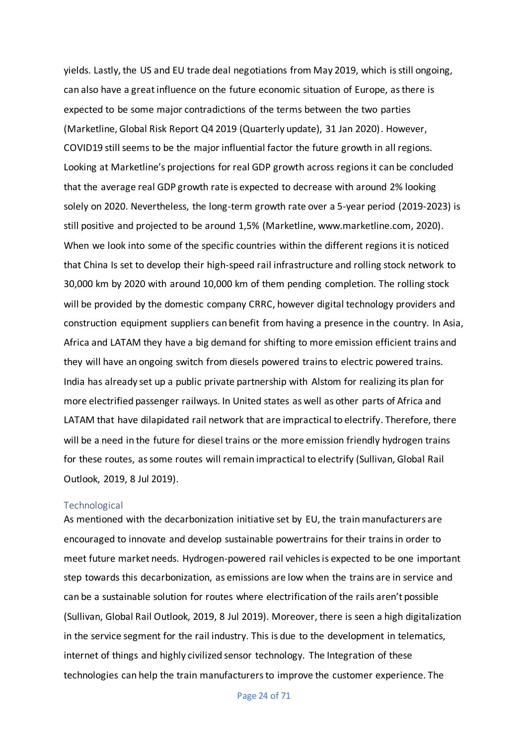yields. Lastly, the US and EU trade deal negotiations from May 2019, which is still ongoing, can also have a great influence on the future economic situation of Europe, as there is expected to be some major contradictions of the terms between the two parties (Marketline, Global Risk Report Q4 2019 (Quarterly update), 31 Jan 2020). However, COVID19 still seems to be the major influential factor the future growth in all regions. Looking at Marketline's projections for real GDP growth across regions it can be concluded that the average real GDP growth rate is expected to decrease with around 2% looking solely on 2020. Nevertheless, the long-term growth rate over a 5-year period (2019-2023) is still positive and projected to be around 1,5% (Marketline, www.marketline.com, 2020). When we look into some of the specific countries within the different regions it is noticed that China Is set to develop their high-speed rail infrastructure and rolling stock network to 30,000 km by 2020 with around 10,000 km of them pending completion. The rolling stock will be provided by the domestic company CRRC, however digital technology providers and construction equipment suppliers can benefit from having a presence in the country. In Asia, Africa and LATAM they have a big demand for shifting to more emission efficient trains and they will have an ongoing switch from diesels powered trains to electric powered trains. India has already set up a public private partnership with Alstom for realizing its plan for more electrified passenger railways. In United states as well as other parts of Africa and LATAM that have dilapidated rail network that are impractical to electrify. Therefore, there will be a need in the future for diesel trains or the more emission friendly hydrogen trains for these routes, as some routes will remain impractical to electrify (Sullivan, Global Rail Outlook, 2019, 8 Jul 2019).

#### <span id="page-24-0"></span>Technological

As mentioned with the decarbonization initiative set by EU, the train manufacturers are encouraged to innovate and develop sustainable powertrains for their trains in order to meet future market needs. Hydrogen-powered rail vehicles is expected to be one important step towards this decarbonization, as emissions are low when the trains are in service and can be a sustainable solution for routes where electrification of the rails aren't possible (Sullivan, Global Rail Outlook, 2019, 8 Jul 2019). Moreover, there is seen a high digitalization in the service segment for the rail industry. This is due to the development in telematics, internet of things and highly civilized sensor technology. The Integration of these technologies can help the train manufacturers to improve the customer experience. The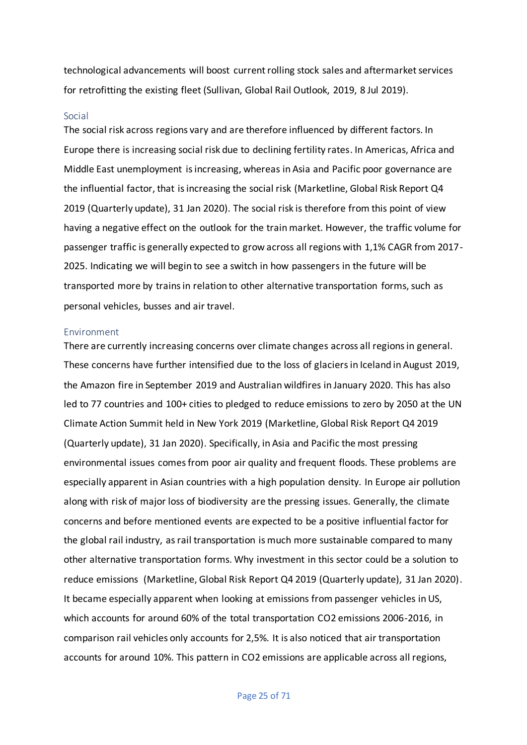technological advancements will boost current rolling stock sales and aftermarket services for retrofitting the existing fleet (Sullivan, Global Rail Outlook, 2019, 8 Jul 2019).

#### <span id="page-25-0"></span>Social

The social risk across regions vary and are therefore influenced by different factors. In Europe there is increasing social risk due to declining fertility rates. In Americas, Africa and Middle East unemployment is increasing, whereas in Asia and Pacific poor governance are the influential factor, that is increasing the social risk (Marketline, Global Risk Report Q4 2019 (Quarterly update), 31 Jan 2020). The social risk is therefore from this point of view having a negative effect on the outlook for the train market. However, the traffic volume for passenger traffic is generally expected to grow across all regions with 1,1% CAGR from 2017- 2025. Indicating we will begin to see a switch in how passengers in the future will be transported more by trains in relation to other alternative transportation forms, such as personal vehicles, busses and air travel.

#### <span id="page-25-1"></span>Environment

There are currently increasing concerns over climate changes across all regions in general. These concerns have further intensified due to the loss of glaciers in Iceland in August 2019, the Amazon fire in September 2019 and Australian wildfires in January 2020. This has also led to 77 countries and 100+ cities to pledged to reduce emissions to zero by 2050 at the UN Climate Action Summit held in New York 2019 (Marketline, Global Risk Report Q4 2019 (Quarterly update), 31 Jan 2020). Specifically, in Asia and Pacific the most pressing environmental issues comes from poor air quality and frequent floods. These problems are especially apparent in Asian countries with a high population density. In Europe air pollution along with risk of major loss of biodiversity are the pressing issues. Generally, the climate concerns and before mentioned events are expected to be a positive influential factor for the global rail industry, as rail transportation is much more sustainable compared to many other alternative transportation forms. Why investment in this sector could be a solution to reduce emissions (Marketline, Global Risk Report Q4 2019 (Quarterly update), 31 Jan 2020). It became especially apparent when looking at emissions from passenger vehicles in US, which accounts for around 60% of the total transportation CO2 emissions 2006-2016, in comparison rail vehicles only accounts for 2,5%. It is also noticed that air transportation accounts for around 10%. This pattern in CO2 emissions are applicable across all regions,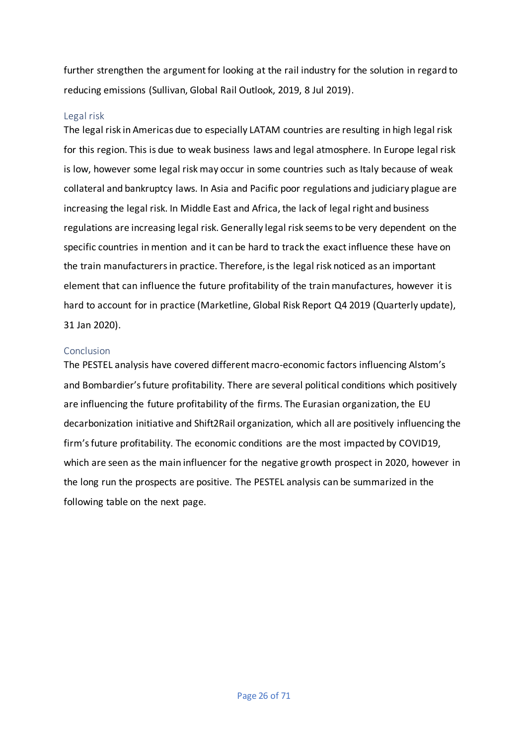further strengthen the argument for looking at the rail industry for the solution in regard to reducing emissions (Sullivan, Global Rail Outlook, 2019, 8 Jul 2019).

### <span id="page-26-0"></span>Legal risk

The legal risk in Americas due to especially LATAM countries are resulting in high legal risk for this region. This is due to weak business laws and legal atmosphere. In Europe legal risk is low, however some legal risk may occur in some countries such as Italy because of weak collateral and bankruptcy laws. In Asia and Pacific poor regulations and judiciary plague are increasing the legal risk. In Middle East and Africa, the lack of legal right and business regulations are increasing legal risk. Generally legal risk seems to be very dependent on the specific countries in mention and it can be hard to track the exact influence these have on the train manufacturers in practice. Therefore, is the legal risk noticed as an important element that can influence the future profitability of the train manufactures, however it is hard to account for in practice (Marketline, Global Risk Report Q4 2019 (Quarterly update), 31 Jan 2020).

## <span id="page-26-1"></span>Conclusion

The PESTEL analysis have covered different macro-economic factors influencing Alstom's and Bombardier's future profitability. There are several political conditions which positively are influencing the future profitability of the firms. The Eurasian organization, the EU decarbonization initiative and Shift2Rail organization, which all are positively influencing the firm's future profitability. The economic conditions are the most impacted by COVID19, which are seen as the main influencer for the negative growth prospect in 2020, however in the long run the prospects are positive. The PESTEL analysis can be summarized in the following table on the next page.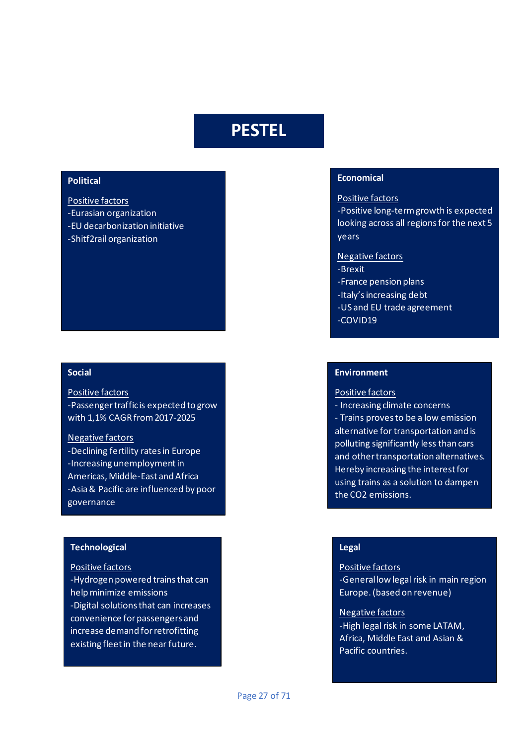# **PESTEL**

## **Political**

Positive factors -Eurasian organization -EU decarbonization initiative -Shitf2rail organization

#### **Social**

#### Positive factors

-Passenger traffic is expected to grow with 1,1% CAGR from 2017-2025

#### Negative factors

-Declining fertility rates in Europe -Increasing unemployment in Americas, Middle-East and Africa -Asia & Pacific are influenced by poor governance

## **Technological**

#### Positive factors

-Hydrogen powered trains that can help minimize emissions -Digital solutions that can increases convenience for passengers and increase demand for retrofitting existing fleet in the near future.

#### **Economical**

#### Positive factors

-Positive long-term growth is expected looking across all regions for the next 5 years

#### Negative factors

- -Brexit
- -France pension plans
- -Italy's increasing debt
- -US and EU trade agreement
- -COVID19

## **Environment**

#### Positive factors

- Increasing climate concerns

- Trains proves to be a low emission alternative for transportation and is polluting significantly less than cars and other transportation alternatives. Hereby increasing the interest for using trains as a solution to dampen the CO2 emissions.

#### **Legal**

# Positive factors -General low legal risk in main region Europe. (based on revenue)

#### Negative factors

-High legal risk in some LATAM, Africa, Middle East and Asian & Pacific countries.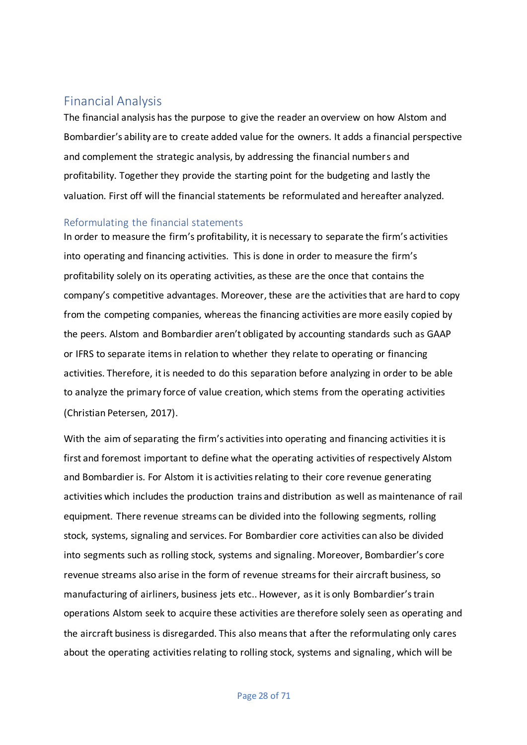# <span id="page-28-0"></span>Financial Analysis

The financial analysis has the purpose to give the reader an overview on how Alstom and Bombardier's ability are to create added value for the owners. It adds a financial perspective and complement the strategic analysis, by addressing the financial numbers and profitability. Together they provide the starting point for the budgeting and lastly the valuation. First off will the financial statements be reformulated and hereafter analyzed.

# <span id="page-28-1"></span>Reformulating the financial statements

In order to measure the firm's profitability, it is necessary to separate the firm's activities into operating and financing activities. This is done in order to measure the firm's profitability solely on its operating activities, as these are the once that contains the company's competitive advantages. Moreover, these are the activities that are hard to copy from the competing companies, whereas the financing activities are more easily copied by the peers. Alstom and Bombardier aren't obligated by accounting standards such as GAAP or IFRS to separate items in relation to whether they relate to operating or financing activities. Therefore, it is needed to do this separation before analyzing in order to be able to analyze the primary force of value creation, which stems from the operating activities (Christian Petersen, 2017).

With the aim of separating the firm's activities into operating and financing activities it is first and foremost important to define what the operating activities of respectively Alstom and Bombardier is. For Alstom it is activities relating to their core revenue generating activities which includes the production trains and distribution as well as maintenance of rail equipment. There revenue streams can be divided into the following segments, rolling stock, systems, signaling and services. For Bombardier core activities can also be divided into segments such as rolling stock, systems and signaling. Moreover, Bombardier's core revenue streams also arise in the form of revenue streams for their aircraft business, so manufacturing of airliners, business jets etc.. However, as it is only Bombardier's train operations Alstom seek to acquire these activities are therefore solely seen as operating and the aircraft business is disregarded. This also means that after the reformulating only cares about the operating activities relating to rolling stock, systems and signaling, which will be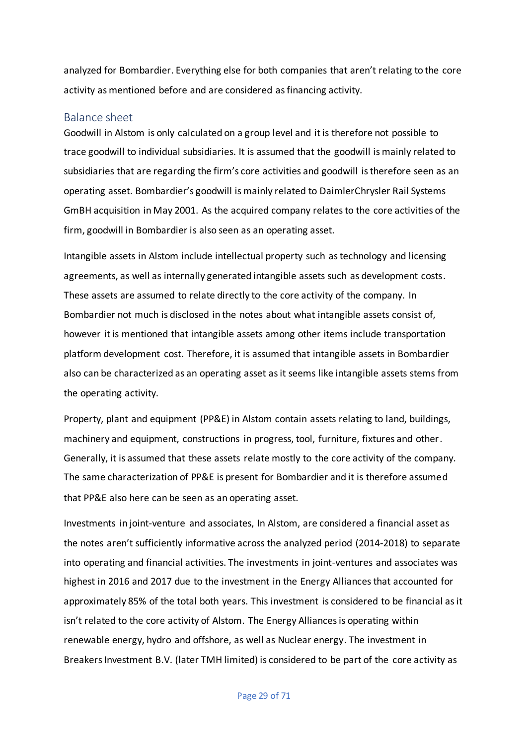analyzed for Bombardier. Everything else for both companies that aren't relating to the core activity as mentioned before and are considered as financing activity.

## <span id="page-29-0"></span>Balance sheet

Goodwill in Alstom is only calculated on a group level and it is therefore not possible to trace goodwill to individual subsidiaries. It is assumed that the goodwill is mainly related to subsidiaries that are regarding the firm's core activities and goodwill is therefore seen as an operating asset. Bombardier's goodwill is mainly related to DaimlerChrysler Rail Systems GmBH acquisition in May 2001. As the acquired company relates to the core activities of the firm, goodwill in Bombardier is also seen as an operating asset.

Intangible assets in Alstom include intellectual property such as technology and licensing agreements, as well as internally generated intangible assets such as development costs. These assets are assumed to relate directly to the core activity of the company. In Bombardier not much is disclosed in the notes about what intangible assets consist of, however it is mentioned that intangible assets among other items include transportation platform development cost. Therefore, it is assumed that intangible assets in Bombardier also can be characterized as an operating asset as it seems like intangible assets stems from the operating activity.

Property, plant and equipment (PP&E) in Alstom contain assets relating to land, buildings, machinery and equipment, constructions in progress, tool, furniture, fixtures and other. Generally, it is assumed that these assets relate mostly to the core activity of the company. The same characterization of PP&E is present for Bombardier and it is therefore assumed that PP&E also here can be seen as an operating asset.

Investments in joint-venture and associates, In Alstom, are considered a financial asset as the notes aren't sufficiently informative across the analyzed period (2014-2018) to separate into operating and financial activities. The investments in joint-ventures and associates was highest in 2016 and 2017 due to the investment in the Energy Alliancesthat accounted for approximately 85% of the total both years. This investment is considered to be financial as it isn't related to the core activity of Alstom. The Energy Alliances is operating within renewable energy, hydro and offshore, as well as Nuclear energy. The investment in Breakers Investment B.V. (later TMH limited) is considered to be part of the core activity as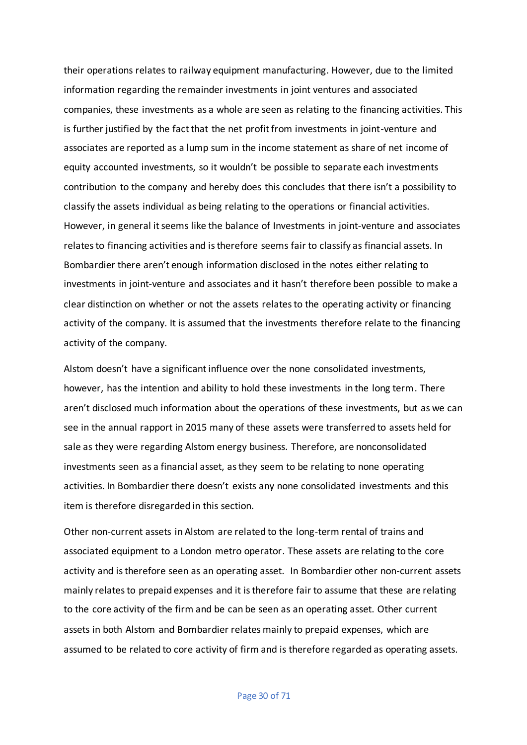their operations relates to railway equipment manufacturing. However, due to the limited information regarding the remainder investments in joint ventures and associated companies, these investments as a whole are seen as relating to the financing activities. This is further justified by the fact that the net profit from investments in joint-venture and associates are reported as a lump sum in the income statement as share of net income of equity accounted investments, so it wouldn't be possible to separate each investments contribution to the company and hereby does this concludes that there isn't a possibility to classify the assets individual as being relating to the operations or financial activities. However, in general it seems like the balance of Investments in joint-venture and associates relates to financing activities and is therefore seems fair to classify as financial assets. In Bombardier there aren't enough information disclosed in the notes either relating to investments in joint-venture and associates and it hasn't therefore been possible to make a clear distinction on whether or not the assets relates to the operating activity or financing activity of the company. It is assumed that the investments therefore relate to the financing activity of the company.

Alstom doesn't have a significant influence over the none consolidated investments, however, has the intention and ability to hold these investments in the long term. There aren't disclosed much information about the operations of these investments, but as we can see in the annual rapport in 2015 many of these assets were transferred to assets held for sale as they were regarding Alstom energy business. Therefore, are nonconsolidated investments seen as a financial asset, as they seem to be relating to none operating activities. In Bombardier there doesn't exists any none consolidated investments and this item is therefore disregarded in this section.

Other non-current assets in Alstom are related to the long-term rental of trains and associated equipment to a London metro operator. These assets are relating to the core activity and is therefore seen as an operating asset. In Bombardier other non-current assets mainly relates to prepaid expenses and it is therefore fair to assume that these are relating to the core activity of the firm and be can be seen as an operating asset. Other current assets in both Alstom and Bombardier relates mainly to prepaid expenses, which are assumed to be related to core activity of firm and is therefore regarded as operating assets.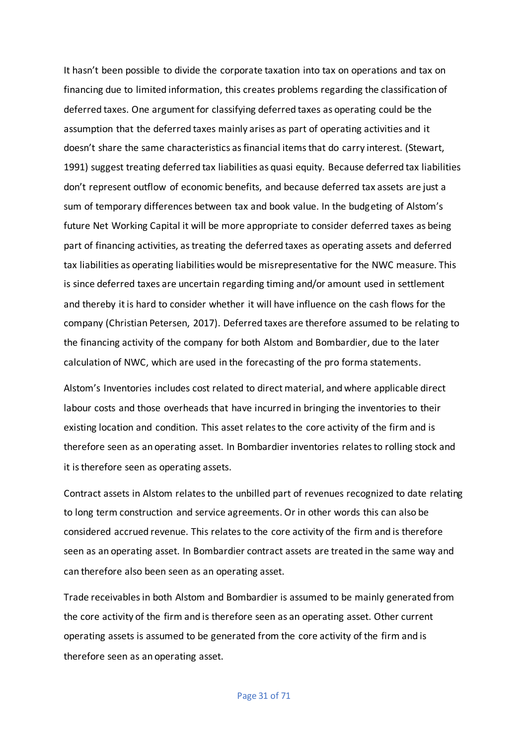It hasn't been possible to divide the corporate taxation into tax on operations and tax on financing due to limited information, this creates problems regarding the classification of deferred taxes. One argument for classifying deferred taxes as operating could be the assumption that the deferred taxes mainly arises as part of operating activities and it doesn't share the same characteristics as financial items that do carry interest. (Stewart, 1991) suggest treating deferred tax liabilities as quasi equity. Because deferred tax liabilities don't represent outflow of economic benefits, and because deferred tax assets are just a sum of temporary differences between tax and book value. In the budgeting of Alstom's future Net Working Capital it will be more appropriate to consider deferred taxes as being part of financing activities, as treating the deferred taxes as operating assets and deferred tax liabilities as operating liabilities would be misrepresentative for the NWC measure. This is since deferred taxes are uncertain regarding timing and/or amount used in settlement and thereby it is hard to consider whether it will have influence on the cash flows for the company (Christian Petersen, 2017). Deferred taxes are therefore assumed to be relating to the financing activity of the company for both Alstom and Bombardier, due to the later calculation of NWC, which are used in the forecasting of the pro forma statements.

Alstom's Inventories includes cost related to direct material, and where applicable direct labour costs and those overheads that have incurred in bringing the inventories to their existing location and condition. This asset relates to the core activity of the firm and is therefore seen as an operating asset. In Bombardier inventories relates to rolling stock and it is therefore seen as operating assets.

Contract assets in Alstom relates to the unbilled part of revenues recognized to date relating to long term construction and service agreements. Or in other words this can also be considered accrued revenue. This relates to the core activity of the firm and is therefore seen as an operating asset. In Bombardier contract assets are treated in the same way and can therefore also been seen as an operating asset.

Trade receivablesin both Alstom and Bombardier is assumed to be mainly generated from the core activity of the firm and is therefore seen as an operating asset. Other current operating assets is assumed to be generated from the core activity of the firm and is therefore seen as an operating asset.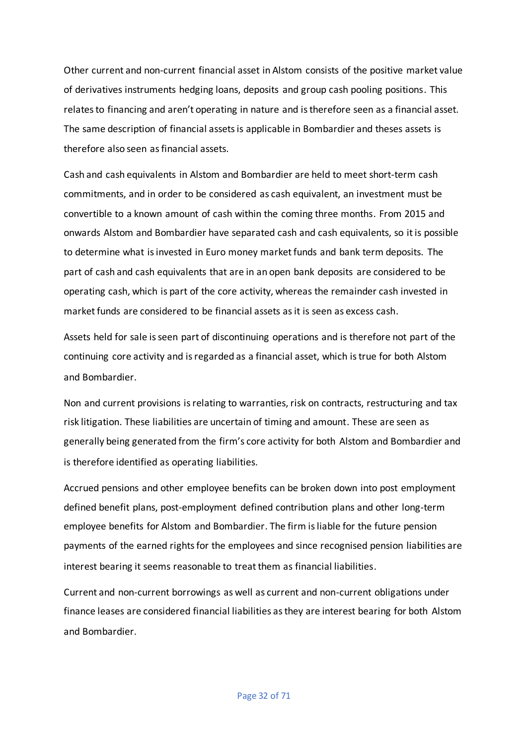Other current and non-current financial asset in Alstom consists of the positive market value of derivatives instruments hedging loans, deposits and group cash pooling positions. This relates to financing and aren't operating in nature and is therefore seen as a financial asset. The same description of financial assets is applicable in Bombardier and theses assets is therefore also seen as financial assets.

Cash and cash equivalents in Alstom and Bombardier are held to meet short-term cash commitments, and in order to be considered as cash equivalent, an investment must be convertible to a known amount of cash within the coming three months. From 2015 and onwards Alstom and Bombardier have separated cash and cash equivalents, so it is possible to determine what is invested in Euro money market funds and bank term deposits. The part of cash and cash equivalents that are in an open bank deposits are considered to be operating cash, which is part of the core activity, whereas the remainder cash invested in market funds are considered to be financial assets as it is seen as excess cash.

Assets held for sale is seen part of discontinuing operations and is therefore not part of the continuing core activity and is regarded as a financial asset, which is true for both Alstom and Bombardier.

Non and current provisions is relating to warranties, risk on contracts, restructuring and tax risk litigation. These liabilities are uncertain of timing and amount. These are seen as generally being generated from the firm's core activity for both Alstom and Bombardier and is therefore identified as operating liabilities.

Accrued pensions and other employee benefits can be broken down into post employment defined benefit plans, post-employment defined contribution plans and other long-term employee benefits for Alstom and Bombardier. The firm is liable for the future pension payments of the earned rights for the employees and since recognised pension liabilities are interest bearing it seems reasonable to treat them as financial liabilities.

Current and non-current borrowings as well as current and non-current obligations under finance leases are considered financial liabilities as they are interest bearing for both Alstom and Bombardier.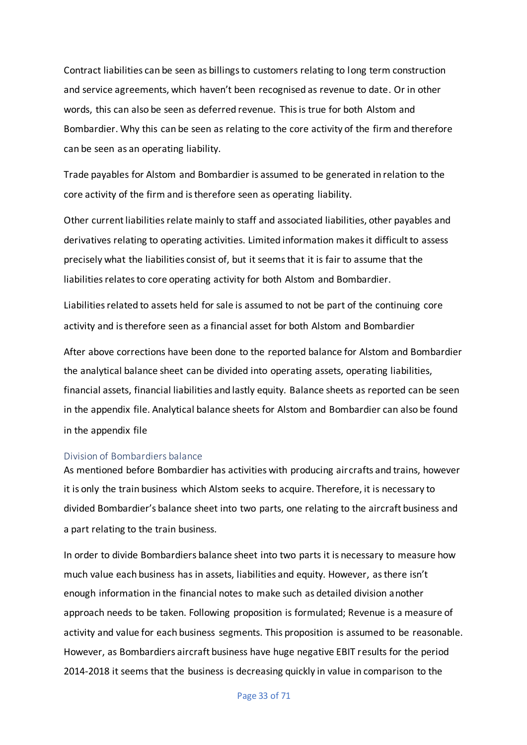Contract liabilities can be seen as billings to customers relating to long term construction and service agreements, which haven't been recognised as revenue to date. Or in other words, this can also be seen as deferred revenue. This is true for both Alstom and Bombardier. Why this can be seen as relating to the core activity of the firm and therefore can be seen as an operating liability.

Trade payables for Alstom and Bombardier is assumed to be generated in relation to the core activity of the firm and is therefore seen as operating liability.

Other current liabilities relate mainly to staff and associated liabilities, other payables and derivatives relating to operating activities. Limited information makes it difficult to assess precisely what the liabilities consist of, but it seems that it is fair to assume that the liabilities relates to core operating activity for both Alstom and Bombardier.

Liabilities related to assets held for sale is assumed to not be part of the continuing core activity and is therefore seen as a financial asset for both Alstom and Bombardier

After above corrections have been done to the reported balance for Alstom and Bombardier the analytical balance sheet can be divided into operating assets, operating liabilities, financial assets, financial liabilities and lastly equity. Balance sheets as reported can be seen in the appendix file. Analytical balance sheets for Alstom and Bombardier can also be found in the appendix file

#### <span id="page-33-0"></span>Division of Bombardiers balance

As mentioned before Bombardier has activities with producing aircrafts and trains, however it is only the train business which Alstom seeks to acquire. Therefore, it is necessary to divided Bombardier's balance sheet into two parts, one relating to the aircraft business and a part relating to the train business.

In order to divide Bombardiers balance sheet into two parts it is necessary to measure how much value each business has in assets, liabilities and equity. However, as there isn't enough information in the financial notes to make such as detailed division another approach needs to be taken. Following proposition is formulated; Revenue is a measure of activity and value for each business segments. This proposition is assumed to be reasonable. However, as Bombardiers aircraft business have huge negative EBIT results for the period 2014-2018 it seems that the business is decreasing quickly in value in comparison to the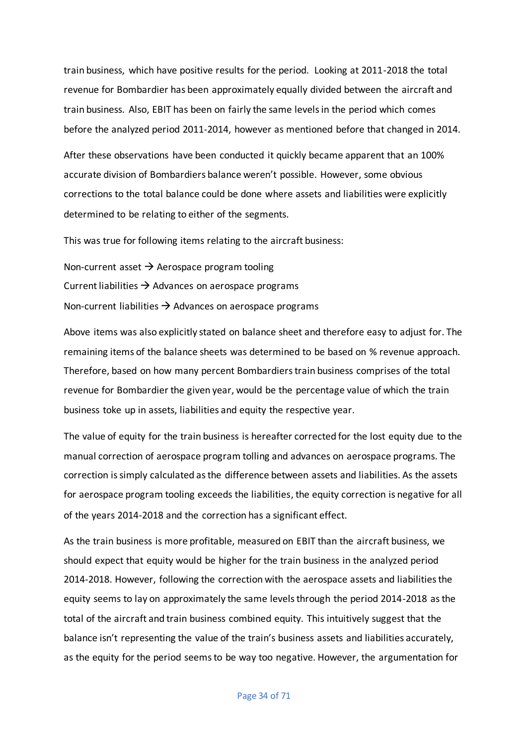train business, which have positive results for the period. Looking at 2011-2018 the total revenue for Bombardier has been approximately equally divided between the aircraft and train business. Also, EBIT has been on fairly the same levels in the period which comes before the analyzed period 2011-2014, however as mentioned before that changed in 2014.

After these observations have been conducted it quickly became apparent that an 100% accurate division of Bombardiers balance weren't possible. However, some obvious corrections to the total balance could be done where assets and liabilities were explicitly determined to be relating to either of the segments.

This was true for following items relating to the aircraft business:

Non-current asset  $\rightarrow$  Aerospace program tooling Current liabilities  $\rightarrow$  Advances on aerospace programs Non-current liabilities  $\rightarrow$  Advances on aerospace programs

Above items was also explicitly stated on balance sheet and therefore easy to adjust for. The remaining items of the balance sheets was determined to be based on % revenue approach. Therefore, based on how many percent Bombardiers train business comprises of the total revenue for Bombardier the given year, would be the percentage value of which the train business toke up in assets, liabilities and equity the respective year.

The value of equity for the train business is hereafter corrected for the lost equity due to the manual correction of aerospace program tolling and advances on aerospace programs. The correction is simply calculated as the difference between assets and liabilities. As the assets for aerospace program tooling exceeds the liabilities, the equity correction is negative for all of the years 2014-2018 and the correction has a significant effect.

As the train business is more profitable, measured on EBIT than the aircraft business, we should expect that equity would be higher for the train business in the analyzed period 2014-2018. However, following the correction with the aerospace assets and liabilities the equity seems to lay on approximately the same levels through the period 2014-2018 as the total of the aircraft and train business combined equity. This intuitively suggest that the balance isn't representing the value of the train's business assets and liabilities accurately, as the equity for the period seems to be way too negative. However, the argumentation for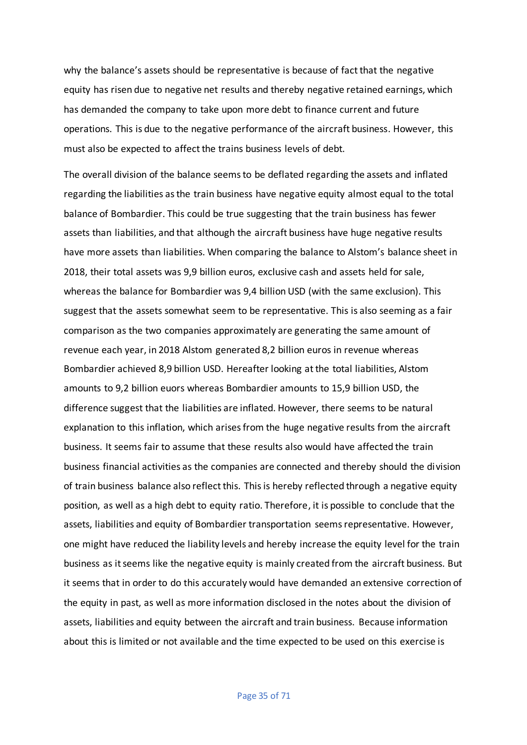why the balance's assets should be representative is because of fact that the negative equity has risen due to negative net results and thereby negative retained earnings, which has demanded the company to take upon more debt to finance current and future operations. This is due to the negative performance of the aircraft business. However, this must also be expected to affect the trains business levels of debt.

The overall division of the balance seems to be deflated regarding the assets and inflated regarding the liabilities as the train business have negative equity almost equal to the total balance of Bombardier. This could be true suggesting that the train business has fewer assets than liabilities, and that although the aircraft business have huge negative results have more assets than liabilities. When comparing the balance to Alstom's balance sheet in 2018, their total assets was 9,9 billion euros, exclusive cash and assets held for sale, whereas the balance for Bombardier was 9,4 billion USD (with the same exclusion). This suggest that the assets somewhat seem to be representative. This is also seeming as a fair comparison as the two companies approximately are generating the same amount of revenue each year, in 2018 Alstom generated 8,2 billion euros in revenue whereas Bombardier achieved 8,9 billion USD. Hereafter looking at the total liabilities, Alstom amounts to 9,2 billion euors whereas Bombardier amounts to 15,9 billion USD, the difference suggest that the liabilities are inflated. However, there seems to be natural explanation to this inflation, which arises from the huge negative results from the aircraft business. It seems fair to assume that these results also would have affected the train business financial activities as the companies are connected and thereby should the division of train business balance also reflect this. This is hereby reflected through a negative equity position, as well as a high debt to equity ratio. Therefore, it is possible to conclude that the assets, liabilities and equity of Bombardier transportation seems representative. However, one might have reduced the liability levels and hereby increase the equity level for the train business as it seems like the negative equity is mainly created from the aircraft business. But it seems that in order to do this accurately would have demanded an extensive correction of the equity in past, as well as more information disclosed in the notes about the division of assets, liabilities and equity between the aircraft and train business. Because information about this is limited or not available and the time expected to be used on this exercise is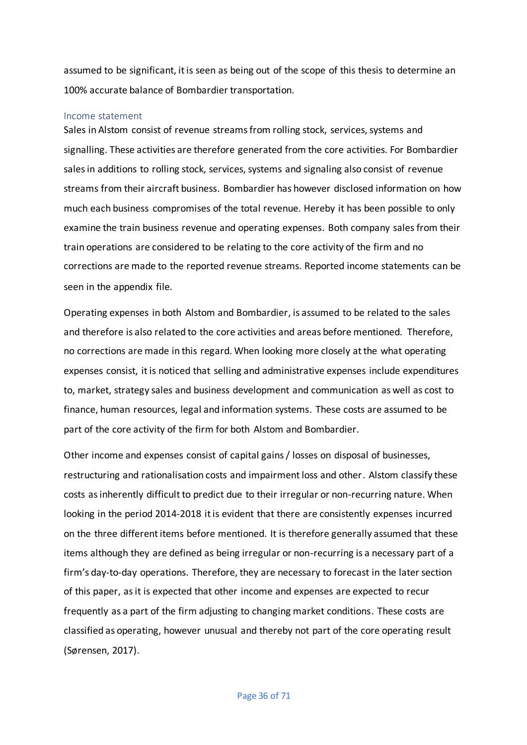assumed to be significant, it is seen as being out of the scope of this thesis to determine an 100% accurate balance of Bombardier transportation.

#### Income statement

Sales in Alstom consist of revenue streams from rolling stock, services, systems and signalling. These activities are therefore generated from the core activities. For Bombardier sales in additions to rolling stock, services, systems and signaling also consist of revenue streams from their aircraft business. Bombardier has however disclosed information on how much each business compromises of the total revenue. Hereby it has been possible to only examine the train business revenue and operating expenses. Both company sales from their train operations are considered to be relating to the core activity of the firm and no corrections are made to the reported revenue streams. Reported income statements can be seen in the appendix file.

Operating expenses in both Alstom and Bombardier, is assumed to be related to the sales and therefore is also related to the core activities and areas before mentioned. Therefore, no corrections are made in this regard. When looking more closely at the what operating expenses consist, it is noticed that selling and administrative expenses include expenditures to, market, strategy sales and business development and communication as well as cost to finance, human resources, legal and information systems. These costs are assumed to be part of the core activity of the firm for both Alstom and Bombardier.

Other income and expenses consist of capital gains / losses on disposal of businesses, restructuring and rationalisation costs and impairment loss and other. Alstom classify these costs as inherently difficult to predict due to their irregular or non-recurring nature. When looking in the period 2014-2018 it is evident that there are consistently expenses incurred on the three different items before mentioned. It is therefore generally assumed that these items although they are defined as being irregular or non-recurring is a necessary part of a firm's day-to-day operations. Therefore, they are necessary to forecast in the later section of this paper, as it is expected that other income and expenses are expected to recur frequently as a part of the firm adjusting to changing market conditions. These costs are classified as operating, however unusual and thereby not part of the core operating result (Sørensen, 2017).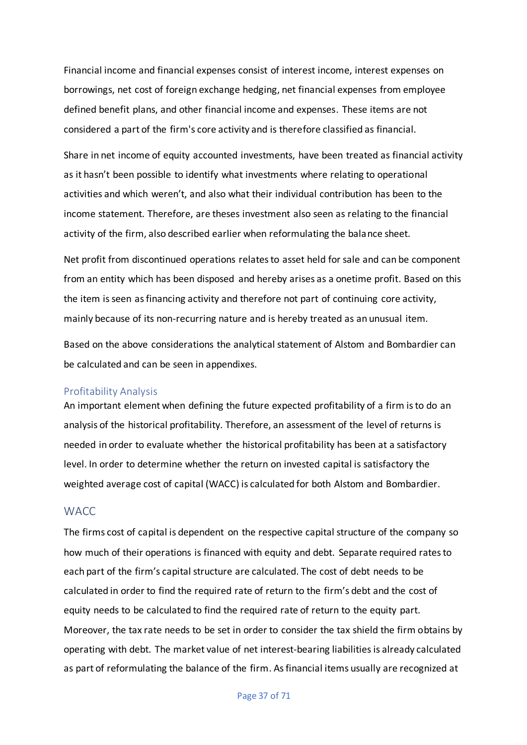Financial income and financial expenses consist of interest income, interest expenses on borrowings, net cost of foreign exchange hedging, net financial expenses from employee defined benefit plans, and other financial income and expenses. These items are not considered a part of the firm's core activity and is therefore classified as financial.

Share in net income of equity accounted investments, have been treated as financial activity as it hasn't been possible to identify what investments where relating to operational activities and which weren't, and also what their individual contribution has been to the income statement. Therefore, are theses investment also seen as relating to the financial activity of the firm, also described earlier when reformulating the balance sheet.

Net profit from discontinued operations relates to asset held for sale and can be component from an entity which has been disposed and hereby arises as a onetime profit. Based on this the item is seen as financing activity and therefore not part of continuing core activity, mainly because of its non-recurring nature and is hereby treated as an unusual item.

Based on the above considerations the analytical statement of Alstom and Bombardier can be calculated and can be seen in appendixes.

#### Profitability Analysis

An important element when defining the future expected profitability of a firm is to do an analysis of the historical profitability. Therefore, an assessment of the level of returns is needed in order to evaluate whether the historical profitability has been at a satisfactory level. In order to determine whether the return on invested capital is satisfactory the weighted average cost of capital (WACC) is calculated for both Alstom and Bombardier.

## **WACC**

The firms cost of capital is dependent on the respective capital structure of the company so how much of their operations is financed with equity and debt. Separate required rates to each part of the firm's capital structure are calculated. The cost of debt needs to be calculated in order to find the required rate of return to the firm's debt and the cost of equity needs to be calculated to find the required rate of return to the equity part. Moreover, the tax rate needs to be set in order to consider the tax shield the firm obtains by operating with debt. The market value of net interest-bearing liabilities is already calculated as part of reformulating the balance of the firm. As financial items usually are recognized at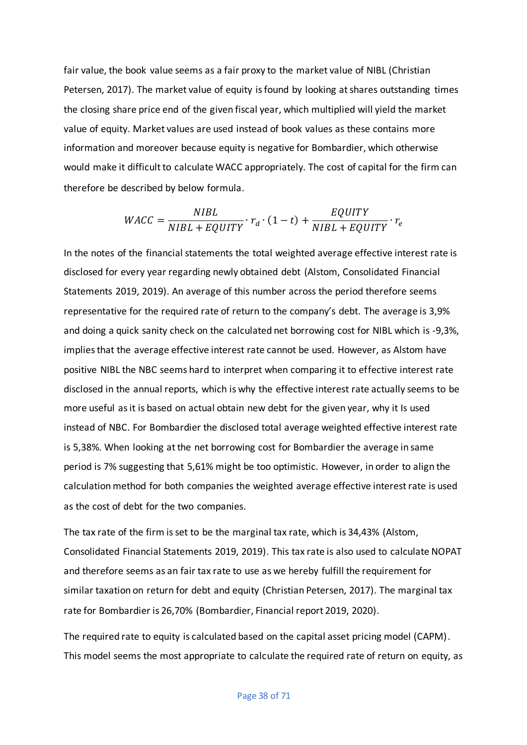fair value, the book value seems as a fair proxy to the market value of NIBL (Christian Petersen, 2017). The market value of equity is found by looking at shares outstanding times the closing share price end of the given fiscal year, which multiplied will yield the market value of equity. Market values are used instead of book values as these contains more information and moreover because equity is negative for Bombardier, which otherwise would make it difficult to calculate WACC appropriately. The cost of capital for the firm can therefore be described by below formula.

$$
WACC = \frac{NIBL}{NIBL + EQUITY} \cdot r_d \cdot (1 - t) + \frac{EQUITY}{NIBL + EQUITY} \cdot r_e
$$

In the notes of the financial statements the total weighted average effective interest rate is disclosed for every year regarding newly obtained debt (Alstom, Consolidated Financial Statements 2019, 2019). An average of this number across the period therefore seems representative for the required rate of return to the company's debt. The average is 3,9% and doing a quick sanity check on the calculated net borrowing cost for NIBL which is -9,3%, implies that the average effective interest rate cannot be used. However, as Alstom have positive NIBL the NBC seems hard to interpret when comparing it to effective interest rate disclosed in the annual reports, which is why the effective interest rate actually seems to be more useful as it is based on actual obtain new debt for the given year, why it Is used instead of NBC. For Bombardier the disclosed total average weighted effective interest rate is 5,38%. When looking at the net borrowing cost for Bombardier the average in same period is 7% suggesting that 5,61% might be too optimistic. However, in order to align the calculation method for both companies the weighted average effective interest rate is used as the cost of debt for the two companies.

The tax rate of the firm is set to be the marginal tax rate, which is 34,43% (Alstom, Consolidated Financial Statements 2019, 2019). This tax rate is also used to calculate NOPAT and therefore seems as an fair tax rate to use as we hereby fulfill the requirement for similar taxation on return for debt and equity (Christian Petersen, 2017). The marginal tax rate for Bombardier is 26,70% (Bombardier, Financial report 2019, 2020).

The required rate to equity is calculated based on the capital asset pricing model (CAPM). This model seems the most appropriate to calculate the required rate of return on equity, as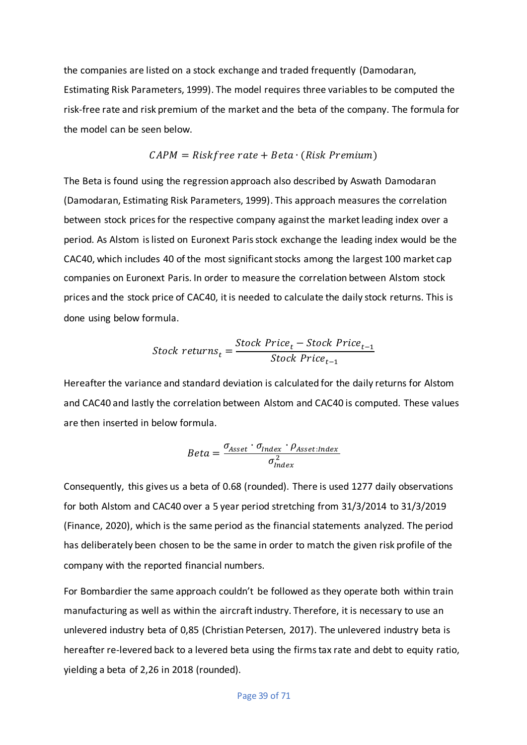the companies are listed on a stock exchange and traded frequently (Damodaran, Estimating Risk Parameters, 1999). The model requires three variables to be computed the risk-free rate and risk premium of the market and the beta of the company. The formula for the model can be seen below.

$$
CAPM = Riskfree\ rate + Beta\ (Risk\ Premium)
$$

The Beta is found using the regression approach also described by Aswath Damodaran (Damodaran, Estimating Risk Parameters, 1999). This approach measures the correlation between stock pricesfor the respective company against the market leading index over a period. As Alstom is listed on Euronext Paris stock exchange the leading index would be the CAC40, which includes 40 of the most significant stocks among the largest 100 market cap companies on Euronext Paris. In order to measure the correlation between Alstom stock prices and the stock price of CAC40, it is needed to calculate the daily stock returns. This is done using below formula.

$$
Stock\ returns_{t} = \frac{Stock\ Price_{t} - Stock\ Price_{t-1}}{Stock\ Price_{t-1}}
$$

Hereafter the variance and standard deviation is calculated for the daily returns for Alstom and CAC40 and lastly the correlation between Alstom and CAC40 is computed. These values are then inserted in below formula.

$$
Beta = \frac{\sigma_{Asset} \cdot \sigma_{Index} \cdot \rho_{Asset:Index}}{\sigma_{Index}^2}
$$

Consequently, this gives us a beta of 0.68 (rounded). There is used 1277 daily observations for both Alstom and CAC40 over a 5 year period stretching from 31/3/2014 to 31/3/2019 (Finance, 2020), which is the same period as the financial statements analyzed. The period has deliberately been chosen to be the same in order to match the given risk profile of the company with the reported financial numbers.

For Bombardier the same approach couldn't be followed as they operate both within train manufacturing as well as within the aircraft industry. Therefore, it is necessary to use an unlevered industry beta of 0,85 (Christian Petersen, 2017). The unlevered industry beta is hereafter re-levered back to a levered beta using the firms tax rate and debt to equity ratio, yielding a beta of 2,26 in 2018 (rounded).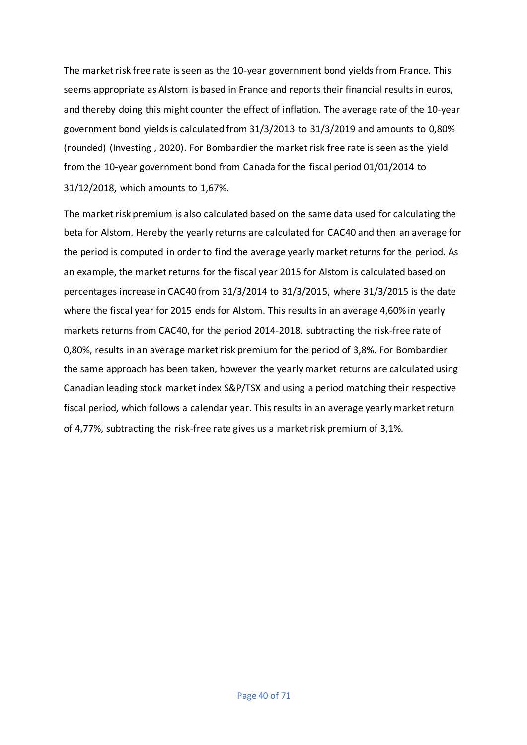The market risk free rate is seen as the 10-year government bond yields from France. This seems appropriate as Alstom is based in France and reports their financial results in euros, and thereby doing this might counter the effect of inflation. The average rate of the 10-year government bond yields is calculated from 31/3/2013 to 31/3/2019 and amounts to 0,80% (rounded) (Investing , 2020). For Bombardier the market risk free rate is seen as the yield from the 10-year government bond from Canada for the fiscal period 01/01/2014 to 31/12/2018, which amounts to 1,67%.

The market risk premium is also calculated based on the same data used for calculating the beta for Alstom. Hereby the yearly returns are calculated for CAC40 and then an average for the period is computed in order to find the average yearly market returns for the period. As an example, the market returns for the fiscal year 2015 for Alstom is calculated based on percentages increase in CAC40 from 31/3/2014 to 31/3/2015, where 31/3/2015 is the date where the fiscal year for 2015 ends for Alstom. This results in an average 4,60% in yearly markets returns from CAC40, for the period 2014-2018, subtracting the risk-free rate of 0,80%, results in an average market risk premium for the period of 3,8%. For Bombardier the same approach has been taken, however the yearly market returns are calculated using Canadian leading stock market index S&P/TSX and using a period matching their respective fiscal period, which follows a calendar year. This results in an average yearly market return of 4,77%, subtracting the risk-free rate gives us a market risk premium of 3,1%.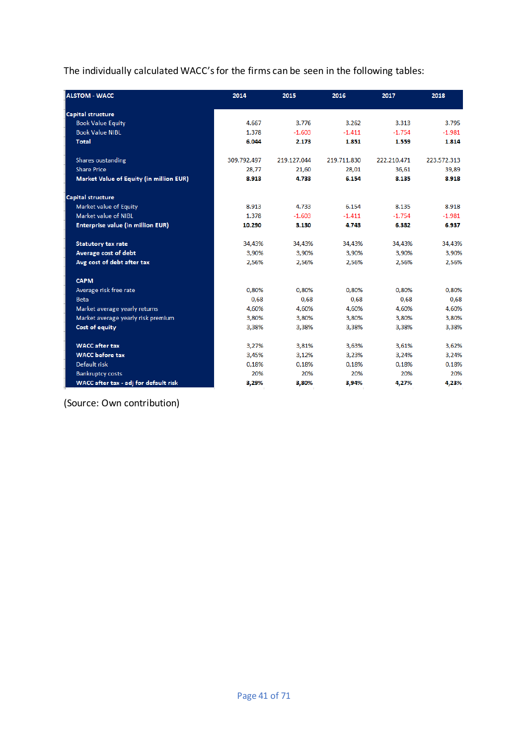The individually calculated WACC's for the firms can be seen in the following tables:

| <b>ALSTOM - WACC</b>                     | 2014        | 2015        | 2016        | 2017        | 2018        |
|------------------------------------------|-------------|-------------|-------------|-------------|-------------|
| <b>Capital structure</b>                 |             |             |             |             |             |
| <b>Book Value Equity</b>                 | 4.667       | 3.776       | 3.262       | 3.313       | 3.795       |
| <b>Book Value NIBL</b>                   | 1.378       | $-1.603$    | $-1.411$    | $-1.754$    | $-1.981$    |
| <b>Total</b>                             | 6.044       | 2.173       | 1.851       | 1.559       | 1.814       |
| Shares oustanding                        | 309.792.497 | 219.127.044 | 219.711.830 | 222.210.471 | 223.572.313 |
| <b>Share Price</b>                       | 28,77       | 21,60       | 28,01       | 36,61       | 39,89       |
| Market Value of Equity (in million EUR)  | 8.913       | 4.733       | 6.154       | 8.135       | 8.918       |
| <b>Capital structure</b>                 |             |             |             |             |             |
| Market value of Equity                   | 8.913       | 4.733       | 6.154       | 8.135       | 8.918       |
| Market value of NIBL                     | 1.378       | $-1.603$    | $-1.411$    | $-1.754$    | $-1.981$    |
| <b>Enterprise value (in million EUR)</b> | 10.290      | 3.130       | 4.743       | 6.382       | 6.937       |
| <b>Statutory tax rate</b>                | 34,43%      | 34,43%      | 34,43%      | 34,43%      | 34,43%      |
| Average cost of debt                     | 3,90%       | 3,90%       | 3,90%       | 3,90%       | 3,90%       |
| Avg cost of debt after tax               | 2,56%       | 2,56%       | 2,56%       | 2,56%       | 2,56%       |
| <b>CAPM</b>                              |             |             |             |             |             |
| Average risk free rate                   | 0.80%       | 0.80%       | 0.80%       | 0.80%       | 0.80%       |
| <b>Beta</b>                              | 0,68        | 0,68        | 0,68        | 0,68        | 0,68        |
| Market average yearly returns            | 4,60%       | 4,60%       | 4,60%       | 4,60%       | 4,60%       |
| Market average yearly risk premium       | 3.80%       | 3,80%       | 3.80%       | 3,80%       | 3,80%       |
| Cost of equity                           | 3,38%       | 3,38%       | 3,38%       | 3,38%       | 3,38%       |
| <b>WACC</b> after tax                    | 3,27%       | 3,81%       | 3,63%       | 3,61%       | 3,62%       |
| <b>WACC</b> before tax                   | 3,45%       | 3,12%       | 3,23%       | 3,24%       | 3,24%       |
| Default risk                             | 0,18%       | 0,18%       | 0,18%       | 0,18%       | 0,18%       |
| <b>Bankruptcy costs</b>                  | 20%         | 20%         | 20%         | 20%         | 20%         |
| WACC after tax - adj for default risk    | 3,29%       | 3,80%       | 3,94%       | 4,27%       | 4,23%       |

(Source: Own contribution)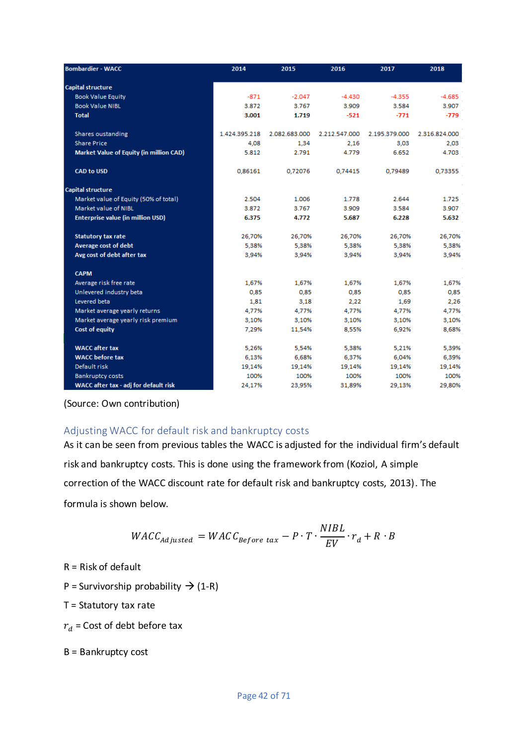| <b>Bombardier - WACC</b>                 | 2014          | 2015          | 2016          | 2017          | 2018          |
|------------------------------------------|---------------|---------------|---------------|---------------|---------------|
| <b>Capital structure</b>                 |               |               |               |               |               |
| <b>Book Value Equity</b>                 | $-871$        | $-2.047$      | $-4.430$      | $-4.355$      | $-4.685$      |
| <b>Book Value NIBL</b>                   | 3.872         | 3.767         | 3.909         | 3.584         | 3.907         |
| <b>Total</b>                             | 3.001         | 1.719         | $-521$        | $-771$        | $-779$        |
| <b>Shares oustanding</b>                 | 1.424.395.218 | 2.082.683.000 | 2.212.547.000 | 2.195.379.000 | 2.316.824.000 |
| <b>Share Price</b>                       | 4,08          | 1,34          | 2.16          | 3,03          | 2,03          |
| Market Value of Equity (in million CAD)  | 5.812         | 2.791         | 4.779         | 6.652         | 4.703         |
| <b>CAD to USD</b>                        | 0,86161       | 0,72076       | 0.74415       | 0,79489       | 0,73355       |
| <b>Capital structure</b>                 |               |               |               |               |               |
| Market value of Equity (50% of total)    | 2.504         | 1.006         | 1.778         | 2.644         | 1.725         |
| Market value of NIBL                     | 3.872         | 3.767         | 3.909         | 3.584         | 3.907         |
| <b>Enterprise value (in million USD)</b> | 6.375         | 4.772         | 5.687         | 6.228         | 5.632         |
| <b>Statutory tax rate</b>                | 26.70%        | 26,70%        | 26.70%        | 26,70%        | 26.70%        |
| Average cost of debt                     | 5,38%         | 5,38%         | 5,38%         | 5,38%         | 5,38%         |
| Avg cost of debt after tax               | 3.94%         | 3,94%         | 3,94%         | 3,94%         | 3,94%         |
| <b>CAPM</b>                              |               |               |               |               |               |
| Average risk free rate                   | 1,67%         | 1,67%         | 1,67%         | 1,67%         | 1,67%         |
| Unlevered industry beta                  | 0,85          | 0,85          | 0,85          | 0,85          | 0,85          |
| Levered beta                             | 1.81          | 3,18          | 2,22          | 1.69          | 2,26          |
| Market average yearly returns            | 4,77%         | 4,77%         | 4,77%         | 4,77%         | 4,77%         |
| Market average yearly risk premium       | 3,10%         | 3,10%         | 3,10%         | 3,10%         | 3,10%         |
| Cost of equity                           | 7,29%         | 11,54%        | 8,55%         | 6,92%         | 8,68%         |
| <b>WACC</b> after tax                    | 5,26%         | 5,54%         | 5,38%         | 5,21%         | 5,39%         |
| <b>WACC</b> before tax                   | 6,13%         | 6.68%         | 6,37%         | 6,04%         | 6,39%         |
| Default risk                             | 19,14%        | 19,14%        | 19,14%        | 19,14%        | 19,14%        |
| <b>Bankruptcy costs</b>                  | 100%          | 100%          | 100%          | 100%          | 100%          |
| WACC after tax - adj for default risk    | 24,17%        | 23,95%        | 31,89%        | 29,13%        | 29,80%        |

(Source: Own contribution)

## Adjusting WACC for default risk and bankruptcy costs

As it can be seen from previous tables the WACC is adjusted for the individual firm's default risk and bankruptcy costs. This is done using the framework from (Koziol, A simple correction of the WACC discount rate for default risk and bankruptcy costs, 2013). The formula is shown below.

$$
WACC_{adjusted} = WACC_{Before\ tax} - P \cdot T \cdot \frac{NIBL}{EV} \cdot r_d + R \cdot B
$$

R = Risk of default

P = Survivorship probability  $\rightarrow$  (1-R)

 $T =$  Statutory tax rate

 $r_d$  = Cost of debt before tax

B = Bankruptcy cost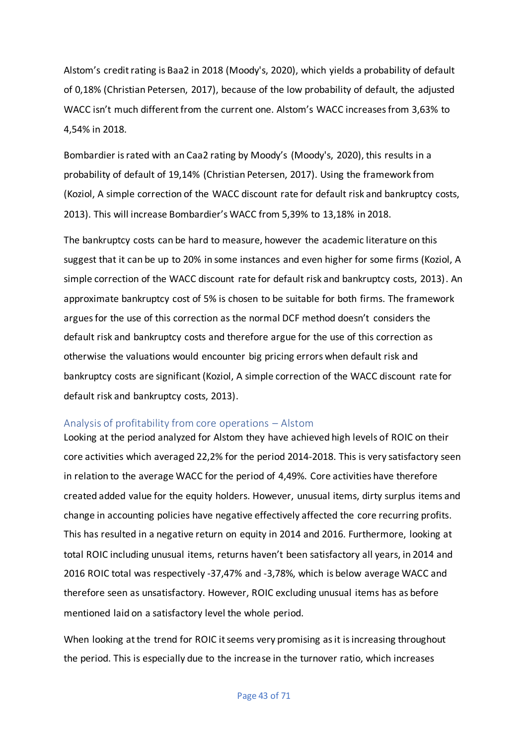Alstom's credit rating is Baa2 in 2018 (Moody's, 2020), which yields a probability of default of 0,18% (Christian Petersen, 2017), because of the low probability of default, the adjusted WACC isn't much different from the current one. Alstom's WACC increases from 3,63% to 4,54% in 2018.

Bombardier is rated with an Caa2 rating by Moody's (Moody's, 2020), this results in a probability of default of 19,14% (Christian Petersen, 2017). Using the framework from (Koziol, A simple correction of the WACC discount rate for default risk and bankruptcy costs, 2013). This will increase Bombardier's WACC from 5,39% to 13,18% in 2018.

The bankruptcy costs can be hard to measure, however the academic literature on this suggest that it can be up to 20% in some instances and even higher for some firms (Koziol, A simple correction of the WACC discount rate for default risk and bankruptcy costs, 2013). An approximate bankruptcy cost of 5% is chosen to be suitable for both firms. The framework argues for the use of this correction as the normal DCF method doesn't considers the default risk and bankruptcy costs and therefore argue for the use of this correction as otherwise the valuations would encounter big pricing errors when default risk and bankruptcy costs are significant (Koziol, A simple correction of the WACC discount rate for default risk and bankruptcy costs, 2013).

### Analysis of profitability from core operations – Alstom

Looking at the period analyzed for Alstom they have achieved high levels of ROIC on their core activities which averaged 22,2% for the period 2014-2018. This is very satisfactory seen in relation to the average WACC for the period of 4,49%. Core activities have therefore created added value for the equity holders. However, unusual items, dirty surplus items and change in accounting policies have negative effectively affected the core recurring profits. This has resulted in a negative return on equity in 2014 and 2016. Furthermore, looking at total ROIC including unusual items, returns haven't been satisfactory all years, in 2014 and 2016 ROIC total was respectively -37,47% and -3,78%, which is below average WACC and therefore seen as unsatisfactory. However, ROIC excluding unusual items has as before mentioned laid on a satisfactory level the whole period.

When looking at the trend for ROIC it seems very promising as it is increasing throughout the period. This is especially due to the increase in the turnover ratio, which increases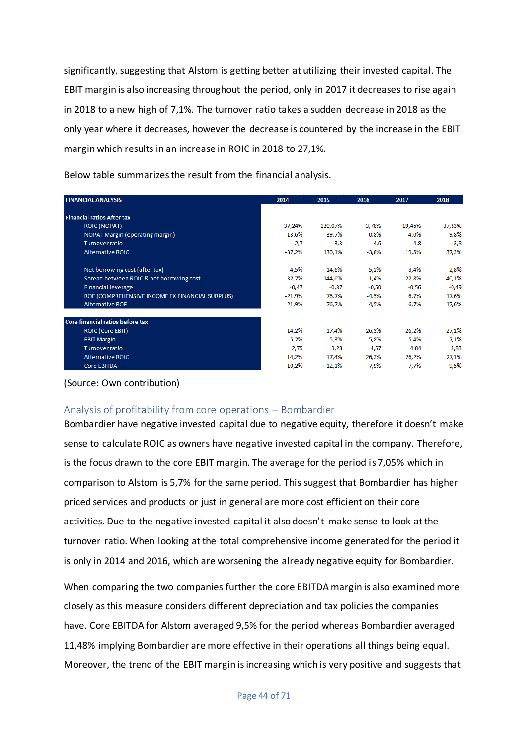significantly, suggesting that Alstom is getting better at utilizing their invested capital. The EBIT margin is also increasing throughout the period, only in 2017 it decreases to rise again in 2018 to a new high of 7,1%. The turnover ratio takes a sudden decrease in 2018 as the only year where it decreases, however the decrease is countered by the increase in the EBIT margin which results in an increase in ROIC in 2018 to 27,1%.

Below table summarizes the result from the financial analysis.

| <b>FINANCIAL ANALYSIS</b>                       | 2014      | 2015     | 2016     | 2017    | 2018    |
|-------------------------------------------------|-----------|----------|----------|---------|---------|
| <b>Financial ratios After tax</b>               |           |          |          |         |         |
| <b>ROIC (NOPAT)</b>                             | $-37,24%$ | 130,07%  | $-3,78%$ | 19,46%  | 37,33%  |
| <b>NOPAT Margin (operating margin)</b>          | $-13,6%$  | 39,7%    | $-0.8%$  | 4,0%    | 9,8%    |
| <b>Turnover ratio</b>                           | 2.7       | 3.3      | 4,6      | 4,8     | 3,8     |
| <b>Alternative ROIC</b>                         | $-37,2%$  | 130,1%   | $-3,8%$  | 19,5%   | 37,3%   |
| Net borrowing cost (after tax)                  | $-4,5%$   | $-14,6%$ | $-5,2%$  | $-3,4%$ | $-2,8%$ |
| Spread between ROIC & net borrowing cost        | -32,7%    | 144,6%   | 1,4%     | 22,8%   | 40,1%   |
| <b>Financial leverage</b>                       | $-0,47$   | $-0,37$  | $-0,50$  | $-0,56$ | $-0,49$ |
| ROE (COMPREHENSIVE INCOME EX FINANCIAL SURPLUS) | $-21,9%$  | 76,7%    | -4,5%    | 6,7%    | 17,6%   |
| <b>Alternative ROE</b>                          | $-21.9%$  | 76,7%    | $-4,5%$  | 6.7%    | 17,6%   |
| Core financial ratios before tax                |           |          |          |         |         |
| <b>ROIC (Core EBIT)</b>                         | 14,2%     | 17,4%    | 26,3%    | 26,2%   | 27,1%   |
| <b>EBIT Margin</b>                              | 5,2%      | 5,3%     | 5,8%     | 5,4%    | 7,1%    |
| <b>Turnover ratio</b>                           | 2,75      | 3,28     | 4,57     | 4,84    | 3,83    |
| <b>Alternative ROIC</b>                         | 14,2%     | 17,4%    | 26,3%    | 26,2%   | 27,1%   |
| <b>Core EBITDA</b>                              | 10,2%     | 12,1%    | 7,9%     | 7,7%    | 9,5%    |

(Source: Own contribution)

## Analysis of profitability from core operations – Bombardier

Bombardier have negative invested capital due to negative equity, therefore it doesn't make sense to calculate ROIC as owners have negative invested capital in the company. Therefore, is the focus drawn to the core EBIT margin. The average for the period is 7,05% which in comparison to Alstom is 5,7% for the same period. This suggest that Bombardier has higher priced services and products or just in general are more cost efficient on their core activities. Due to the negative invested capital it also doesn't make sense to look at the turnover ratio. When looking at the total comprehensive income generated for the period it is only in 2014 and 2016, which are worsening the already negative equity for Bombardier.

When comparing the two companies further the core EBITDA margin is also examined more closely as this measure considers different depreciation and tax policies the companies have. Core EBITDA for Alstom averaged 9,5% for the period whereas Bombardier averaged 11,48% implying Bombardier are more effective in their operations all things being equal. Moreover, the trend of the EBIT margin is increasing which is very positive and suggests that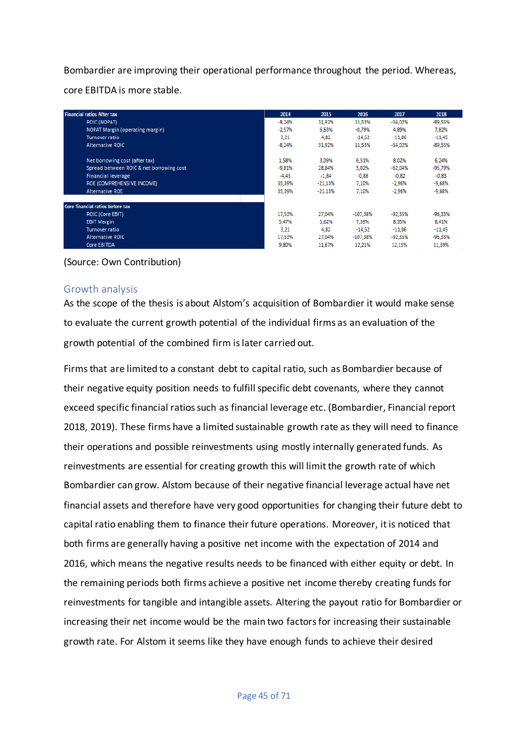Bombardier are improving their operational performance throughout the period. Whereas, core EBITDA is more stable.

| <b>Financial ratios After tax</b>        | 2014     | 2015      | 2016       | 2017      | 2018      |
|------------------------------------------|----------|-----------|------------|-----------|-----------|
| <b>ROIC (NOPAT)</b>                      | $-8,24%$ | 31,92%    | 11,53%     | $-54.02%$ | $-89,55%$ |
| NOPAT Margin (operating margin)          | $-2.57%$ | 6.63%     | $-0.79%$   | 4,89%     | 7,82%     |
| <b>Turnover ratio</b>                    | 3,21     | 4,82      | $-14,52$   | $-11.06$  | $-11.45$  |
| <b>Alternative ROIC</b>                  | $-8.24%$ | 31.92%    | 11.53%     | $-54.02%$ | $-89,55%$ |
| Net borrowing cost (after tax)           | 1,58%    | 3.09%     | 6,51%      | 8.02%     | 6.24%     |
| Spread between ROIC & net borrowing cost | $-9,81%$ | 28.84%    | 5,02%      | $-62,04%$ | $-95,79%$ |
| <b>Financial leverage</b>                | $-4,45$  | $-1,84$   | $-0,88$    | $-0,82$   | $-0,83$   |
| ROE (COMPREHENSIVE INCOME)               | 35,39%   | $-21,13%$ | 7,10%      | $-2,96%$  | $-9,68%$  |
| <b>Alternative ROE</b>                   | 35,39%   | $-21,13%$ | 7,10%      | $-2,96%$  | $-9,68%$  |
| Core financial ratios before tax         |          |           |            |           |           |
| ROIC (Core EBIT)                         | 17,53%   | 27,04%    | $-107,38%$ | $-92,35%$ | $-96,33%$ |
| <b>EBIT Margin</b>                       | 5,47%    | 5,62%     | 7,39%      | 8,35%     | 8,41%     |
| <b>Turnover ratio</b>                    | 3,21     | 4,82      | $-14.52$   | $-11,06$  | $-11.45$  |
| <b>Alternative ROIC</b>                  | 17,53%   | 27.04%    | $-107,38%$ | $-92,35%$ | $-96,33%$ |
| Core EBITDA                              | 9.80%    | 11.67%    | 12,21%     | 12,15%    | 11.59%    |

(Source: Own Contribution)

## Growth analysis

As the scope of the thesis is about Alstom's acquisition of Bombardier it would make sense to evaluate the current growth potential of the individual firms as an evaluation of the growth potential of the combined firm islater carried out.

Firms that are limited to a constant debt to capital ratio, such as Bombardier because of their negative equity position needs to fulfill specific debt covenants, where they cannot exceed specific financial ratios such as financial leverage etc. (Bombardier, Financial report 2018, 2019). These firms have a limited sustainable growth rate as they will need to finance their operations and possible reinvestments using mostly internally generated funds. As reinvestments are essential for creating growth this will limit the growth rate of which Bombardier can grow. Alstom because of their negative financial leverage actual have net financial assets and therefore have very good opportunities for changing their future debt to capital ratio enabling them to finance their future operations. Moreover, it is noticed that both firms are generally having a positive net income with the expectation of 2014 and 2016, which means the negative results needs to be financed with either equity or debt. In the remaining periods both firms achieve a positive net income thereby creating funds for reinvestments for tangible and intangible assets. Altering the payout ratio for Bombardier or increasing their net income would be the main two factors for increasing their sustainable growth rate. For Alstom it seems like they have enough funds to achieve their desired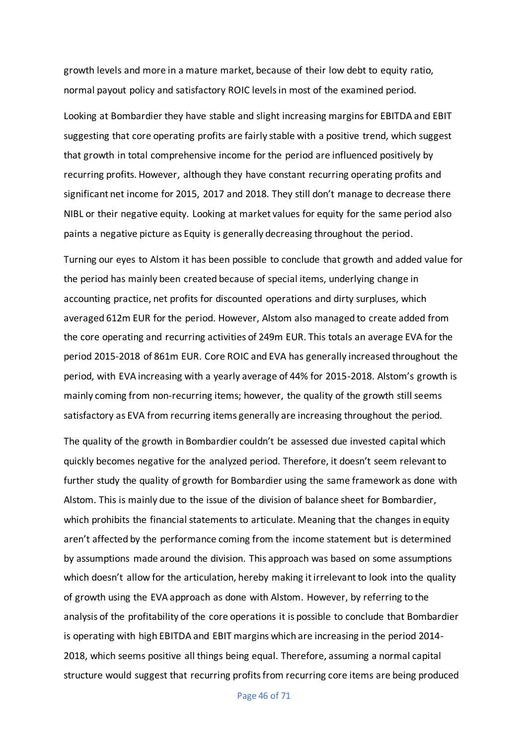growth levels and more in a mature market, because of their low debt to equity ratio, normal payout policy and satisfactory ROIC levels in most of the examined period.

Looking at Bombardier they have stable and slight increasing margins for EBITDA and EBIT suggesting that core operating profits are fairly stable with a positive trend, which suggest that growth in total comprehensive income for the period are influenced positively by recurring profits. However, although they have constant recurring operating profits and significant net income for 2015, 2017 and 2018. They still don't manage to decrease there NIBL or their negative equity. Looking at market values for equity for the same period also paints a negative picture as Equity is generally decreasing throughout the period.

Turning our eyes to Alstom it has been possible to conclude that growth and added value for the period has mainly been created because of special items, underlying change in accounting practice, net profits for discounted operations and dirty surpluses, which averaged 612m EUR for the period. However, Alstom also managed to create added from the core operating and recurring activities of 249m EUR. This totals an average EVA for the period 2015-2018 of 861m EUR. Core ROIC and EVA has generally increased throughout the period, with EVA increasing with a yearly average of 44% for 2015-2018. Alstom's growth is mainly coming from non-recurring items; however, the quality of the growth still seems satisfactory as EVA from recurring items generally are increasing throughout the period.

The quality of the growth in Bombardier couldn't be assessed due invested capital which quickly becomes negative for the analyzed period. Therefore, it doesn't seem relevant to further study the quality of growth for Bombardier using the same framework as done with Alstom. This is mainly due to the issue of the division of balance sheet for Bombardier, which prohibits the financial statements to articulate. Meaning that the changes in equity aren't affected by the performance coming from the income statement but is determined by assumptions made around the division. This approach was based on some assumptions which doesn't allow for the articulation, hereby making it irrelevant to look into the quality of growth using the EVA approach as done with Alstom. However, by referring to the analysis of the profitability of the core operations it is possible to conclude that Bombardier is operating with high EBITDA and EBIT margins which are increasing in the period 2014- 2018, which seems positive all things being equal. Therefore, assuming a normal capital structure would suggest that recurring profits from recurring core items are being produced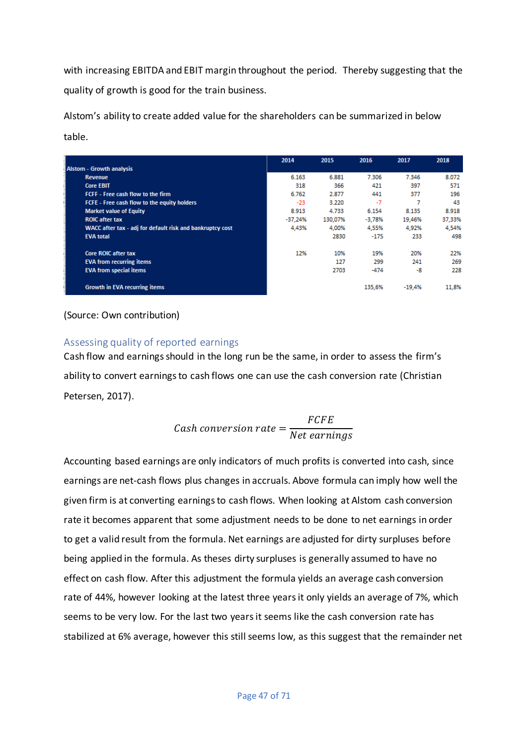with increasing EBITDA and EBIT margin throughout the period. Thereby suggesting that the quality of growth is good for the train business.

Alstom's ability to create added value for the shareholders can be summarized in below table.

|                                                           | 2014      | 2015    | 2016     | 2017     | 2018   |
|-----------------------------------------------------------|-----------|---------|----------|----------|--------|
| <b>Alstom - Growth analysis</b>                           |           |         |          |          |        |
| <b>Revenue</b>                                            | 6.163     | 6.881   | 7.306    | 7.346    | 8.072  |
| <b>Core EBIT</b>                                          | 318       | 366     | 421      | 397      | 571    |
| FCFF - Free cash flow to the firm                         | 6.762     | 2.877   | 441      | 377      | 196    |
| FCFE - Free cash flow to the equity holders               | $-23$     | 3.220   | $-7$     |          | 43     |
| <b>Market value of Equity</b>                             | 8.913     | 4.733   | 6.154    | 8.135    | 8.918  |
| <b>ROIC after tax</b>                                     | $-37,24%$ | 130.07% | $-3,78%$ | 19,46%   | 37,33% |
| WACC after tax - adj for default risk and bankruptcy cost | 4.43%     | 4.00%   | 4.55%    | 4.92%    | 4.54%  |
| <b>EVA total</b>                                          |           | 2830    | $-175$   | 233      | 498    |
| <b>Core ROIC after tax</b>                                | 12%       | 10%     | 19%      | 20%      | 22%    |
| <b>EVA from recurring items</b>                           |           | 127     | 299      | 241      | 269    |
| <b>EVA from special items</b>                             |           | 2703    | $-474$   | -8       | 228    |
| <b>Growth in EVA recurring items</b>                      |           |         | 135,6%   | $-19.4%$ | 11.8%  |

(Source: Own contribution)

## Assessing quality of reported earnings

Cash flow and earnings should in the long run be the same, in order to assess the firm's ability to convert earnings to cash flows one can use the cash conversion rate (Christian Petersen, 2017).

$$
Cash conversion rate = \frac{FCFE}{Net\ earnings}
$$

Accounting based earnings are only indicators of much profits is converted into cash, since earnings are net-cash flows plus changes in accruals. Above formula can imply how well the given firm is at converting earnings to cash flows. When looking at Alstom cash conversion rate it becomes apparent that some adjustment needs to be done to net earnings in order to get a valid result from the formula. Net earnings are adjusted for dirty surpluses before being applied in the formula. As theses dirty surpluses is generally assumed to have no effect on cash flow. After this adjustment the formula yields an average cash conversion rate of 44%, however looking at the latest three years it only yields an average of 7%, which seems to be very low. For the last two years it seems like the cash conversion rate has stabilized at 6% average, however this still seems low, as this suggest that the remainder net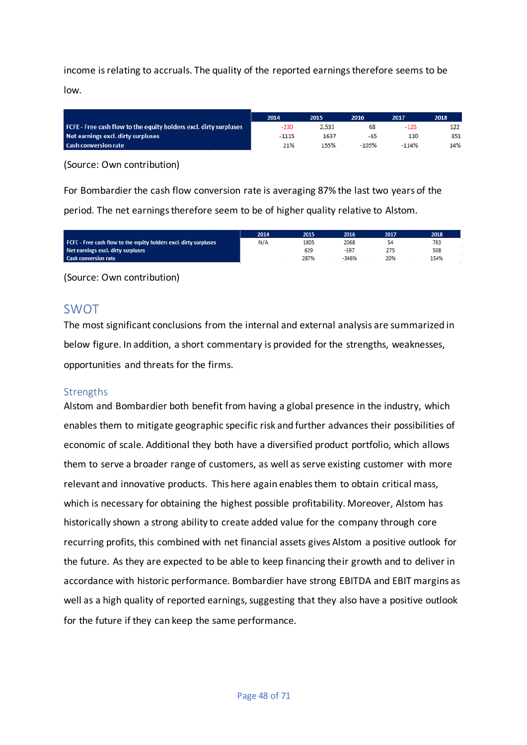income is relating to accruals. The quality of the reported earnings therefore seems to be low.

|                                                                   | 2014    | 2015  | 2016    | 2017    | 2018 |
|-------------------------------------------------------------------|---------|-------|---------|---------|------|
| FCFE - Free cash flow to the equity holders excl. dirty surpluses | $-230$  | 2.533 | 68      | -125    | 122  |
| Net earnings excl. dirty surpluses                                | $-1115$ | 1637  | -65     | 110     | 851  |
| <b>Cash conversion rate</b>                                       | 21%     | 155%  | $-105%$ | $-114%$ | 14%  |

(Source: Own contribution)

For Bombardier the cash flow conversion rate is averaging 87% the last two years of the period. The net earnings therefore seem to be of higher quality relative to Alstom.

|                                                                   | 2014 | 2015 | 2016    | 2017 | 2018 |
|-------------------------------------------------------------------|------|------|---------|------|------|
| FCFE - Free cash flow to the equity holders excl. dirty surpluses | N/A  | 1805 | 2068    |      | 783  |
| Net earnings excl. dirty surpluses                                |      | 629  | -597    |      | 508  |
| <b>Cash conversion rate</b>                                       |      | 287% | $-346%$ | 20%  | 154% |
|                                                                   |      |      |         |      |      |

(Source: Own contribution)

## SWOT

The most significant conclusions from the internal and external analysis are summarized in below figure. In addition, a short commentary is provided for the strengths, weaknesses, opportunities and threats for the firms.

### **Strengths**

Alstom and Bombardier both benefit from having a global presence in the industry, which enables them to mitigate geographic specific risk and further advances their possibilities of economic of scale. Additional they both have a diversified product portfolio, which allows them to serve a broader range of customers, as well as serve existing customer with more relevant and innovative products. This here again enables them to obtain critical mass, which is necessary for obtaining the highest possible profitability. Moreover, Alstom has historically shown a strong ability to create added value for the company through core recurring profits, this combined with net financial assets gives Alstom a positive outlook for the future. As they are expected to be able to keep financing their growth and to deliver in accordance with historic performance. Bombardier have strong EBITDA and EBIT margins as well as a high quality of reported earnings, suggesting that they also have a positive outlook for the future if they can keep the same performance.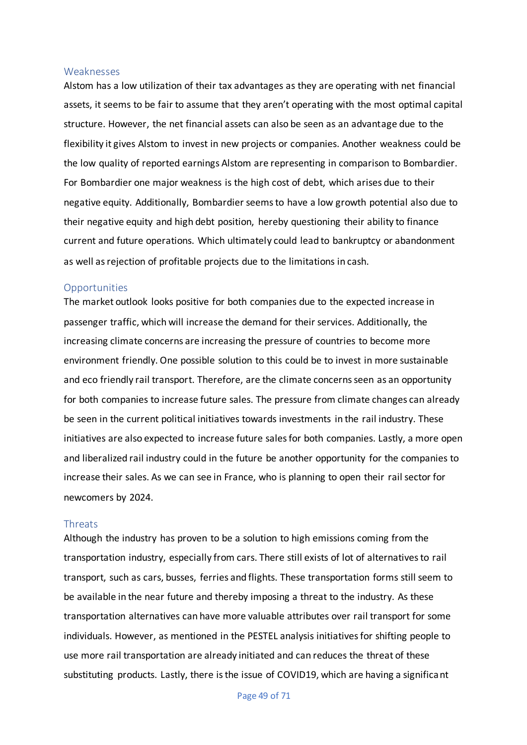#### Weaknesses

Alstom has a low utilization of their tax advantages as they are operating with net financial assets, it seems to be fair to assume that they aren't operating with the most optimal capital structure. However, the net financial assets can also be seen as an advantage due to the flexibility it gives Alstom to invest in new projects or companies. Another weakness could be the low quality of reported earnings Alstom are representing in comparison to Bombardier. For Bombardier one major weakness is the high cost of debt, which arises due to their negative equity. Additionally, Bombardier seems to have a low growth potential also due to their negative equity and high debt position, hereby questioning their ability to finance current and future operations. Which ultimately could lead to bankruptcy or abandonment as well as rejection of profitable projects due to the limitations in cash.

#### **Opportunities**

The market outlook looks positive for both companies due to the expected increase in passenger traffic, which will increase the demand for their services. Additionally, the increasing climate concerns are increasing the pressure of countries to become more environment friendly. One possible solution to this could be to invest in more sustainable and eco friendly rail transport. Therefore, are the climate concerns seen as an opportunity for both companies to increase future sales. The pressure from climate changes can already be seen in the current political initiatives towards investments in the rail industry. These initiatives are also expected to increase future sales for both companies. Lastly, a more open and liberalized rail industry could in the future be another opportunity for the companies to increase their sales. As we can see in France, who is planning to open their rail sector for newcomers by 2024.

#### Threats

Although the industry has proven to be a solution to high emissions coming from the transportation industry, especially from cars. There still exists of lot of alternatives to rail transport, such as cars, busses, ferries and flights. These transportation forms still seem to be available in the near future and thereby imposing a threat to the industry. As these transportation alternatives can have more valuable attributes over rail transport for some individuals. However, as mentioned in the PESTEL analysis initiatives for shifting people to use more rail transportation are already initiated and can reduces the threat of these substituting products. Lastly, there is the issue of COVID19, which are having a significant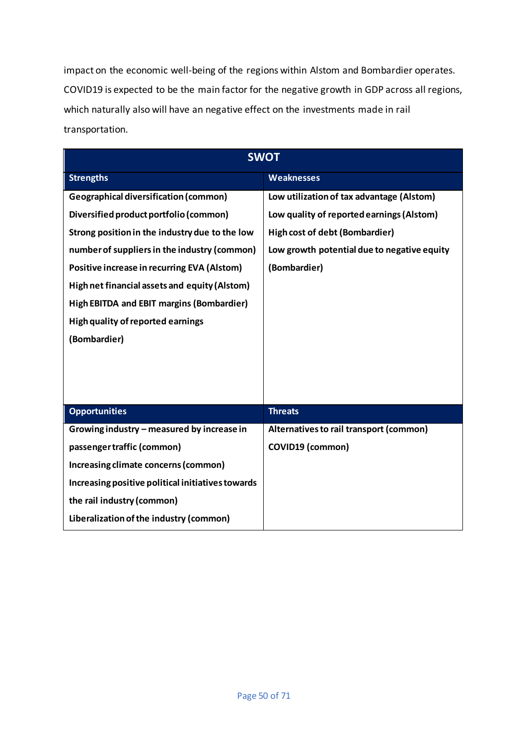impact on the economic well-being of the regions within Alstom and Bombardier operates. COVID19 is expected to be the main factor for the negative growth in GDP across all regions, which naturally also will have an negative effect on the investments made in rail transportation.

| <b>SWOT</b>                                       |                                             |  |  |  |  |
|---------------------------------------------------|---------------------------------------------|--|--|--|--|
| <b>Strengths</b>                                  | <b>Weaknesses</b>                           |  |  |  |  |
| <b>Geographical diversification (common)</b>      | Low utilization of tax advantage (Alstom)   |  |  |  |  |
| Diversified product portfolio (common)            | Low quality of reported earnings (Alstom)   |  |  |  |  |
| Strong position in the industry due to the low    | <b>High cost of debt (Bombardier)</b>       |  |  |  |  |
| number of suppliers in the industry (common)      | Low growth potential due to negative equity |  |  |  |  |
| Positive increase in recurring EVA (Alstom)       | (Bombardier)                                |  |  |  |  |
| High net financial assets and equity (Alstom)     |                                             |  |  |  |  |
| <b>High EBITDA and EBIT margins (Bombardier)</b>  |                                             |  |  |  |  |
| High quality of reported earnings                 |                                             |  |  |  |  |
| (Bombardier)                                      |                                             |  |  |  |  |
|                                                   |                                             |  |  |  |  |
|                                                   |                                             |  |  |  |  |
|                                                   |                                             |  |  |  |  |
| <b>Opportunities</b>                              | <b>Threats</b>                              |  |  |  |  |
| Growing industry - measured by increase in        | Alternatives to rail transport (common)     |  |  |  |  |
| passenger traffic (common)                        | <b>COVID19 (common)</b>                     |  |  |  |  |
| Increasing climate concerns (common)              |                                             |  |  |  |  |
| Increasing positive political initiatives towards |                                             |  |  |  |  |
| the rail industry (common)                        |                                             |  |  |  |  |
| Liberalization of the industry (common)           |                                             |  |  |  |  |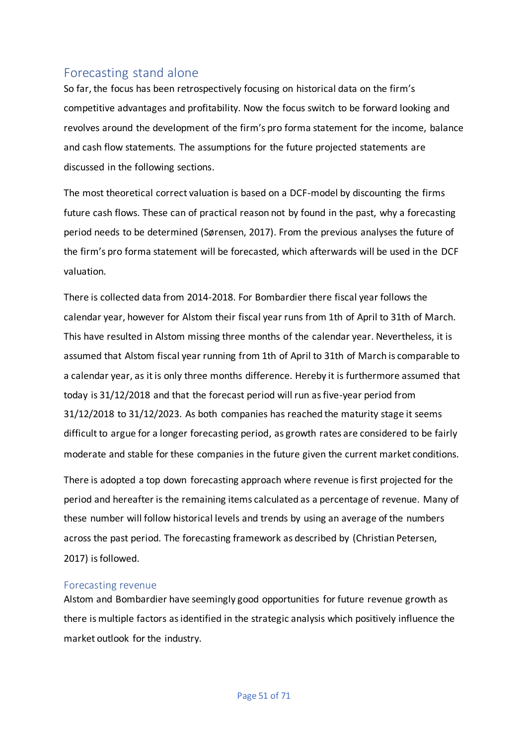# Forecasting stand alone

So far, the focus has been retrospectively focusing on historical data on the firm's competitive advantages and profitability. Now the focus switch to be forward looking and revolves around the development of the firm's pro forma statement for the income, balance and cash flow statements. The assumptions for the future projected statements are discussed in the following sections.

The most theoretical correct valuation is based on a DCF-model by discounting the firms future cash flows. These can of practical reason not by found in the past, why a forecasting period needs to be determined (Sørensen, 2017). From the previous analyses the future of the firm's pro forma statement will be forecasted, which afterwards will be used in the DCF valuation.

There is collected data from 2014-2018. For Bombardier there fiscal year follows the calendar year, however for Alstom their fiscal year runs from 1th of April to 31th of March. This have resulted in Alstom missing three months of the calendar year. Nevertheless, it is assumed that Alstom fiscal year running from 1th of April to 31th of March is comparable to a calendar year, as it is only three months difference. Hereby it is furthermore assumed that today is 31/12/2018 and that the forecast period will run as five-year period from 31/12/2018 to 31/12/2023. As both companies has reached the maturity stage it seems difficult to argue for a longer forecasting period, as growth rates are considered to be fairly moderate and stable for these companies in the future given the current market conditions.

There is adopted a top down forecasting approach where revenue is first projected for the period and hereafter is the remaining items calculated as a percentage of revenue. Many of these number will follow historical levels and trends by using an average of the numbers across the past period. The forecasting framework as described by (Christian Petersen, 2017) is followed.

### Forecasting revenue

Alstom and Bombardier have seemingly good opportunities for future revenue growth as there is multiple factors as identified in the strategic analysis which positively influence the market outlook for the industry.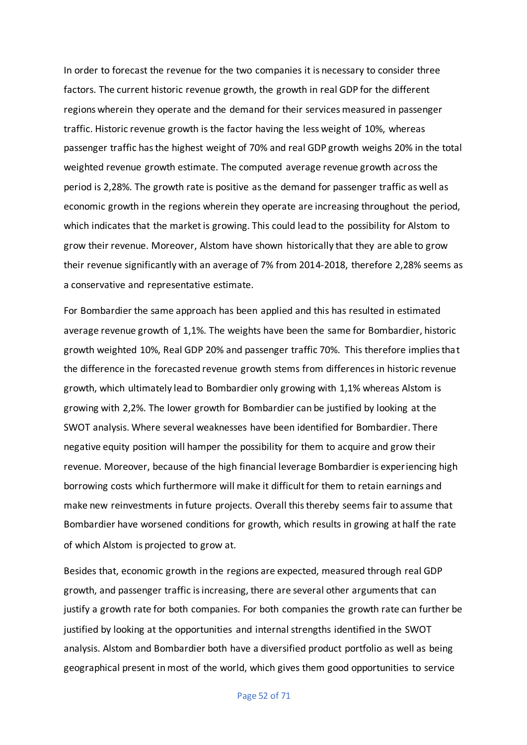In order to forecast the revenue for the two companies it is necessary to consider three factors. The current historic revenue growth, the growth in real GDP for the different regions wherein they operate and the demand for their services measured in passenger traffic. Historic revenue growth is the factor having the less weight of 10%, whereas passenger traffic has the highest weight of 70% and real GDP growth weighs 20% in the total weighted revenue growth estimate. The computed average revenue growth across the period is 2,28%. The growth rate is positive as the demand for passenger traffic as well as economic growth in the regions wherein they operate are increasing throughout the period, which indicates that the market is growing. This could lead to the possibility for Alstom to grow their revenue. Moreover, Alstom have shown historically that they are able to grow their revenue significantly with an average of 7% from 2014-2018, therefore 2,28% seems as a conservative and representative estimate.

For Bombardier the same approach has been applied and this has resulted in estimated average revenue growth of 1,1%. The weights have been the same for Bombardier, historic growth weighted 10%, Real GDP 20% and passenger traffic 70%. This therefore implies that the difference in the forecasted revenue growth stems from differences in historic revenue growth, which ultimately lead to Bombardier only growing with 1,1% whereas Alstom is growing with 2,2%. The lower growth for Bombardier can be justified by looking at the SWOT analysis. Where several weaknesses have been identified for Bombardier. There negative equity position will hamper the possibility for them to acquire and grow their revenue. Moreover, because of the high financial leverage Bombardier is experiencing high borrowing costs which furthermore will make it difficult for them to retain earnings and make new reinvestments in future projects. Overall this thereby seems fair to assume that Bombardier have worsened conditions for growth, which results in growing at half the rate of which Alstom is projected to grow at.

Besides that, economic growth in the regions are expected, measured through real GDP growth, and passenger traffic is increasing, there are several other arguments that can justify a growth rate for both companies. For both companies the growth rate can further be justified by looking at the opportunities and internal strengths identified in the SWOT analysis. Alstom and Bombardier both have a diversified product portfolio as well as being geographical present in most of the world, which gives them good opportunities to service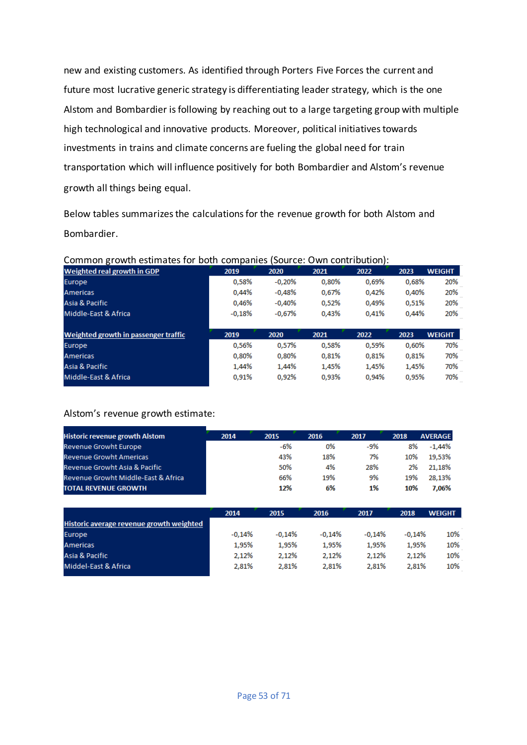new and existing customers. As identified through Porters Five Forces the current and future most lucrative generic strategy is differentiating leader strategy, which is the one Alstom and Bombardier is following by reaching out to a large targeting group with multiple high technological and innovative products. Moreover, political initiatives towards investments in trains and climate concerns are fueling the global need for train transportation which will influence positively for both Bombardier and Alstom's revenue growth all things being equal.

Below tables summarizes the calculations for the revenue growth for both Alstom and Bombardier.

| 2019     | 2020     | 2021  | 2022  | 2023  | <b>WEIGHT</b> |
|----------|----------|-------|-------|-------|---------------|
| 0,58%    | $-0,20%$ | 0,80% | 0,69% | 0,68% | 20%           |
| 0.44%    | $-0.48%$ | 0.67% | 0,42% | 0.40% | 20%           |
| 0,46%    | $-0.40%$ | 0,52% | 0,49% | 0,51% | 20%           |
| $-0,18%$ | $-0,67%$ | 0,43% | 0,41% | 0,44% | 20%           |
| 2019     | 2020     | 2021  | 2022  | 2023  | <b>WEIGHT</b> |
| 0,56%    | 0,57%    | 0,58% | 0,59% | 0.60% | 70%           |
| 0.80%    | 0.80%    | 0,81% | 0,81% | 0,81% | 70%           |
| 1,44%    | 1,44%    | 1,45% | 1,45% | 1,45% | 70%           |
| 0,91%    | 0,92%    | 0,93% | 0.94% | 0,95% | 70%           |
|          |          |       |       |       |               |

### Common growth estimates for both companies (Source: Own contribution):

### Alstom's revenue growth estimate:

| <b>Historic revenue growth Alstom</b> | 2014 | 2015 | 2016 | 2017 | 2018 | <b>AVERAGE</b> |
|---------------------------------------|------|------|------|------|------|----------------|
| Revenue Growht Europe                 |      | -6%  | 0%   | -9%  | 8%   | -1.44%         |
| <b>Revenue Growht Americas</b>        |      | 43%  | 18%  | 7%   | 10%  | 19.53%         |
| Revenue Growht Asia & Pacific         |      | 50%  | 4%   | 28%  | 2%   | 21.18%         |
| Revenue Growht Middle-East & Africa   |      | 66%  | 19%  | 9%   | 19%  | 28.13%         |
| <b>TOTAL REVENUE GROWTH</b>           |      | 12%  | 6%   | 1%   | 10%  | 7.06%          |

|                                          | 2014     | 2015     | 2016     | 2017     | 2018     | WEIGHT |
|------------------------------------------|----------|----------|----------|----------|----------|--------|
| Historic average revenue growth weighted |          |          |          |          |          |        |
| Europe                                   | $-0.14%$ | $-0.14%$ | $-0.14%$ | $-0.14%$ | $-0.14%$ | 10%    |
| <b>Americas</b>                          | 1,95%    | 1,95%    | 1,95%    | 1.95%    | 1,95%    | 10%    |
| Asia & Pacific                           | 2.12%    | 2.12%    | 2.12%    | 2.12%    | 2.12%    | 10%    |
| Middel-East & Africa                     | 2,81%    | 2,81%    | 2,81%    | 2,81%    | 2,81%    | 10%    |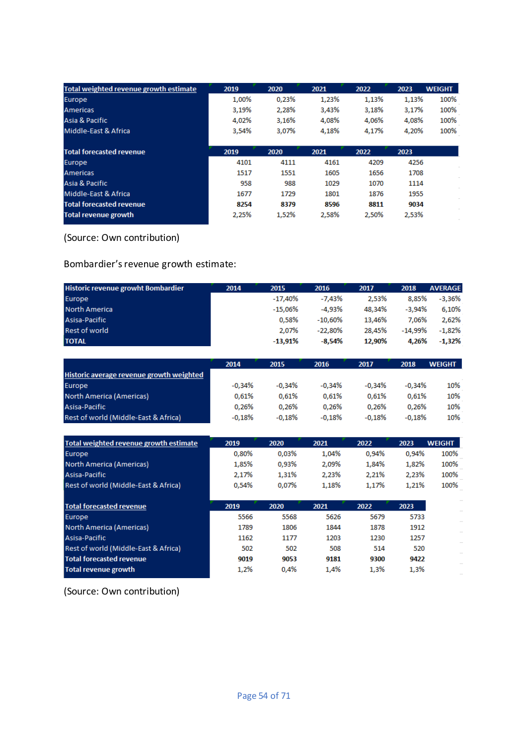| Total weighted revenue growth estimate | 2019  | 2020  | 2021  | 2022  | 2023  | <b>WEIGHT</b> |
|----------------------------------------|-------|-------|-------|-------|-------|---------------|
| Europe                                 | 1.00% | 0.23% | 1,23% | 1,13% | 1,13% | 100%          |
| <b>Americas</b>                        | 3,19% | 2,28% | 3,43% | 3,18% | 3,17% | 100%          |
| Asia & Pacific                         | 4,02% | 3,16% | 4,08% | 4,06% | 4,08% | 100%          |
| Middle-East & Africa                   | 3.54% | 3.07% | 4.18% | 4.17% | 4.20% | 100%          |
| <b>Total forecasted revenue</b>        | 2019  | 2020  | 2021  | 2022  | 2023  |               |
| <b>Europe</b>                          | 4101  | 4111  | 4161  | 4209  | 4256  |               |
| <b>Americas</b>                        | 1517  | 1551  | 1605  | 1656  | 1708  |               |
| Asia & Pacific                         | 958   | 988   | 1029  | 1070  | 1114  |               |
| Middle-East & Africa                   | 1677  | 1729  | 1801  | 1876  | 1955  |               |
| <b>Total forecasted revenue</b>        | 8254  | 8379  | 8596  | 8811  | 9034  |               |
| <b>Total revenue growth</b>            | 2,25% | 1.52% | 2.58% | 2.50% | 2,53% |               |

## (Source: Own contribution)

## Bombardier's revenue growth estimate:

| Historic revenue growht Bombardier       | 2014     | 2015      | 2016       | 2017     | 2018     | <b>AVERAGE</b> |
|------------------------------------------|----------|-----------|------------|----------|----------|----------------|
| Europe                                   |          | $-17,40%$ | $-7,43%$   | 2,53%    | 8,85%    | $-3,36%$       |
| North America                            |          | $-15,06%$ | -4,93%     | 48,34%   | $-3.94%$ | 6.10%          |
| Asisa-Pacific                            |          | 0.58%     | $-10.60\%$ | 13,46%   | 7.06%    | 2,62%          |
| <b>Rest of world</b>                     |          | 2.07%     | $-22.80\%$ | 28,45%   | -14,99%  | $-1,82%$       |
| <b>TOTAL</b>                             |          | $-13,91%$ | $-8.54%$   | 12,90%   | 4,26%    | $-1,32%$       |
|                                          |          |           |            |          |          |                |
|                                          | 2014     | 2015      | 2016       | 2017     | 2018     | <b>WEIGHT</b>  |
| Historic average revenue growth weighted |          |           |            |          |          |                |
| Europe                                   | $-0.34%$ | $-0.34%$  | $-0.34%$   | $-0.34%$ | $-0.34%$ | 10%            |
| North America (Americas)                 | 0.61%    | 0.61%     | 0.61%      | 0.61%    | 0.61%    | 10%            |
| Asisa-Pacific                            | 0.26%    | 0.26%     | 0.26%      | 0.26%    | 0,26%    | 10%            |
| Rest of world (Middle-East & Africa)     | $-0.18%$ | $-0,18%$  | $-0,18%$   | $-0.18%$ | $-0,18%$ | 10%            |
|                                          |          |           |            |          |          |                |
| Total weighted revenue growth estimate   | 2019     | 2020      | 2021       | 2022     | 2023     | <b>WEIGHT</b>  |
| Europe                                   | 0.80%    | 0.03%     | 1.04%      | 0.94%    | 0.94%    | 100%           |
| North America (Americas)                 | 1,85%    | 0,93%     | 2,09%      | 1,84%    | 1,82%    | 100%           |
| Asisa-Pacific                            | 2,17%    | 1,31%     | 2,23%      | 2,21%    | 2,23%    | 100%           |
| Rest of world (Middle-East & Africa)     | 0.54%    | 0.07%     | 1,18%      | 1,17%    | 1,21%    | 100%           |
|                                          |          |           |            |          |          |                |
| <b>Total forecasted revenue</b>          | 2019     | 2020      | 2021       | 2022     | 2023     |                |
| Europe                                   | 5566     | 5568      | 5626       | 5679     | 5733     |                |
| North America (Americas)                 | 1789     | 1806      | 1844       | 1878     | 1912     |                |
| Asisa-Pacific                            | 1162     | 1177      | 1203       | 1230     | 1257     |                |
| Rest of world (Middle-East & Africa)     | 502      | 502       | 508        | 514      | 520      |                |

9019

 $1,2%$ 

9053

 $0,4%$ 

9181

 $1,4%$ 

9300

 $1,3%$ 

9422

 $1,3%$ 

(Source: Own contribution)

**Total forecasted revenue** 

**Total revenue growth**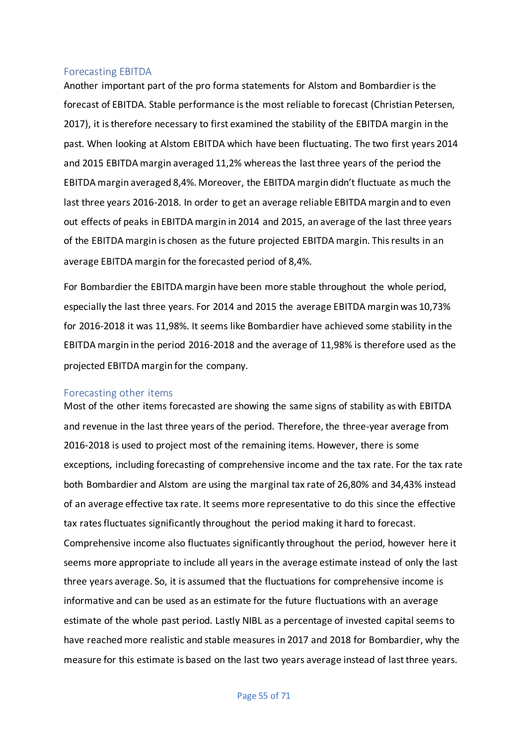#### Forecasting EBITDA

Another important part of the pro forma statements for Alstom and Bombardier is the forecast of EBITDA. Stable performance is the most reliable to forecast (Christian Petersen, 2017), it is therefore necessary to first examined the stability of the EBITDA margin in the past. When looking at Alstom EBITDA which have been fluctuating. The two first years 2014 and 2015 EBITDA margin averaged 11,2% whereas the last three years of the period the EBITDA margin averaged 8,4%. Moreover, the EBITDA margin didn't fluctuate as much the last three years 2016-2018. In order to get an average reliable EBITDA margin and to even out effects of peaks in EBITDA margin in 2014 and 2015, an average of the last three years of the EBITDA margin is chosen as the future projected EBITDA margin. This results in an average EBITDA margin for the forecasted period of 8,4%.

For Bombardier the EBITDA margin have been more stable throughout the whole period, especially the last three years. For 2014 and 2015 the average EBITDA margin was 10,73% for 2016-2018 it was 11,98%. It seems like Bombardier have achieved some stability in the EBITDA margin in the period 2016-2018 and the average of 11,98% is therefore used as the projected EBITDA margin for the company.

#### Forecasting other items

Most of the other items forecasted are showing the same signs of stability as with EBITDA and revenue in the last three years of the period. Therefore, the three-year average from 2016-2018 is used to project most of the remaining items. However, there is some exceptions, including forecasting of comprehensive income and the tax rate. For the tax rate both Bombardier and Alstom are using the marginal tax rate of 26,80% and 34,43% instead of an average effective tax rate. It seems more representative to do this since the effective tax rates fluctuates significantly throughout the period making it hard to forecast. Comprehensive income also fluctuates significantly throughout the period, however here it seems more appropriate to include all years in the average estimate instead of only the last three years average. So, it is assumed that the fluctuations for comprehensive income is informative and can be used as an estimate for the future fluctuations with an average estimate of the whole past period. Lastly NIBL as a percentage of invested capital seems to have reached more realistic and stable measures in 2017 and 2018 for Bombardier, why the measure for this estimate is based on the last two years average instead of last three years.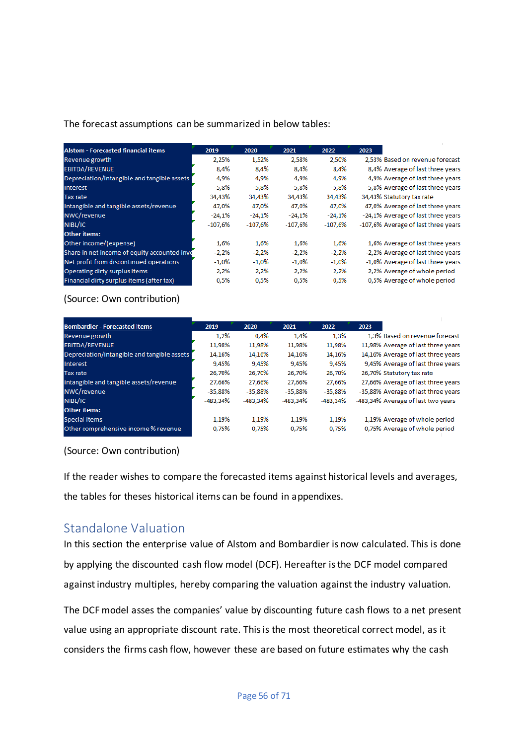### The forecast assumptions can be summarized in below tables:

| <b>Alstom - Forecasted financial items</b>   | 2019      | 2020      | 2021      | 2022      | 2023                                |
|----------------------------------------------|-----------|-----------|-----------|-----------|-------------------------------------|
| Revenue growth                               | 2,25%     | 1,52%     | 2,58%     | 2,50%     | 2,53% Based on revenue forecast     |
| <b>EBITDA/REVENUE</b>                        | 8,4%      | 8,4%      | 8,4%      | 8,4%      | 8,4% Average of last three years    |
| Depreciation/intangible and tangible assets  | 4,9%      | 4,9%      | 4,9%      | 4,9%      | 4,9% Average of last three years    |
| <b>Interest</b>                              | $-5,8%$   | $-5,8%$   | $-5,8%$   | $-5,8%$   | -5,8% Average of last three years   |
| Tax rate                                     | 34,43%    | 34,43%    | 34,43%    | 34,43%    | 34,43% Statutory tax rate           |
| Intangible and tangible assets/revenue       | 47.0%     | 47,0%     | 47,0%     | 47.0%     | 47,0% Average of last three years   |
| NWC/revenue                                  | $-24.1%$  | $-24.1%$  | $-24.1%$  | $-24.1%$  | -24,1% Average of last three years  |
| NIBL/IC                                      | $-107.6%$ | $-107,6%$ | $-107.6%$ | $-107.6%$ | -107,6% Average of last three years |
| <b>Other items:</b>                          |           |           |           |           |                                     |
| Other income/(expense)                       | 1,6%      | 1,6%      | 1,6%      | 1,6%      | 1,6% Average of last three years    |
| Share in net income of equity accounted inve | $-2,2%$   | $-2,2%$   | $-2,2%$   | $-2,2%$   | -2,2% Average of last three years   |
| Net profit from discontinued operations      | $-1,0%$   | $-1,0\%$  | $-1,0%$   | $-1,0%$   | -1,0% Average of last three years   |
| Operating dirty surplus items                | 2,2%      | 2,2%      | 2,2%      | 2,2%      | 2,2% Average of whole period        |
| Financial dirty surplus items (after tax)    | 0,5%      | 0,5%      | 0,5%      | 0,5%      | 0,5% Average of whole period        |

#### (Source: Own contribution)

| <b>Bombardier - Forecasted items</b>        | 2019       | 2020       | 2021      | 2022       | 2023                                |
|---------------------------------------------|------------|------------|-----------|------------|-------------------------------------|
| Revenue growth                              | 1,2%       | 0,4%       | 1,4%      | 1,3%       | 1,3% Based on revenue forecast      |
| <b>EBITDA/REVENUE</b>                       | 11,98%     | 11,98%     | 11,98%    | 11,98%     | 11,98% Average of last three years  |
| Depreciation/intangible and tangible assets | 14,16%     | 14,16%     | 14,16%    | 14,16%     | 14,16% Average of last three years  |
| Interest                                    | 9,45%      | 9,45%      | 9,45%     | 9,45%      | 9,45% Average of last three years   |
| Tax rate                                    | 26,70%     | 26,70%     | 26.70%    | 26,70%     | 26,70% Statutory tax rate           |
| Intangible and tangible assets/revenue      | 27.66%     | 27,66%     | 27.66%    | 27,66%     | 27,66% Average of last three years  |
| NWC/revenue                                 | $-35.88%$  | $-35.88%$  | $-35.88%$ | $-35.88%$  | -35,88% Average of last three years |
| NIBL/IC                                     | $-483.34%$ | $-483.34%$ | -483.34%  | $-483.34%$ | -483,34% Average of last two years  |
| <b>Other items:</b>                         |            |            |           |            |                                     |
| Special items                               | 1.19%      | 1.19%      | 1.19%     | 1.19%      | 1,19% Average of whole period       |
| Other comprehensive income % revenue        | 0.75%      | 0.75%      | 0.75%     | 0.75%      | 0,75% Average of whole period       |

#### (Source: Own contribution)

If the reader wishes to compare the forecasted items against historical levels and averages, the tables for theses historical items can be found in appendixes.

# Standalone Valuation

In this section the enterprise value of Alstom and Bombardier is now calculated. This is done by applying the discounted cash flow model (DCF). Hereafter is the DCF model compared against industry multiples, hereby comparing the valuation against the industry valuation.

The DCF model asses the companies' value by discounting future cash flows to a net present value using an appropriate discount rate. This is the most theoretical correct model, as it considers the firms cash flow, however these are based on future estimates why the cash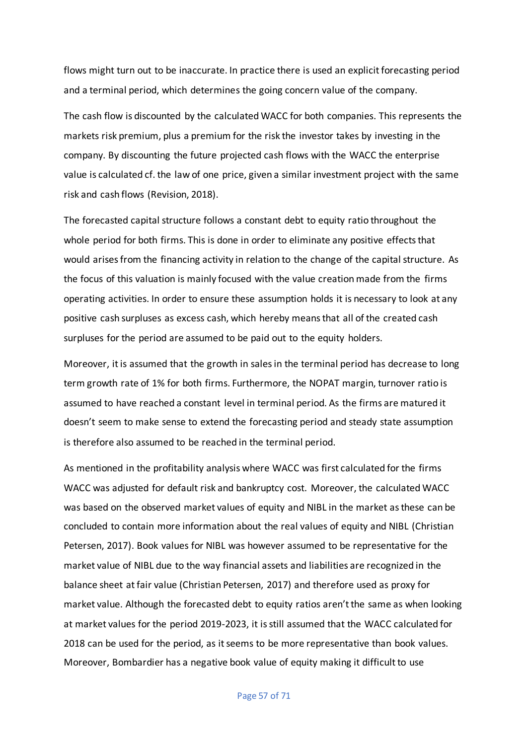flows might turn out to be inaccurate. In practice there is used an explicit forecasting period and a terminal period, which determines the going concern value of the company.

The cash flow is discounted by the calculated WACC for both companies. This represents the markets risk premium, plus a premium for the risk the investor takes by investing in the company. By discounting the future projected cash flows with the WACC the enterprise value is calculated cf. the law of one price, given a similar investment project with the same risk and cash flows (Revision, 2018).

The forecasted capital structure follows a constant debt to equity ratio throughout the whole period for both firms. This is done in order to eliminate any positive effects that would arises from the financing activity in relation to the change of the capital structure. As the focus of this valuation is mainly focused with the value creation made from the firms operating activities. In order to ensure these assumption holds it is necessary to look at any positive cash surpluses as excess cash, which hereby means that all of the created cash surpluses for the period are assumed to be paid out to the equity holders.

Moreover, it is assumed that the growth in sales in the terminal period has decrease to long term growth rate of 1% for both firms. Furthermore, the NOPAT margin, turnover ratio is assumed to have reached a constant level in terminal period. As the firms are matured it doesn't seem to make sense to extend the forecasting period and steady state assumption is therefore also assumed to be reached in the terminal period.

As mentioned in the profitability analysis where WACC was first calculated for the firms WACC was adjusted for default risk and bankruptcy cost. Moreover, the calculated WACC was based on the observed market values of equity and NIBL in the market as these can be concluded to contain more information about the real values of equity and NIBL (Christian Petersen, 2017). Book values for NIBL was however assumed to be representative for the market value of NIBL due to the way financial assets and liabilities are recognized in the balance sheet at fair value (Christian Petersen, 2017) and therefore used as proxy for market value. Although the forecasted debt to equity ratios aren't the same as when looking at market values for the period 2019-2023, it is still assumed that the WACC calculated for 2018 can be used for the period, as it seems to be more representative than book values. Moreover, Bombardier has a negative book value of equity making it difficult to use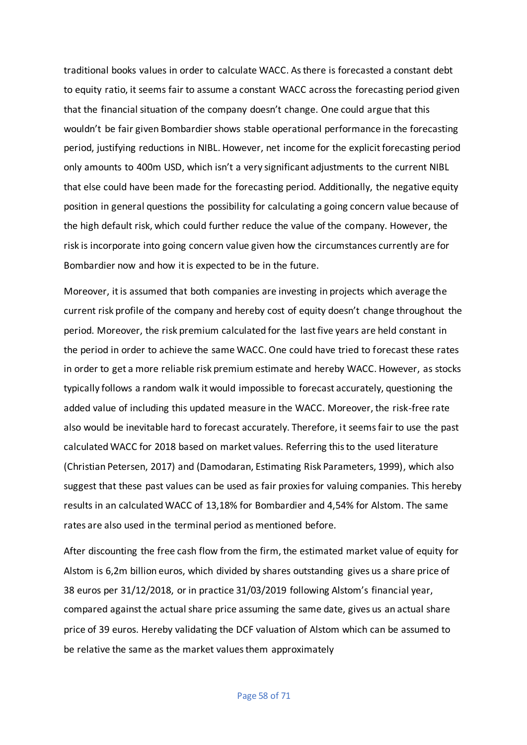traditional books values in order to calculate WACC. As there is forecasted a constant debt to equity ratio, it seems fair to assume a constant WACC across the forecasting period given that the financial situation of the company doesn't change. One could argue that this wouldn't be fair given Bombardier shows stable operational performance in the forecasting period, justifying reductions in NIBL. However, net income for the explicit forecasting period only amounts to 400m USD, which isn't a very significant adjustments to the current NIBL that else could have been made for the forecasting period. Additionally, the negative equity position in general questions the possibility for calculating a going concern value because of the high default risk, which could further reduce the value of the company. However, the risk is incorporate into going concern value given how the circumstances currently are for Bombardier now and how it is expected to be in the future.

Moreover, it is assumed that both companies are investing in projects which average the current risk profile of the company and hereby cost of equity doesn't change throughout the period. Moreover, the risk premium calculated for the last five years are held constant in the period in order to achieve the same WACC. One could have tried to forecast these rates in order to get a more reliable risk premium estimate and hereby WACC. However, as stocks typically follows a random walk it would impossible to forecast accurately, questioning the added value of including this updated measure in the WACC. Moreover, the risk-free rate also would be inevitable hard to forecast accurately. Therefore, it seems fair to use the past calculated WACC for 2018 based on market values. Referring this to the used literature (Christian Petersen, 2017) and (Damodaran, Estimating Risk Parameters, 1999), which also suggest that these past values can be used as fair proxies for valuing companies. This hereby results in an calculated WACC of 13,18% for Bombardier and 4,54% for Alstom. The same rates are also used in the terminal period as mentioned before.

After discounting the free cash flow from the firm, the estimated market value of equity for Alstom is 6,2m billion euros, which divided by shares outstanding gives us a share price of 38 euros per 31/12/2018, or in practice 31/03/2019 following Alstom's financial year, compared against the actual share price assuming the same date, gives us an actual share price of 39 euros. Hereby validating the DCF valuation of Alstom which can be assumed to be relative the same as the market values them approximately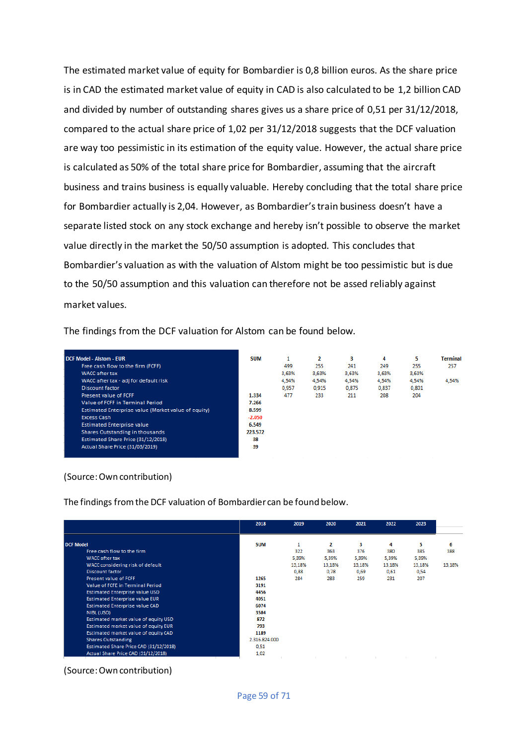The estimated market value of equity for Bombardier is 0,8 billion euros. As the share price is in CAD the estimated market value of equity in CAD is also calculated to be 1,2 billion CAD and divided by number of outstanding shares gives us a share price of 0,51 per 31/12/2018, compared to the actual share price of 1,02 per 31/12/2018 suggests that the DCF valuation are way too pessimistic in its estimation of the equity value. However, the actual share price is calculated as 50% of the total share price for Bombardier, assuming that the aircraft business and trains business is equally valuable. Hereby concluding that the total share price for Bombardier actually is 2,04. However, as Bombardier's train business doesn't have a separate listed stock on any stock exchange and hereby isn't possible to observe the market value directly in the market the 50/50 assumption is adopted. This concludes that Bombardier's valuation as with the valuation of Alstom might be too pessimistic but is due to the 50/50 assumption and this valuation can therefore not be assed reliably against market values.

The findings from the DCF valuation for Alstom can be found below.

| <b>DCF Model - Alstom - EUR</b>                     | <b>SUM</b> | 1     | 2     | з     | 4     | 5     | <b>Terminal</b> |
|-----------------------------------------------------|------------|-------|-------|-------|-------|-------|-----------------|
| Free cash flow to the firm (FCFF)                   |            | 499   | 255   | 241   | 249   | 255   | 257             |
| <b>WACC</b> after tax                               |            | 3,63% | 3,63% | 3,63% | 3,63% | 3,63% |                 |
| WACC after tax - adj for default risk               |            | 4,54% | 4,54% | 4,54% | 4,54% | 4,54% | 4,54%           |
| Discount factor                                     |            | 0,957 | 0.915 | 0,875 | 0,837 | 0,801 |                 |
| Present value of FCFF                               | 1.334      | 477   | 233   | 211   | 208   | 204   |                 |
| Value of FCFF in Terminal Period                    | 7.266      |       |       |       |       |       |                 |
| Estimated Enterprise value (Market value of equity) | 8.599      |       |       |       |       |       |                 |
| <b>Excess Cash</b>                                  | $-2.050$   |       |       |       |       |       |                 |
| <b>Estimated Enterprise value</b>                   | 6.549      |       |       |       |       |       |                 |
| Shares Outstanding in thousands                     | 223.572    |       |       |       |       |       |                 |
| Estimated Share Price (31/12/2018)                  | 38         |       |       |       |       |       |                 |
| Actual Share Price (31/03/2019)                     | 39         |       |       |       |       |       |                 |

#### (Source: Own contribution)

The findings from the DCF valuation of Bombardier can be found below.

|                                        | 2018          | 2019   | 2020   | 2021   | 2022   | 2023   |        |
|----------------------------------------|---------------|--------|--------|--------|--------|--------|--------|
| <b>DCF Model</b>                       | <b>SUM</b>    |        | 2      | з      | 4      | 5      | 6      |
| Free cash flow to the firm             |               | 322    | 363    | 376    | 380    | 385    | 388    |
| <b>WACC</b> after tax                  |               | 5,39%  | 5,39%  | 5,39%  | 5,39%  | 5,39%  |        |
| WACC considering risk of default       |               | 13,18% | 13,18% | 13,18% | 13,18% | 13,18% | 13,18% |
| <b>Discount factor</b>                 |               | 0,88   | 0,78   | 0,69   | 0,61   | 0,54   |        |
| Present value of FCFF                  | 1265          | 284    | 283    | 259    | 231    | 207    |        |
| Value of FCFE in Terminal Period       | 3191          |        |        |        |        |        |        |
| <b>Estimated Enterprise value USD</b>  | 4456          |        |        |        |        |        |        |
| <b>Estimated Enterprise value EUR</b>  | 4051          |        |        |        |        |        |        |
| <b>Estimated Enterprise value CAD</b>  | 6074          |        |        |        |        |        |        |
| NIBL (USD)                             | 3584          |        |        |        |        |        |        |
| Estimated market value of equity USD   | 872           |        |        |        |        |        |        |
| Estimated market value of equity EUR   | 793           |        |        |        |        |        |        |
| Estimated market value of equity CAD   | 1189          |        |        |        |        |        |        |
| <b>Shares Outstanding</b>              | 2.316.824.000 |        |        |        |        |        |        |
| Estimated Share Price CAD (31/12/2018) | 0,51          |        |        |        |        |        |        |
| Actual Share Price CAD (31/12/2018)    | 1,02          |        |        |        |        |        |        |

(Source: Own contribution)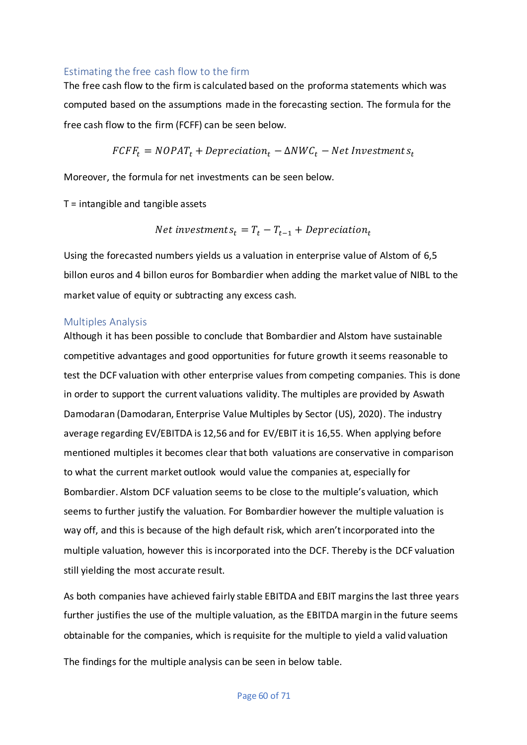## Estimating the free cash flow to the firm

The free cash flow to the firm is calculated based on the proforma statements which was computed based on the assumptions made in the forecasting section. The formula for the free cash flow to the firm (FCFF) can be seen below.

$$
FCFF_t = NOPAT_t + Depreciation_t - \Delta NWC_t - Net\text{ Investment }s_t
$$

Moreover, the formula for net investments can be seen below.

 $T =$  intangible and tangible assets

*Net investments*<sub>$$
t
$$</sub> =  $T_t - T_{t-1} + Depreciation_t$ 

Using the forecasted numbers yields us a valuation in enterprise value of Alstom of 6,5 billon euros and 4 billon euros for Bombardier when adding the market value of NIBL to the market value of equity or subtracting any excess cash.

### Multiples Analysis

Although it has been possible to conclude that Bombardier and Alstom have sustainable competitive advantages and good opportunities for future growth it seems reasonable to test the DCF valuation with other enterprise values from competing companies. This is done in order to support the current valuations validity. The multiples are provided by Aswath Damodaran (Damodaran, Enterprise Value Multiples by Sector (US), 2020). The industry average regarding EV/EBITDA is 12,56 and for EV/EBIT it is 16,55. When applying before mentioned multiples it becomes clear that both valuations are conservative in comparison to what the current market outlook would value the companies at, especially for Bombardier. Alstom DCF valuation seems to be close to the multiple's valuation, which seems to further justify the valuation. For Bombardier however the multiple valuation is way off, and this is because of the high default risk, which aren't incorporated into the multiple valuation, however this is incorporated into the DCF. Thereby is the DCF valuation still yielding the most accurate result.

As both companies have achieved fairly stable EBITDA and EBIT margins the last three years further justifies the use of the multiple valuation, as the EBITDA margin in the future seems obtainable for the companies, which is requisite for the multiple to yield a valid valuation

The findings for the multiple analysis can be seen in below table.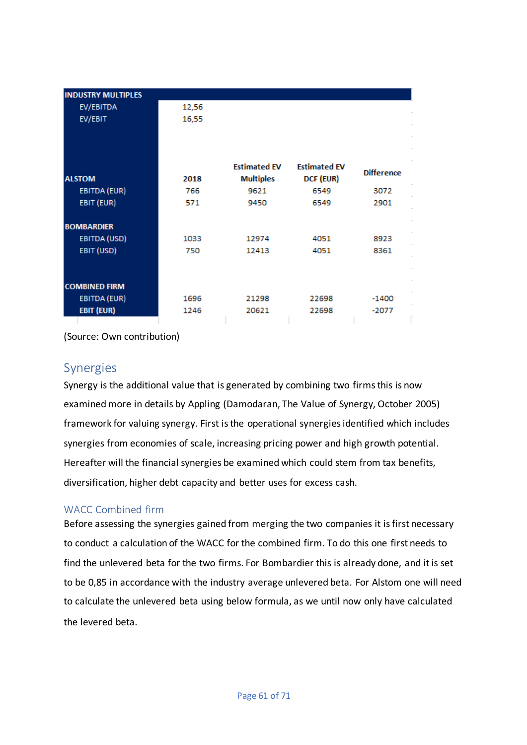|               | <b>INDUSTRY MULTIPLES</b> |       |                     |                     |                   |
|---------------|---------------------------|-------|---------------------|---------------------|-------------------|
|               | EV/EBITDA                 | 12,56 |                     |                     |                   |
|               | EV/EBIT                   | 16,55 |                     |                     |                   |
|               |                           |       |                     |                     |                   |
|               |                           |       |                     |                     |                   |
|               |                           |       |                     |                     |                   |
|               |                           |       | <b>Estimated EV</b> | <b>Estimated EV</b> | <b>Difference</b> |
| <b>ALSTOM</b> |                           | 2018  | <b>Multiples</b>    | DCF (EUR)           |                   |
|               | EBITDA (EUR)              | 766   | 9621                | 6549                | 3072              |
|               | EBIT (EUR)                | 571   | 9450                | 6549                | 2901              |
|               |                           |       |                     |                     |                   |
|               | <b>BOMBARDIER</b>         |       |                     |                     |                   |
|               | EBITDA (USD)              | 1033  | 12974               | 4051                | 8923              |
|               | EBIT (USD)                | 750   | 12413               | 4051                | 8361              |
|               |                           |       |                     |                     |                   |
|               |                           |       |                     |                     |                   |
|               | <b>COMBINED FIRM</b>      |       |                     |                     |                   |
|               | EBITDA (EUR)              | 1696  | 21298               | 22698               | $-1400$           |
|               | EBIT (EUR)                | 1246  | 20621               | 22698               | $-2077$           |
|               |                           |       |                     |                     |                   |

(Source: Own contribution)

# Synergies

Synergy is the additional value that is generated by combining two firms this is now examined more in details by Appling (Damodaran, The Value of Synergy, October 2005) framework for valuing synergy. First is the operational synergies identified which includes synergies from economies of scale, increasing pricing power and high growth potential. Hereafter will the financial synergies be examined which could stem from tax benefits, diversification, higher debt capacity and better uses for excess cash.

## WACC Combined firm

Before assessing the synergies gained from merging the two companies it is first necessary to conduct a calculation of the WACC for the combined firm. To do this one first needs to find the unlevered beta for the two firms. For Bombardier this is already done, and it is set to be 0,85 in accordance with the industry average unlevered beta. For Alstom one will need to calculate the unlevered beta using below formula, as we until now only have calculated the levered beta.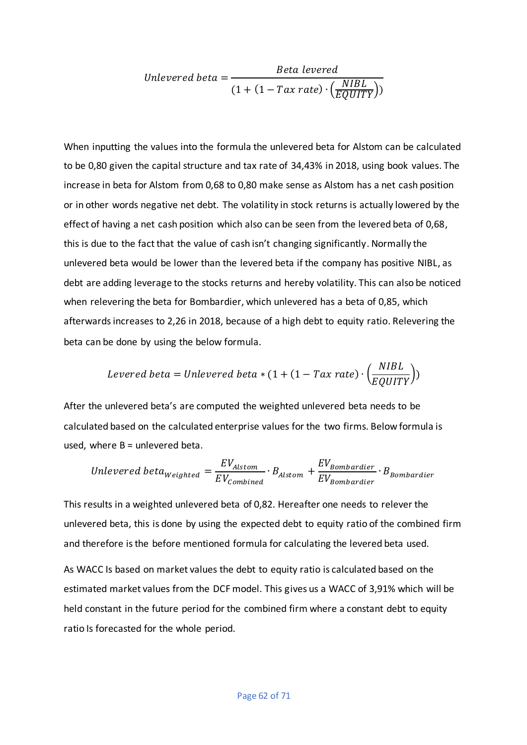Unlevered beta =

\n
$$
\frac{Beta\ levered}{(1 + (1 - Tax\ rate) \cdot \left(\frac{NIBL}{EQUITY}\right))}
$$

When inputting the values into the formula the unlevered beta for Alstom can be calculated to be 0,80 given the capital structure and tax rate of 34,43% in 2018, using book values. The increase in beta for Alstom from 0,68 to 0,80 make sense as Alstom has a net cash position or in other words negative net debt. The volatility in stock returns is actually lowered by the effect of having a net cash position which also can be seen from the levered beta of 0,68, this is due to the fact that the value of cash isn't changing significantly. Normally the unlevered beta would be lower than the levered beta if the company has positive NIBL, as debt are adding leverage to the stocks returns and hereby volatility. This can also be noticed when relevering the beta for Bombardier, which unlevered has a beta of 0,85, which afterwards increases to 2,26 in 2018, because of a high debt to equity ratio. Relevering the beta can be done by using the below formula.

$$
Levered~beta=Unlevered~beta*(1+(1-Tax~rate)\cdot \left(\frac{NIBL}{EQUITY}\right))
$$

After the unlevered beta's are computed the weighted unlevered beta needs to be calculated based on the calculated enterprise values for the two firms. Below formula is used, where  $B =$  unlevered beta.

*Unlevered beta<sub>Weighted</sub>* = 
$$
\frac{EV_{A lstom}}{EV_{combined}} \cdot B_{A lstom} + \frac{EV_{Bombardier}}{EV_{Bombardier}} \cdot B_{Bombardier}
$$

This results in a weighted unlevered beta of 0,82. Hereafter one needs to relever the unlevered beta, this is done by using the expected debt to equity ratio of the combined firm and therefore is the before mentioned formula for calculating the levered beta used.

As WACC Is based on market values the debt to equity ratio is calculated based on the estimated market values from the DCF model. This gives us a WACC of 3,91% which will be held constant in the future period for the combined firm where a constant debt to equity ratio Is forecasted for the whole period.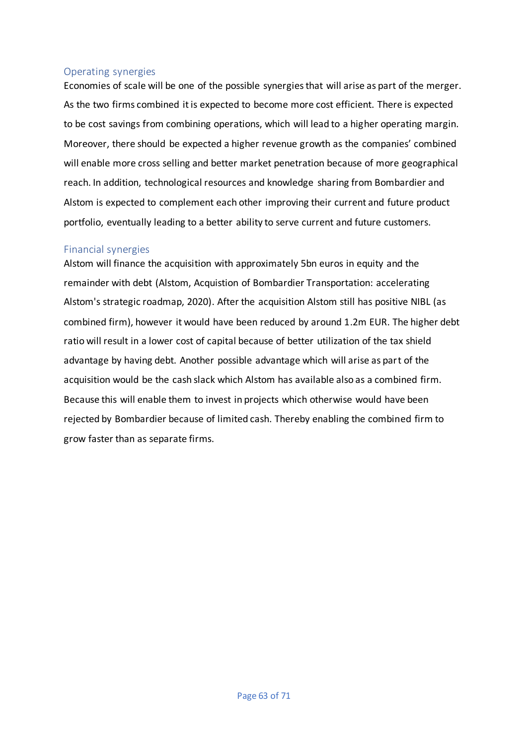## Operating synergies

Economies of scale will be one of the possible synergies that will arise as part of the merger. As the two firms combined it is expected to become more cost efficient. There is expected to be cost savings from combining operations, which will lead to a higher operating margin. Moreover, there should be expected a higher revenue growth as the companies' combined will enable more cross selling and better market penetration because of more geographical reach. In addition, technological resources and knowledge sharing from Bombardier and Alstom is expected to complement each other improving their current and future product portfolio, eventually leading to a better ability to serve current and future customers.

## Financial synergies

Alstom will finance the acquisition with approximately 5bn euros in equity and the remainder with debt (Alstom, Acquistion of Bombardier Transportation: accelerating Alstom's strategic roadmap, 2020). After the acquisition Alstom still has positive NIBL (as combined firm), however it would have been reduced by around 1.2m EUR. The higher debt ratio will result in a lower cost of capital because of better utilization of the tax shield advantage by having debt. Another possible advantage which will arise as part of the acquisition would be the cash slack which Alstom has available also as a combined firm. Because this will enable them to invest in projects which otherwise would have been rejected by Bombardier because of limited cash. Thereby enabling the combined firm to grow faster than as separate firms.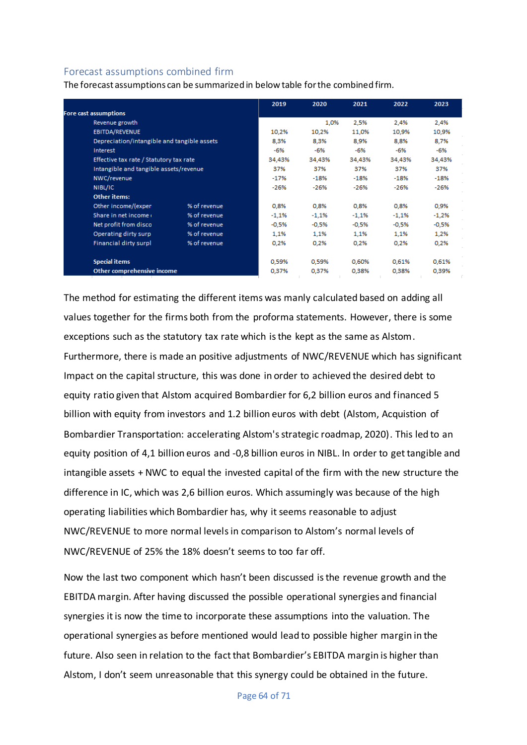## Forecast assumptions combined firm

The forecast assumptions can be summarized in below table for the combined firm.

|                                             |              | 2019    | 2020    | 2021    | 2022    | 2023    |
|---------------------------------------------|--------------|---------|---------|---------|---------|---------|
| Fore cast assumptions                       |              |         |         |         |         |         |
| Revenue growth                              |              |         | 1.0%    | 2,5%    | 2,4%    | 2,4%    |
| EBITDA/REVENUE                              |              | 10,2%   | 10,2%   | 11,0%   | 10,9%   | 10,9%   |
| Depreciation/intangible and tangible assets |              | 8,3%    | 8,3%    | 8.9%    | 8,8%    | 8.7%    |
| Interest                                    |              | -6%     | -6%     | $-6%$   | -6%     | -6%     |
| Effective tax rate / Statutory tax rate     |              | 34,43%  | 34,43%  | 34,43%  | 34.43%  | 34,43%  |
| Intangible and tangible assets/revenue      |              | 37%     | 37%     | 37%     | 37%     | 37%     |
| NWC/revenue                                 |              | $-17%$  | $-18%$  | $-18%$  | $-18%$  | $-18%$  |
| NIBL/IC                                     |              | $-26%$  | $-26%$  | $-26%$  | $-26%$  | $-26%$  |
| <b>Other items:</b>                         |              |         |         |         |         |         |
| Other income/(expen                         | % of revenue | 0,8%    | 0,8%    | 0,8%    | 0,8%    | 0,9%    |
| Share in net income                         | % of revenue | $-1,1%$ | $-1,1%$ | $-1,1%$ | $-1,1%$ | $-1,2%$ |
| Net profit from disco                       | % of revenue | $-0,5%$ | $-0.5%$ | $-0,5%$ | -0,5%   | $-0,5%$ |
| Operating dirty surp                        | % of revenue | 1,1%    | 1,1%    | 1,1%    | 1,1%    | 1,2%    |
| <b>Financial dirty surpl</b>                | % of revenue | 0,2%    | 0.2%    | 0,2%    | 0,2%    | 0,2%    |
| <b>Special items</b>                        |              | 0,59%   | 0.59%   | 0.60%   | 0.61%   | 0,61%   |
| Other comprehensive income                  |              | 0,37%   | 0,37%   | 0,38%   | 0,38%   | 0,39%   |

The method for estimating the different items was manly calculated based on adding all values together for the firms both from the proforma statements. However, there is some exceptions such as the statutory tax rate which is the kept as the same as Alstom.

Furthermore, there is made an positive adjustments of NWC/REVENUE which has significant Impact on the capital structure, this was done in order to achieved the desired debt to equity ratio given that Alstom acquired Bombardier for 6,2 billion euros and financed 5 billion with equity from investors and 1.2 billion euros with debt (Alstom, Acquistion of Bombardier Transportation: accelerating Alstom's strategic roadmap, 2020). This led to an equity position of 4,1 billion euros and -0,8 billion euros in NIBL. In order to get tangible and intangible assets + NWC to equal the invested capital of the firm with the new structure the difference in IC, which was 2,6 billion euros. Which assumingly was because of the high operating liabilities which Bombardier has, why it seems reasonable to adjust NWC/REVENUE to more normal levelsin comparison to Alstom's normal levels of NWC/REVENUE of 25% the 18% doesn't seems to too far off.

Now the last two component which hasn't been discussed is the revenue growth and the EBITDA margin. After having discussed the possible operational synergies and financial synergies it is now the time to incorporate these assumptions into the valuation. The operational synergies as before mentioned would lead to possible higher margin in the future. Also seen in relation to the fact that Bombardier's EBITDA margin is higher than Alstom, I don't seem unreasonable that this synergy could be obtained in the future.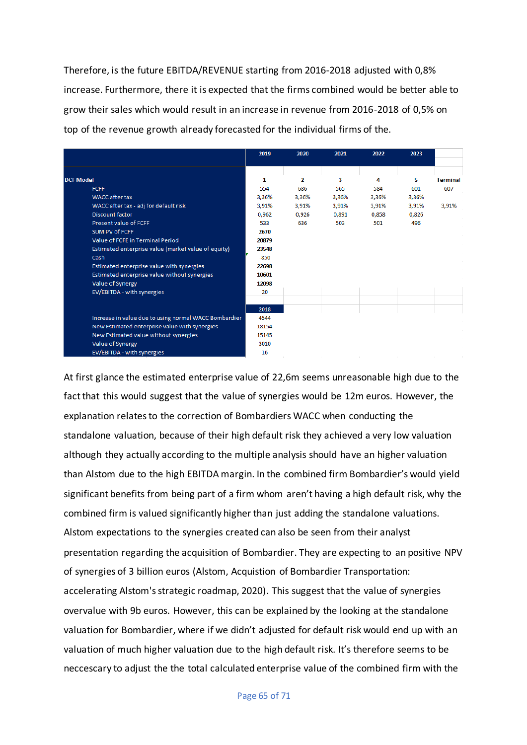Therefore, is the future EBITDA/REVENUE starting from 2016-2018 adjusted with 0,8% increase. Furthermore, there it is expected that the firms combined would be better able to grow their sales which would result in an increase in revenue from 2016-2018 of 0,5% on top of the revenue growth already forecasted for the individual firms of the.

|                                                       | 2019   | 2020  | 2021  | 2022  | 2023  |                 |
|-------------------------------------------------------|--------|-------|-------|-------|-------|-----------------|
|                                                       |        |       |       |       |       |                 |
| <b>DCF Model</b>                                      | 1      | 2     | 3     | 4     | 5     | <b>Terminal</b> |
| <b>FCFF</b>                                           | 554    | 686   | 565   | 584   | 601   | 607             |
| WACC after tax                                        | 3,36%  | 3,36% | 3,36% | 3,36% | 3,36% |                 |
| WACC after tax - adj for default risk                 | 3,91%  | 3,91% | 3,91% | 3,91% | 3,91% | 3,91%           |
| <b>Discount factor</b>                                | 0.962  | 0.926 | 0.891 | 0.858 | 0.826 |                 |
| Present value of FCFF                                 | 533    | 636   | 503   | 501   | 496   |                 |
| SUM PV of FCFF                                        | 2670   |       |       |       |       |                 |
| Value of FCFE in Terminal Period                      | 20879  |       |       |       |       |                 |
| Estimated enterprise value (market value of equity)   | 23548  |       |       |       |       |                 |
| Cash                                                  | $-850$ |       |       |       |       |                 |
| Estimated enterprise value with synergies             | 22698  |       |       |       |       |                 |
| Estimated enterprise value without synergies          | 10601  |       |       |       |       |                 |
| Value of Synergy                                      | 12098  |       |       |       |       |                 |
| EV/EBITDA - with synergies                            | 20     |       |       |       |       |                 |
|                                                       |        |       |       |       |       |                 |
|                                                       | 2018   |       |       |       |       |                 |
| Increase in value due to using normal WACC Bombardier | 4544   |       |       |       |       |                 |
| New Estimated enterprise value with synergies         | 18154  |       |       |       |       |                 |
| New Estimated value without synergies                 | 15145  |       |       |       |       |                 |
| Value of Synergy                                      | 3010   |       |       |       |       |                 |
| EV/EBITDA - with synergies                            | 16     |       |       |       |       |                 |

At first glance the estimated enterprise value of 22,6m seems unreasonable high due to the fact that this would suggest that the value of synergies would be 12m euros. However, the explanation relates to the correction of Bombardiers WACC when conducting the standalone valuation, because of their high default risk they achieved a very low valuation although they actually according to the multiple analysis should have an higher valuation than Alstom due to the high EBITDA margin. In the combined firm Bombardier's would yield significant benefits from being part of a firm whom aren't having a high default risk, why the combined firm is valued significantly higher than just adding the standalone valuations. Alstom expectations to the synergies created can also be seen from their analyst presentation regarding the acquisition of Bombardier. They are expecting to an positive NPV of synergies of 3 billion euros (Alstom, Acquistion of Bombardier Transportation: accelerating Alstom's strategic roadmap, 2020). This suggest that the value of synergies overvalue with 9b euros. However, this can be explained by the looking at the standalone valuation for Bombardier, where if we didn't adjusted for default risk would end up with an valuation of much higher valuation due to the high default risk. It's therefore seems to be neccescary to adjust the the total calculated enterprise value of the combined firm with the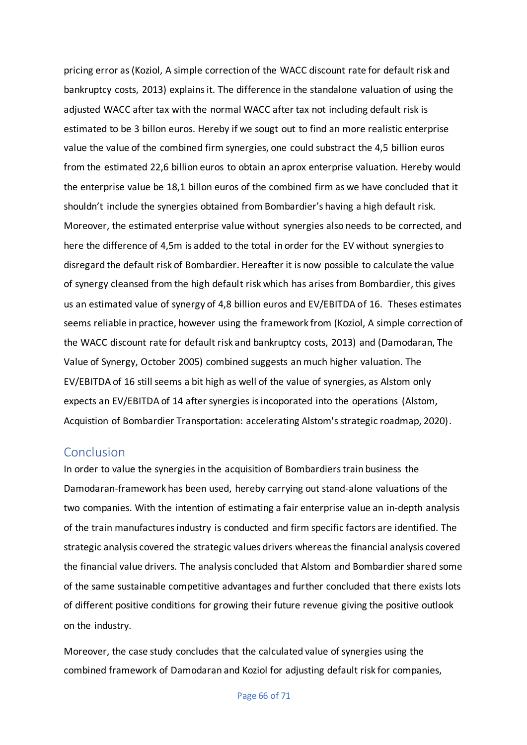pricing error as (Koziol, A simple correction of the WACC discount rate for default risk and bankruptcy costs, 2013) explains it. The difference in the standalone valuation of using the adjusted WACC after tax with the normal WACC after tax not including default risk is estimated to be 3 billon euros. Hereby if we sougt out to find an more realistic enterprise value the value of the combined firm synergies, one could substract the 4,5 billion euros from the estimated 22,6 billion euros to obtain an aprox enterprise valuation. Hereby would the enterprise value be 18,1 billon euros of the combined firm as we have concluded that it shouldn't include the synergies obtained from Bombardier's having a high default risk. Moreover, the estimated enterprise value without synergies also needs to be corrected, and here the difference of 4,5m is added to the total in order for the EV without synergies to disregard the default risk of Bombardier. Hereafter it is now possible to calculate the value of synergy cleansed from the high default risk which has arises from Bombardier, this gives us an estimated value of synergy of 4,8 billion euros and EV/EBITDA of 16. Theses estimates seems reliable in practice, however using the framework from (Koziol, A simple correction of the WACC discount rate for default risk and bankruptcy costs, 2013) and (Damodaran, The Value of Synergy, October 2005) combined suggests an much higher valuation. The EV/EBITDA of 16 still seems a bit high as well of the value of synergies, as Alstom only expects an EV/EBITDA of 14 after synergies is incoporated into the operations (Alstom, Acquistion of Bombardier Transportation: accelerating Alstom's strategic roadmap, 2020).

## Conclusion

In order to value the synergies in the acquisition of Bombardiers train business the Damodaran-framework has been used, hereby carrying out stand-alone valuations of the two companies. With the intention of estimating a fair enterprise value an in-depth analysis of the train manufactures industry is conducted and firm specific factors are identified. The strategic analysis covered the strategic values drivers whereas the financial analysis covered the financial value drivers. The analysis concluded that Alstom and Bombardier shared some of the same sustainable competitive advantages and further concluded that there exists lots of different positive conditions for growing their future revenue giving the positive outlook on the industry.

Moreover, the case study concludes that the calculated value of synergies using the combined framework of Damodaran and Koziol for adjusting default risk for companies,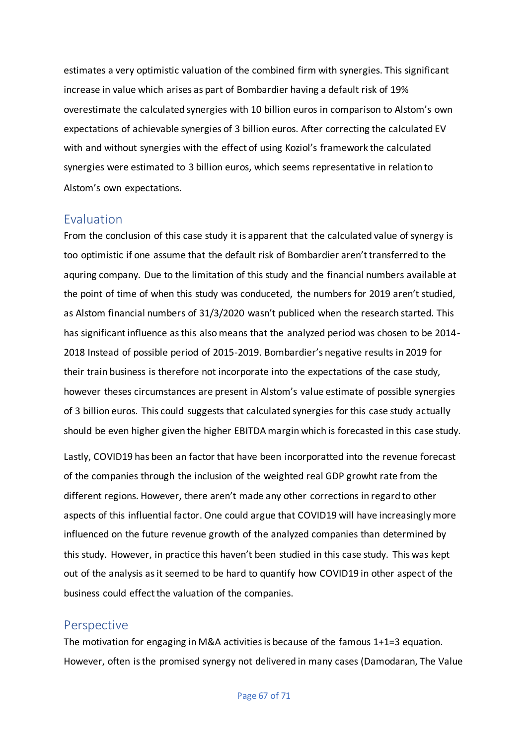estimates a very optimistic valuation of the combined firm with synergies. This significant increase in value which arises as part of Bombardier having a default risk of 19% overestimate the calculated synergies with 10 billion euros in comparison to Alstom's own expectations of achievable synergies of 3 billion euros. After correcting the calculated EV with and without synergies with the effect of using Koziol's framework the calculated synergies were estimated to 3 billion euros, which seems representative in relation to Alstom's own expectations.

## Evaluation

From the conclusion of this case study it is apparent that the calculated value of synergy is too optimistic if one assume that the default risk of Bombardier aren't transferred to the aquring company. Due to the limitation of this study and the financial numbers available at the point of time of when this study was conduceted, the numbers for 2019 aren't studied, as Alstom financial numbers of 31/3/2020 wasn't publiced when the research started. This has significant influence as this also means that the analyzed period was chosen to be 2014- 2018 Instead of possible period of 2015-2019. Bombardier's negative results in 2019 for their train business is therefore not incorporate into the expectations of the case study, however theses circumstances are present in Alstom's value estimate of possible synergies of 3 billion euros. This could suggests that calculated synergies for this case study actually should be even higher given the higher EBITDA margin which is forecasted in this case study.

Lastly, COVID19 has been an factor that have been incorporatted into the revenue forecast of the companies through the inclusion of the weighted real GDP growht rate from the different regions. However, there aren't made any other corrections in regard to other aspects of this influential factor. One could argue that COVID19 will have increasingly more influenced on the future revenue growth of the analyzed companies than determined by this study. However, in practice this haven't been studied in this case study. This was kept out of the analysis as it seemed to be hard to quantify how COVID19 in other aspect of the business could effect the valuation of the companies.

## Perspective

The motivation for engaging in M&A activities is because of the famous 1+1=3 equation. However, often is the promised synergy not delivered in many cases (Damodaran, The Value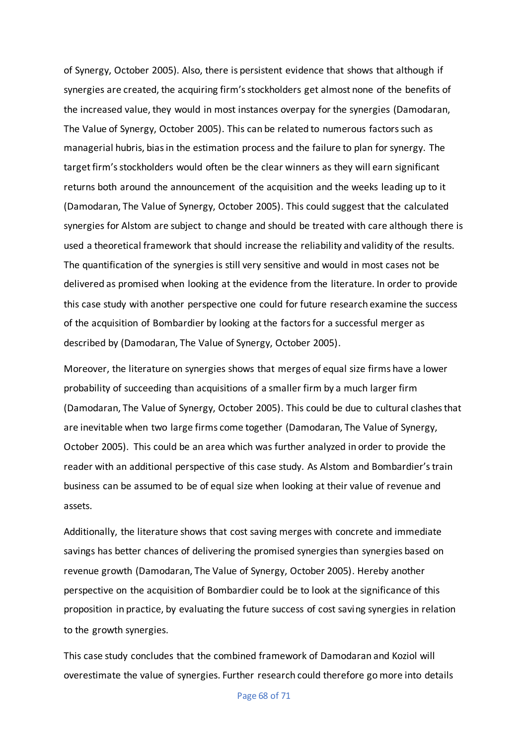of Synergy, October 2005). Also, there is persistent evidence that shows that although if synergies are created, the acquiring firm's stockholders get almost none of the benefits of the increased value, they would in most instances overpay for the synergies (Damodaran, The Value of Synergy, October 2005). This can be related to numerous factors such as managerial hubris, bias in the estimation process and the failure to plan for synergy. The target firm's stockholders would often be the clear winners as they will earn significant returns both around the announcement of the acquisition and the weeks leading up to it (Damodaran, The Value of Synergy, October 2005). This could suggest that the calculated synergies for Alstom are subject to change and should be treated with care although there is used a theoretical framework that should increase the reliability and validity of the results. The quantification of the synergies is still very sensitive and would in most cases not be delivered as promised when looking at the evidence from the literature. In order to provide this case study with another perspective one could for future research examine the success of the acquisition of Bombardier by looking at the factors for a successful merger as described by (Damodaran, The Value of Synergy, October 2005).

Moreover, the literature on synergies shows that merges of equal size firms have a lower probability of succeeding than acquisitions of a smaller firm by a much larger firm (Damodaran, The Value of Synergy, October 2005). This could be due to cultural clashes that are inevitable when two large firms come together (Damodaran, The Value of Synergy, October 2005). This could be an area which was further analyzed in order to provide the reader with an additional perspective of this case study. As Alstom and Bombardier's train business can be assumed to be of equal size when looking at their value of revenue and assets.

Additionally, the literature shows that cost saving merges with concrete and immediate savings has better chances of delivering the promised synergies than synergies based on revenue growth (Damodaran, The Value of Synergy, October 2005). Hereby another perspective on the acquisition of Bombardier could be to look at the significance of this proposition in practice, by evaluating the future success of cost saving synergies in relation to the growth synergies.

This case study concludes that the combined framework of Damodaran and Koziol will overestimate the value of synergies. Further research could therefore go more into details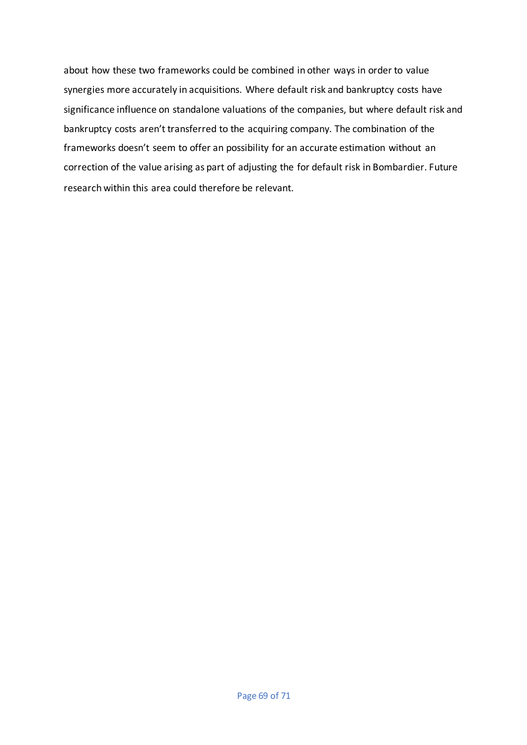about how these two frameworks could be combined in other ways in order to value synergies more accurately in acquisitions. Where default risk and bankruptcy costs have significance influence on standalone valuations of the companies, but where default risk and bankruptcy costs aren't transferred to the acquiring company. The combination of the frameworks doesn't seem to offer an possibility for an accurate estimation without an correction of the value arising as part of adjusting the for default risk in Bombardier. Future research within this area could therefore be relevant.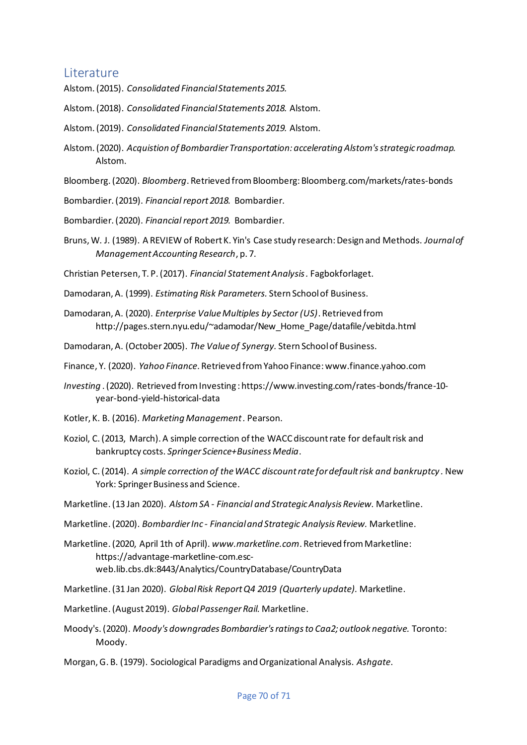# Literature

- Alstom. (2015). *Consolidated Financial Statements 2015.*
- Alstom. (2018). *Consolidated Financial Statements 2018.* Alstom.
- Alstom. (2019). *Consolidated Financial Statements 2019.* Alstom.
- Alstom. (2020). *Acquistion of Bombardier Transportation: accelerating Alstom's strategic roadmap.* Alstom.
- Bloomberg. (2020). *Bloomberg*. Retrieved from Bloomberg: Bloomberg.com/markets/rates-bonds
- Bombardier. (2019). *Financial report 2018.* Bombardier.
- Bombardier. (2020). *Financial report 2019.* Bombardier.
- Bruns, W. J. (1989). A REVIEW of Robert K. Yin's Case study research: Design and Methods. *Journal of Management Accounting Research*, p. 7.

Christian Petersen, T. P. (2017). *Financial Statement Analysis .* Fagbokforlaget.

- Damodaran, A. (1999). *Estimating Risk Parameters.* Stern School of Business.
- Damodaran, A. (2020). *Enterprise Value Multiples by Sector (US)*. Retrieved from http://pages.stern.nyu.edu/~adamodar/New\_Home\_Page/datafile/vebitda.html

Damodaran, A. (October 2005). *The Value of Synergy.* Stern School of Business.

Finance, Y. (2020). *Yahoo Finance*. Retrieved from Yahoo Finance: www.finance.yahoo.com

- *Investing* . (2020). Retrieved from Investing : https://www.investing.com/rates-bonds/france-10 year-bond-yield-historical-data
- Kotler, K. B. (2016). *Marketing Management .* Pearson.
- Koziol, C. (2013, March). A simple correction of the WACC discount rate for default risk and bankruptcy costs. *Springer Science+Business Media*.
- Koziol, C. (2014). *A simple correction of the WACC discount rate for default risk and bankruptcy .* New York: Springer Business and Science.
- Marketline. (13 Jan 2020). *Alstom SA - Financial and Strategic Analysis Review.* Marketline.
- Marketline. (2020). *Bombardier Inc - Financial and Strategic Analysis Review.* Marketline.
- Marketline. (2020, April 1th of April). *www.marketline.com*. Retrieved from Marketline: https://advantage-marketline-com.escweb.lib.cbs.dk:8443/Analytics/CountryDatabase/CountryData
- Marketline. (31 Jan 2020). *Global Risk Report Q4 2019 (Quarterly update).* Marketline.
- Marketline. (August 2019). *Global Passenger Rail.* Marketline.
- Moody's. (2020). *Moody's downgrades Bombardier's ratings to Caa2; outlook negative.* Toronto: Moody.
- Morgan, G. B. (1979). Sociological Paradigms and Organizational Analysis. *Ashgate*.